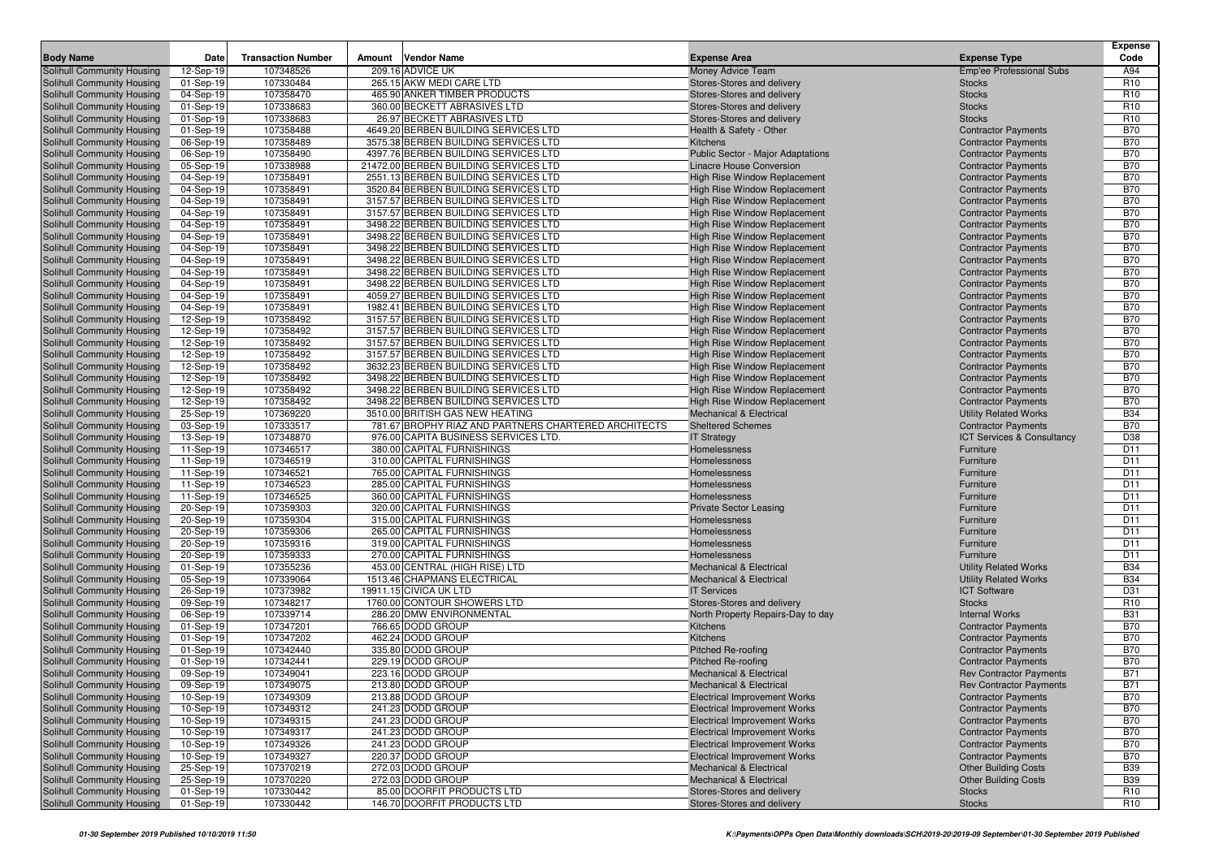|                                                          |                        |                           |                                                                              |                                                                     |                                                          | <b>Expense</b>                |
|----------------------------------------------------------|------------------------|---------------------------|------------------------------------------------------------------------------|---------------------------------------------------------------------|----------------------------------------------------------|-------------------------------|
| <b>Body Name</b>                                         | Date                   | <b>Transaction Number</b> | Amount<br>Vendor Name                                                        | <b>Expense Area</b>                                                 | <b>Expense Type</b>                                      | Code                          |
| Solihull Community Housing                               | 12-Sep-19              | 107348526                 | 209.16 ADVICE UK                                                             | Money Advice Team                                                   | <b>Emp'ee Professional Subs</b>                          | A94                           |
| Solihull Community Housing                               | 01-Sep-19              | 107330484                 | 265.15 AKW MEDI CARE LTD                                                     | Stores-Stores and delivery                                          | <b>Stocks</b>                                            | R <sub>10</sub>               |
| Solihull Community Housing                               | 04-Sep-19              | 107358470                 | 465.90 ANKER TIMBER PRODUCTS                                                 | Stores-Stores and delivery                                          | <b>Stocks</b>                                            | R <sub>10</sub>               |
| Solihull Community Housing                               | 01-Sep-19              | 107338683                 | 360.00 BECKETT ABRASIVES LTD                                                 | Stores-Stores and delivery                                          | <b>Stocks</b>                                            | R <sub>10</sub>               |
| Solihull Community Housing                               | 01-Sep-19              | 107338683                 | 26.97 BECKETT ABRASIVES LTD                                                  | Stores-Stores and delivery                                          | <b>Stocks</b>                                            | R <sub>10</sub>               |
| Solihull Community Housing                               | 01-Sep-19              | 107358488                 | 4649.20 BERBEN BUILDING SERVICES LTD                                         | Health & Safety - Other                                             | <b>Contractor Payments</b>                               | <b>B70</b>                    |
| Solihull Community Housing                               | 06-Sep-19              | 107358489                 | 3575.38 BERBEN BUILDING SERVICES LTD                                         | Kitchens                                                            | <b>Contractor Payments</b>                               | <b>B70</b>                    |
| Solihull Community Housing                               | 06-Sep-19              | 107358490                 | 4397.76 BERBEN BUILDING SERVICES LTD                                         | <b>Public Sector - Major Adaptations</b>                            | <b>Contractor Payments</b>                               | <b>B70</b>                    |
| Solihull Community Housing                               | 05-Sep-19              | 107338988                 | 21472.00 BERBEN BUILDING SERVICES LTD                                        | <b>Linacre House Conversion</b>                                     | <b>Contractor Payments</b>                               | <b>B70</b>                    |
| Solihull Community Housing                               | 04-Sep-19              | 107358491                 | 2551.13 BERBEN BUILDING SERVICES LTD                                         | High Rise Window Replacement                                        | <b>Contractor Payments</b>                               | <b>B70</b>                    |
| Solihull Community Housing                               | 04-Sep-19              | 107358491                 | 3520.84 BERBEN BUILDING SERVICES LTD                                         | <b>High Rise Window Replacement</b>                                 | <b>Contractor Payments</b>                               | <b>B70</b>                    |
| Solihull Community Housing                               | 04-Sep-19              | 107358491                 | 3157.57 BERBEN BUILDING SERVICES LTD                                         | <b>High Rise Window Replacement</b>                                 | <b>Contractor Payments</b>                               | <b>B70</b>                    |
| Solihull Community Housing                               | 04-Sep-19              | 107358491                 | 3157.57 BERBEN BUILDING SERVICES LTD                                         | High Rise Window Replacement                                        | <b>Contractor Payments</b>                               | <b>B70</b>                    |
| Solihull Community Housing                               | 04-Sep-19              | 107358491                 | 3498.22 BERBEN BUILDING SERVICES LTD                                         | High Rise Window Replacement                                        | <b>Contractor Payments</b>                               | <b>B70</b>                    |
| Solihull Community Housing                               | 04-Sep-19              | 107358491                 | 3498.22 BERBEN BUILDING SERVICES LTD                                         | <b>High Rise Window Replacement</b>                                 | <b>Contractor Payments</b>                               | <b>B70</b>                    |
| Solihull Community Housing                               | 04-Sep-19              | 107358491                 | 3498.22 BERBEN BUILDING SERVICES LTD                                         | High Rise Window Replacement                                        | <b>Contractor Payments</b>                               | <b>B70</b>                    |
| Solihull Community Housing                               | 04-Sep-19              | 107358491                 | 3498.22 BERBEN BUILDING SERVICES LTD                                         | <b>High Rise Window Replacement</b>                                 | <b>Contractor Payments</b>                               | <b>B70</b>                    |
| Solihull Community Housing                               | 04-Sep-19              | 107358491                 | 3498.22 BERBEN BUILDING SERVICES LTD                                         | High Rise Window Replacement                                        | <b>Contractor Payments</b>                               | <b>B70</b>                    |
| Solihull Community Housing                               | 04-Sep-19              | 107358491                 | 3498.22 BERBEN BUILDING SERVICES LTD                                         | <b>High Rise Window Replacement</b>                                 | <b>Contractor Payments</b>                               | <b>B70</b>                    |
| Solihull Community Housing                               | 04-Sep-19              | 107358491                 | 4059.27 BERBEN BUILDING SERVICES LTD                                         | <b>High Rise Window Replacement</b>                                 | <b>Contractor Payments</b>                               | <b>B70</b>                    |
| Solihull Community Housing                               | 04-Sep-19              | 107358491                 | 1982.41 BERBEN BUILDING SERVICES LTD                                         | High Rise Window Replacement                                        | <b>Contractor Payments</b>                               | <b>B70</b>                    |
| Solihull Community Housing                               | 12-Sep-19              | 107358492                 | 3157.57 BERBEN BUILDING SERVICES LTD                                         | High Rise Window Replacement                                        | <b>Contractor Payments</b>                               | <b>B70</b>                    |
| Solihull Community Housing                               | 12-Sep-19              | 107358492                 | 3157.57 BERBEN BUILDING SERVICES LTD                                         | <b>High Rise Window Replacement</b>                                 | <b>Contractor Payments</b>                               | <b>B70</b>                    |
| Solihull Community Housing                               | 12-Sep-19              | 107358492                 | 3157.57 BERBEN BUILDING SERVICES LTD<br>3157.57 BERBEN BUILDING SERVICES LTD | <b>High Rise Window Replacement</b>                                 | <b>Contractor Payments</b>                               | <b>B70</b>                    |
| Solihull Community Housing                               | 12-Sep-19              | 107358492                 |                                                                              | <b>High Rise Window Replacement</b>                                 | <b>Contractor Payments</b>                               | <b>B70</b><br><b>B70</b>      |
| Solihull Community Housing<br>Solihull Community Housing | 12-Sep-19              | 107358492<br>107358492    | 3632.23 BERBEN BUILDING SERVICES LTD<br>3498.22 BERBEN BUILDING SERVICES LTD | <b>High Rise Window Replacement</b>                                 | <b>Contractor Payments</b><br><b>Contractor Payments</b> | <b>B70</b>                    |
| Solihull Community Housing                               | 12-Sep-19<br>12-Sep-19 | 107358492                 | 3498.22 BERBEN BUILDING SERVICES LTD                                         | High Rise Window Replacement<br><b>High Rise Window Replacement</b> | <b>Contractor Payments</b>                               | <b>B70</b>                    |
| Solihull Community Housing                               | 12-Sep-19              | 107358492                 | 3498.22 BERBEN BUILDING SERVICES LTD                                         | High Rise Window Replacement                                        | <b>Contractor Payments</b>                               | <b>B70</b>                    |
| Solihull Community Housing                               | 25-Sep-19              | 107369220                 | 3510.00 BRITISH GAS NEW HEATING                                              | <b>Mechanical &amp; Electrical</b>                                  | <b>Utility Related Works</b>                             | <b>B34</b>                    |
| Solihull Community Housing                               | 03-Sep-19              | 107333517                 | 781.67 BROPHY RIAZ AND PARTNERS CHARTERED ARCHITECTS                         | <b>Sheltered Schemes</b>                                            | <b>Contractor Payments</b>                               | <b>B70</b>                    |
| Solihull Community Housing                               | 13-Sep-19              | 107348870                 | 976.00 CAPITA BUSINESS SERVICES LTD.                                         | <b>IT Strategy</b>                                                  | ICT Services & Consultancy                               | D38                           |
| Solihull Community Housing                               | 11-Sep-19              | 107346517                 | 380.00 CAPITAL FURNISHINGS                                                   | Homelessness                                                        | Furniture                                                | D <sub>11</sub>               |
| Solihull Community Housing                               | 11-Sep-19              | 107346519                 | 310.00 CAPITAL FURNISHINGS                                                   | Homelessness                                                        | Furniture                                                | D <sub>11</sub>               |
| Solihull Community Housing                               | 11-Sep-19              | 107346521                 | 765.00 CAPITAL FURNISHINGS                                                   | Homelessness                                                        | Furniture                                                | D <sub>11</sub>               |
| Solihull Community Housing                               | 11-Sep-19              | 107346523                 | 285.00 CAPITAL FURNISHINGS                                                   | Homelessness                                                        | Furniture                                                | D <sub>11</sub>               |
| Solihull Community Housing                               | 11-Sep-19              | 107346525                 | 360.00 CAPITAL FURNISHINGS                                                   | Homelessness                                                        | Furniture                                                | D <sub>11</sub>               |
| Solihull Community Housing                               | 20-Sep-19              | 107359303                 | 320.00 CAPITAL FURNISHINGS                                                   | <b>Private Sector Leasing</b>                                       | Furniture                                                | D <sub>11</sub>               |
| Solihull Community Housing                               | 20-Sep-19              | 107359304                 | 315.00 CAPITAL FURNISHINGS                                                   | Homelessness                                                        | Furniture                                                | D <sub>11</sub>               |
| Solihull Community Housing                               | 20-Sep-19              | 107359306                 | 265.00 CAPITAL FURNISHINGS                                                   | Homelessness                                                        | Furniture                                                | D <sub>11</sub>               |
| Solihull Community Housing                               | 20-Sep-19              | 107359316                 | 319.00 CAPITAL FURNISHINGS                                                   | Homelessness                                                        | Furniture                                                | D <sub>11</sub>               |
| <b>Solihull Community Housing</b>                        | 20-Sep-19              | 107359333                 | 270.00 CAPITAL FURNISHINGS                                                   | Homelessness                                                        | Furniture                                                | D <sub>11</sub>               |
| Solihull Community Housing                               | 01-Sep-19              | 107355236                 | 453.00 CENTRAL (HIGH RISE) LTD                                               | <b>Mechanical &amp; Electrical</b>                                  | <b>Utility Related Works</b>                             | <b>B34</b>                    |
| Solihull Community Housing                               | 05-Sep-19              | 107339064                 | 1513.46 CHAPMANS ELECTRICAL                                                  | <b>Mechanical &amp; Electrical</b>                                  | <b>Utility Related Works</b>                             | <b>B34</b>                    |
| Solihull Community Housing                               | 26-Sep-19              | 107373982                 | 19911.15 CIVICA UK LTD                                                       | <b>IT Services</b>                                                  | <b>ICT Software</b>                                      | D31                           |
| Solihull Community Housing<br>Solihull Community Housing | 09-Sep-19              | 107348217<br>107339714    | 1760.00 CONTOUR SHOWERS LTD<br>286.20 DMW ENVIRONMENTAL                      | Stores-Stores and delivery                                          | <b>Stocks</b>                                            | R <sub>10</sub><br><b>B31</b> |
| <b>Solihull Community Housing</b>                        | 06-Sep-19<br>01-Sep-19 | 107347201                 | 766.65 DODD GROUP                                                            | North Property Repairs-Day to day<br>Kitchens                       | <b>Internal Works</b><br><b>Contractor Payments</b>      | <b>B70</b>                    |
| Solihull Community Housing                               | 01-Sep-19              | 107347202                 | 462.24 DODD GROUP                                                            | Kitchens                                                            | <b>Contractor Payments</b>                               | <b>B70</b>                    |
| Solihull Community Housing                               | 01-Sep-19              | 107342440                 | 335.80 DODD GROUP                                                            | <b>Pitched Re-roofing</b>                                           | <b>Contractor Payments</b>                               | <b>B70</b>                    |
| Solihull Community Housing                               | 01-Sep-19              | 107342441                 | 229.19 DODD GROUP                                                            | <b>Pitched Re-roofing</b>                                           | <b>Contractor Payments</b>                               | <b>B70</b>                    |
| Solihull Community Housing                               | 09-Sep-19              | 107349041                 | 223.16 DODD GROUP                                                            | <b>Mechanical &amp; Electrical</b>                                  | <b>Rev Contractor Payments</b>                           | <b>B71</b>                    |
| Solihull Community Housing                               | 09-Sep-19              | 107349075                 | 213.80 DODD GROUP                                                            | Mechanical & Electrical                                             | <b>Rev Contractor Payments</b>                           | <b>B71</b>                    |
| Solihull Community Housing                               | 10-Sep-19              | 107349309                 | 213.88 DODD GROUP                                                            | <b>Electrical Improvement Works</b>                                 | <b>Contractor Payments</b>                               | <b>B70</b>                    |
| Solihull Community Housing                               | 10-Sep-19              | 107349312                 | 241.23 DODD GROUP                                                            | <b>Electrical Improvement Works</b>                                 | <b>Contractor Payments</b>                               | <b>B70</b>                    |
| Solihull Community Housing                               | 10-Sep-19              | 107349315                 | 241.23 DODD GROUP                                                            | <b>Electrical Improvement Works</b>                                 | <b>Contractor Payments</b>                               | <b>B70</b>                    |
| Solihull Community Housing                               | 10-Sep-19              | 107349317                 | 241.23 DODD GROUP                                                            | <b>Electrical Improvement Works</b>                                 | <b>Contractor Payments</b>                               | <b>B70</b>                    |
| Solihull Community Housing                               | 10-Sep-19              | 107349326                 | 241.23 DODD GROUP                                                            | Electrical Improvement Works                                        | <b>Contractor Payments</b>                               | <b>B70</b>                    |
| Solihull Community Housing                               | 10-Sep-19              | 107349327                 | 220.37 DODD GROUP                                                            | <b>Electrical Improvement Works</b>                                 | <b>Contractor Payments</b>                               | <b>B70</b>                    |
| Solihull Community Housing                               | 25-Sep-19              | 107370219                 | 272.03 DODD GROUP                                                            | Mechanical & Electrical                                             | <b>Other Building Costs</b>                              | <b>B39</b>                    |
| Solihull Community Housing                               | 25-Sep-19              | 107370220                 | 272.03 DODD GROUP                                                            | <b>Mechanical &amp; Electrical</b>                                  | <b>Other Building Costs</b>                              | <b>B39</b>                    |
| Solihull Community Housing                               | 01-Sep-19              | 107330442                 | 85.00 DOORFIT PRODUCTS LTD                                                   | Stores-Stores and delivery                                          | <b>Stocks</b>                                            | R <sub>10</sub>               |
| Solihull Community Housing                               | 01-Sep-19              | 107330442                 | 146.70 DOORFIT PRODUCTS LTD                                                  | Stores-Stores and delivery                                          | <b>Stocks</b>                                            | <b>R10</b>                    |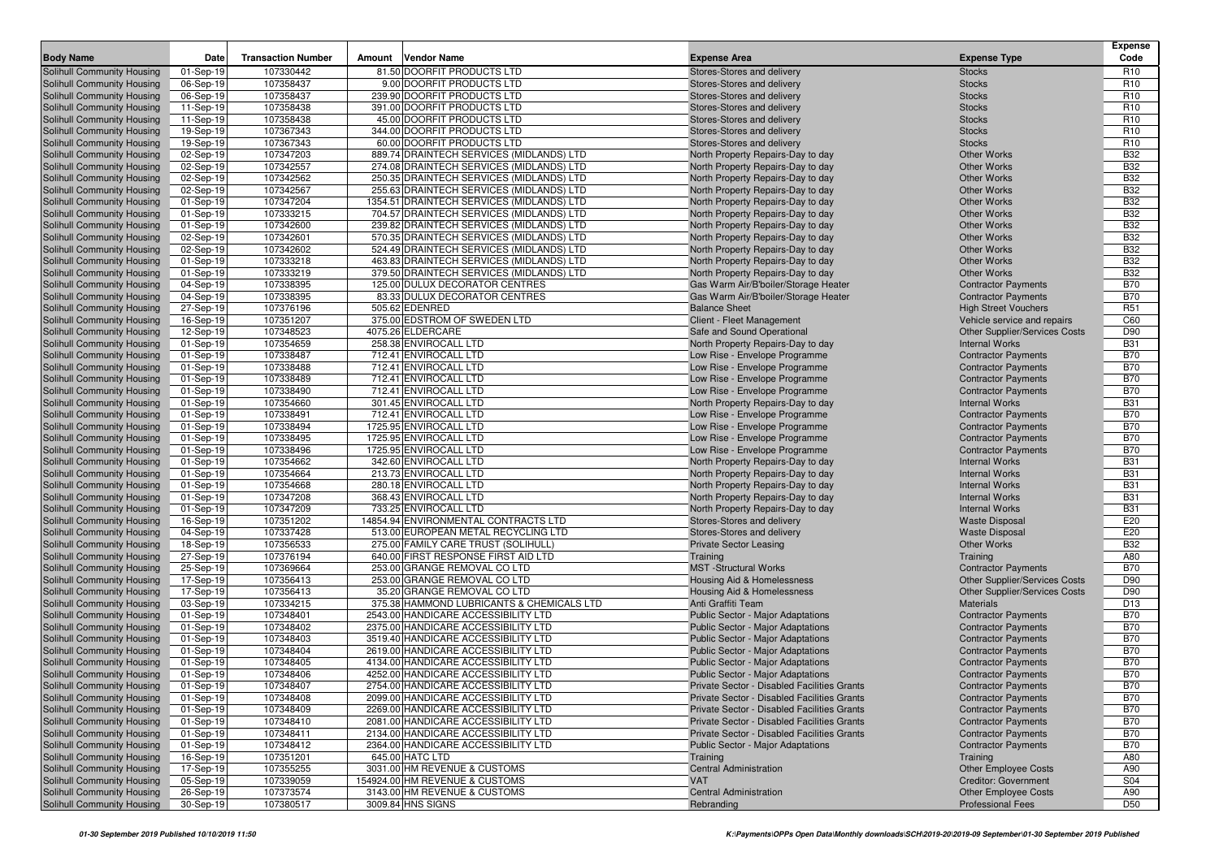|                                                          |                        |                           |                                                                        |                                                                        |                                                | <b>Expense</b>                |
|----------------------------------------------------------|------------------------|---------------------------|------------------------------------------------------------------------|------------------------------------------------------------------------|------------------------------------------------|-------------------------------|
| <b>Body Name</b>                                         | Date                   | <b>Transaction Number</b> | <b>Vendor Name</b><br>Amount                                           | <b>Expense Area</b>                                                    | <b>Expense Type</b>                            | Code                          |
| Solihull Community Housing                               | 01-Sep-19              | 107330442                 | 81.50 DOORFIT PRODUCTS LTD                                             | Stores-Stores and delivery                                             | <b>Stocks</b>                                  | R <sub>10</sub>               |
| Solihull Community Housing                               | 06-Sep-19              | 107358437                 | 9.00 DOORFIT PRODUCTS LTD                                              | Stores-Stores and delivery                                             | <b>Stocks</b>                                  | R <sub>10</sub>               |
| Solihull Community Housing                               | 06-Sep-19              | 107358437                 | 239.90 DOORFIT PRODUCTS LTD                                            | Stores-Stores and delivery                                             | <b>Stocks</b>                                  | R <sub>10</sub>               |
| Solihull Community Housing                               | 11-Sep-19              | 107358438                 | 391.00 DOORFIT PRODUCTS LTD                                            | Stores-Stores and delivery                                             | <b>Stocks</b>                                  | R <sub>10</sub>               |
| Solihull Community Housing                               | 11-Sep-19              | 107358438                 | 45.00 DOORFIT PRODUCTS LTD                                             | Stores-Stores and delivery                                             | <b>Stocks</b>                                  | R <sub>10</sub>               |
| Solihull Community Housing                               | 19-Sep-19              | 107367343                 | 344.00 DOORFIT PRODUCTS LTD                                            | Stores-Stores and delivery                                             | <b>Stocks</b>                                  | R <sub>10</sub>               |
| Solihull Community Housing<br>Solihull Community Housing | 19-Sep-19<br>02-Sep-19 | 107367343<br>107347203    | 60.00 DOORFIT PRODUCTS LTD<br>889.74 DRAINTECH SERVICES (MIDLANDS) LTD | Stores-Stores and delivery                                             | <b>Stocks</b><br><b>Other Works</b>            | R <sub>10</sub><br><b>B32</b> |
| Solihull Community Housing                               | 02-Sep-19              | 107342557                 | 274.08 DRAINTECH SERVICES (MIDLANDS) LTD                               | North Property Repairs-Day to day<br>North Property Repairs-Day to day | <b>Other Works</b>                             | <b>B32</b>                    |
| Solihull Community Housing                               | 02-Sep-19              | 107342562                 | 250.35 DRAINTECH SERVICES (MIDLANDS) LTD                               | North Property Repairs-Day to day                                      | <b>Other Works</b>                             | <b>B32</b>                    |
| Solihull Community Housing                               | 02-Sep-19              | 107342567                 | 255.63 DRAINTECH SERVICES (MIDLANDS) LTD                               | North Property Repairs-Day to day                                      | <b>Other Works</b>                             | <b>B32</b>                    |
| Solihull Community Housing                               | 01-Sep-19              | 107347204                 | 1354.51 DRAINTECH SERVICES (MIDLANDS) LTD                              | North Property Repairs-Day to day                                      | <b>Other Works</b>                             | <b>B32</b>                    |
| Solihull Community Housing                               | 01-Sep-19              | 107333215                 | 704.57 DRAINTECH SERVICES (MIDLANDS) LTD                               | North Property Repairs-Day to day                                      | <b>Other Works</b>                             | <b>B32</b>                    |
| Solihull Community Housing                               | 01-Sep-19              | 107342600                 | 239.82 DRAINTECH SERVICES (MIDLANDS) LTD                               | North Property Repairs-Day to day                                      | <b>Other Works</b>                             | <b>B32</b>                    |
| Solihull Community Housing                               | 02-Sep-19              | 107342601                 | 570.35 DRAINTECH SERVICES (MIDLANDS) LTD                               | North Property Repairs-Day to day                                      | <b>Other Works</b>                             | <b>B32</b>                    |
| Solihull Community Housing                               | 02-Sep-19              | 107342602                 | 524.49 DRAINTECH SERVICES (MIDLANDS) LTD                               | North Property Repairs-Day to day                                      | <b>Other Works</b>                             | <b>B32</b>                    |
| Solihull Community Housing                               | 01-Sep-19              | 107333218                 | 463.83 DRAINTECH SERVICES (MIDLANDS) LTD                               | North Property Repairs-Day to day                                      | <b>Other Works</b>                             | <b>B32</b>                    |
| Solihull Community Housing                               | 01-Sep-19              | 107333219                 | 379.50 DRAINTECH SERVICES (MIDLANDS) LTD                               | North Property Repairs-Day to day                                      | <b>Other Works</b>                             | <b>B32</b>                    |
| Solihull Community Housing                               | 04-Sep-19              | 107338395                 | 125.00 DULUX DECORATOR CENTRES                                         | Gas Warm Air/B'boiler/Storage Heater                                   | <b>Contractor Payments</b>                     | <b>B70</b>                    |
| Solihull Community Housing                               | 04-Sep-19              | 107338395                 | 83.33 DULUX DECORATOR CENTRES                                          | Gas Warm Air/B'boiler/Storage Heater                                   | <b>Contractor Payments</b>                     | <b>B70</b>                    |
| Solihull Community Housing                               | 27-Sep-19              | 107376196                 | 505.62 EDENRED                                                         | <b>Balance Sheet</b>                                                   | <b>High Street Vouchers</b>                    | R <sub>51</sub>               |
| Solihull Community Housing                               | 16-Sep-19              | 107351207                 | 375.00 EDSTROM OF SWEDEN LTD                                           | Client - Fleet Management                                              | Vehicle service and repairs                    | C60                           |
| Solihull Community Housing                               | 12-Sep-19              | 107348523                 | 4075.26 ELDERCARE                                                      | Safe and Sound Operational                                             | Other Supplier/Services Costs                  | D90                           |
| Solihull Community Housing                               | 01-Sep-19              | 107354659                 | 258.38 ENVIROCALL LTD                                                  | North Property Repairs-Day to day                                      | <b>Internal Works</b>                          | <b>B31</b>                    |
| Solihull Community Housing                               | 01-Sep-19              | 107338487                 | 712.41 ENVIROCALL LTD                                                  | Low Rise - Envelope Programme                                          | <b>Contractor Payments</b>                     | <b>B70</b>                    |
| Solihull Community Housing                               | 01-Sep-19              | 107338488                 | 712.41 ENVIROCALL LTD                                                  | Low Rise - Envelope Programme                                          | <b>Contractor Payments</b>                     | <b>B70</b>                    |
| Solihull Community Housing                               | 01-Sep-19              | 107338489                 | 712.41 ENVIROCALL LTD                                                  | Low Rise - Envelope Programme                                          | <b>Contractor Payments</b>                     | <b>B70</b>                    |
| Solihull Community Housing                               | 01-Sep-19              | 107338490                 | 712.41 ENVIROCALL LTD                                                  | Low Rise - Envelope Programme                                          | <b>Contractor Payments</b>                     | <b>B70</b>                    |
| Solihull Community Housing                               | 01-Sep-19              | 107354660                 | 301.45 ENVIROCALL LTD                                                  | North Property Repairs-Day to day                                      | <b>Internal Works</b>                          | <b>B31</b>                    |
| Solihull Community Housing                               | 01-Sep-19              | 107338491                 | 712.41 ENVIROCALL LTD                                                  | Low Rise - Envelope Programme                                          | <b>Contractor Payments</b>                     | <b>B70</b>                    |
| Solihull Community Housing                               | 01-Sep-19              | 107338494                 | 1725.95 ENVIROCALL LTD                                                 | Low Rise - Envelope Programme                                          | <b>Contractor Payments</b>                     | <b>B70</b>                    |
| Solihull Community Housing                               | 01-Sep-19              | 107338495                 | 1725.95 ENVIROCALL LTD                                                 | Low Rise - Envelope Programme                                          | <b>Contractor Payments</b>                     | <b>B70</b>                    |
| Solihull Community Housing                               | 01-Sep-19              | 107338496                 | 1725.95 ENVIROCALL LTD                                                 | Low Rise - Envelope Programme                                          | <b>Contractor Payments</b>                     | <b>B70</b>                    |
| Solihull Community Housing                               | 01-Sep-19              | 107354662<br>107354664    | 342.60 ENVIROCALL LTD<br>213.73 ENVIROCALL LTD                         | North Property Repairs-Day to day                                      | <b>Internal Works</b><br><b>Internal Works</b> | <b>B31</b><br><b>B31</b>      |
| Solihull Community Housing                               | 01-Sep-19<br>01-Sep-19 | 107354668                 | 280.18 ENVIROCALL LTD                                                  | North Property Repairs-Day to day                                      | <b>Internal Works</b>                          | <b>B31</b>                    |
| Solihull Community Housing<br>Solihull Community Housing | 01-Sep-19              | 107347208                 | 368.43 ENVIROCALL LTD                                                  | North Property Repairs-Day to day<br>North Property Repairs-Day to day | <b>Internal Works</b>                          | <b>B31</b>                    |
| Solihull Community Housing                               | 01-Sep-19              | 107347209                 | 733.25 ENVIROCALL LTD                                                  | North Property Repairs-Day to day                                      | <b>Internal Works</b>                          | <b>B31</b>                    |
| Solihull Community Housing                               | 16-Sep-19              | 107351202                 | 14854.94 ENVIRONMENTAL CONTRACTS LTD                                   | Stores-Stores and delivery                                             | <b>Waste Disposal</b>                          | E20                           |
| Solihull Community Housing                               | 04-Sep-19              | 107337428                 | 513.00 EUROPEAN METAL RECYCLING LTD                                    | Stores-Stores and delivery                                             | <b>Waste Disposal</b>                          | E20                           |
| Solihull Community Housing                               | 18-Sep-19              | 107356533                 | 275.00 FAMILY CARE TRUST (SOLIHULL)                                    | <b>Private Sector Leasing</b>                                          | Other Works                                    | <b>B32</b>                    |
| Solihull Community Housing                               | 27-Sep-19              | 107376194                 | 640.00 FIRST RESPONSE FIRST AID LTD                                    | Training                                                               | Training                                       | A80                           |
| Solihull Community Housing                               | 25-Sep-19              | 107369664                 | 253.00 GRANGE REMOVAL CO LTD                                           | <b>MST</b> -Structural Works                                           | <b>Contractor Payments</b>                     | <b>B70</b>                    |
| Solihull Community Housing                               | 17-Sep-19              | 107356413                 | 253.00 GRANGE REMOVAL CO LTD                                           | Housing Aid & Homelessness                                             | <b>Other Supplier/Services Costs</b>           | D90                           |
| Solihull Community Housing                               | 17-Sep-19              | 107356413                 | 35.20 GRANGE REMOVAL CO LTD                                            | Housing Aid & Homelessness                                             | <b>Other Supplier/Services Costs</b>           | D90                           |
| Solihull Community Housing                               | 03-Sep-19              | 107334215                 | 375.38 HAMMOND LUBRICANTS & CHEMICALS LTD                              | Anti Graffiti Team                                                     | <b>Materials</b>                               | D <sub>13</sub>               |
| Solihull Community Housing                               | 01-Sep-19              | 107348401                 | 2543.00 HANDICARE ACCESSIBILITY LTD                                    | Public Sector - Major Adaptations                                      | <b>Contractor Payments</b>                     | <b>B70</b>                    |
| Solihull Community Housing                               | 01-Sep-19              | 107348402                 | 2375.00 HANDICARE ACCESSIBILITY LTD                                    | <b>Public Sector - Major Adaptations</b>                               | <b>Contractor Payments</b>                     | <b>B70</b>                    |
| Solihull Community Housing                               | 01-Sep-19              | 107348403                 | 3519.40 HANDICARE ACCESSIBILITY LTD                                    | <b>Public Sector - Major Adaptations</b>                               | <b>Contractor Payments</b>                     | <b>B70</b>                    |
| Solihull Community Housing                               | 01-Sep-19              | 107348404                 | 2619.00 HANDICARE ACCESSIBILITY LTD                                    | Public Sector - Major Adaptations                                      | <b>Contractor Payments</b>                     | <b>B70</b>                    |
| Solihull Community Housing                               | 01-Sep-19              | 107348405                 | 4134.00 HANDICARE ACCESSIBILITY LTD                                    | <b>Public Sector - Major Adaptations</b>                               | <b>Contractor Payments</b>                     | <b>B70</b>                    |
| Solihull Community Housing                               | 01-Sep-19              | 107348406                 | 4252.00 HANDICARE ACCESSIBILITY LTD                                    | <b>Public Sector - Major Adaptations</b>                               | <b>Contractor Payments</b>                     | <b>B70</b>                    |
| Solihull Community Housing                               | 01-Sep-19              | 107348407                 | 2754.00 HANDICARE ACCESSIBILITY LTD                                    | Private Sector - Disabled Facilities Grants                            | <b>Contractor Payments</b>                     | <b>B70</b>                    |
| Solihull Community Housing                               | 01-Sep-19              | 107348408                 | 2099.00 HANDICARE ACCESSIBILITY LTD                                    | Private Sector - Disabled Facilities Grants                            | <b>Contractor Payments</b>                     | <b>B70</b>                    |
| Solihull Community Housing                               | 01-Sep-19              | 107348409                 | 2269.00 HANDICARE ACCESSIBILITY LTD                                    | Private Sector - Disabled Facilities Grants                            | <b>Contractor Payments</b>                     | <b>B70</b>                    |
| Solihull Community Housing                               | 01-Sep-19              | 107348410                 | 2081.00 HANDICARE ACCESSIBILITY LTD                                    | Private Sector - Disabled Facilities Grants                            | <b>Contractor Payments</b>                     | <b>B70</b>                    |
| Solihull Community Housing                               | 01-Sep-19              | 107348411                 | 2134.00 HANDICARE ACCESSIBILITY LTD                                    | Private Sector - Disabled Facilities Grants                            | <b>Contractor Payments</b>                     | <b>B70</b>                    |
| Solihull Community Housing                               | 01-Sep-19              | 107348412                 | 2364.00 HANDICARE ACCESSIBILITY LTD                                    | Public Sector - Major Adaptations                                      | <b>Contractor Payments</b>                     | <b>B70</b>                    |
| Solihull Community Housing                               | 16-Sep-19              | 107351201                 | 645.00 HATC LTD                                                        | Training                                                               | Training                                       | A80                           |
| Solihull Community Housing                               | 17-Sep-19              | 107355255                 | 3031.00 HM REVENUE & CUSTOMS                                           | <b>Central Administration</b>                                          | <b>Other Employee Costs</b>                    | A90                           |
| Solihull Community Housing                               | 05-Sep-19              | 107339059                 | 154924.00 HM REVENUE & CUSTOMS                                         | VAT                                                                    | <b>Creditor: Government</b>                    | <b>S04</b>                    |
| Solihull Community Housing                               | 26-Sep-19              | 107373574                 | 3143.00 HM REVENUE & CUSTOMS                                           | <b>Central Administration</b>                                          | <b>Other Employee Costs</b>                    | A90                           |
| Solihull Community Housing                               | 30-Sep-19              | 107380517                 | 3009.84 HNS SIGNS                                                      | Rebranding                                                             | <b>Professional Fees</b>                       | D <sub>50</sub>               |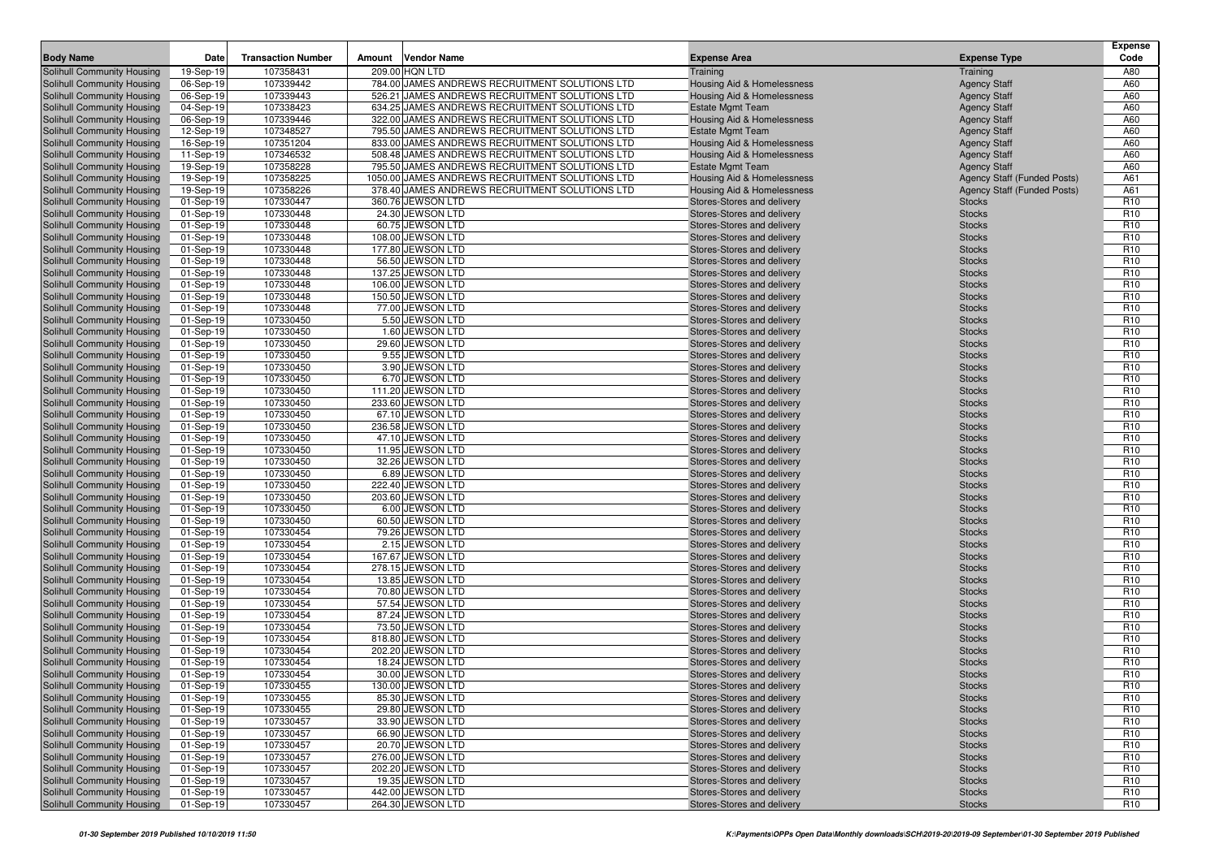|                                                                 |                        | <b>Transaction Number</b> |        | <b>Vendor Name</b>                                               |                                                          |                                            | <b>Expense</b><br>Code             |
|-----------------------------------------------------------------|------------------------|---------------------------|--------|------------------------------------------------------------------|----------------------------------------------------------|--------------------------------------------|------------------------------------|
| <b>Body Name</b>                                                | Date                   |                           | Amount |                                                                  | <b>Expense Area</b>                                      | <b>Expense Type</b>                        |                                    |
| Solihull Community Housing                                      | 19-Sep-19              | 107358431                 |        | 209.00 HQN LTD<br>784.00 JAMES ANDREWS RECRUITMENT SOLUTIONS LTD | Training                                                 | Training                                   | A80                                |
| Solihull Community Housing                                      | 06-Sep-19              | 107339442<br>107339443    |        | 526.21 JAMES ANDREWS RECRUITMENT SOLUTIONS LTD                   | Housing Aid & Homelessness                               | <b>Agency Staff</b>                        | A60<br>A60                         |
| Solihull Community Housing<br>Solihull Community Housing        | 06-Sep-19<br>04-Sep-19 | 107338423                 |        | 634.25 JAMES ANDREWS RECRUITMENT SOLUTIONS LTD                   | Housing Aid & Homelessness<br><b>Estate Mgmt Team</b>    | <b>Agency Staff</b><br><b>Agency Staff</b> | A60                                |
| Solihull Community Housing                                      | 06-Sep-19              | 107339446                 |        | 322.00 JAMES ANDREWS RECRUITMENT SOLUTIONS LTD                   | Housing Aid & Homelessness                               | <b>Agency Staff</b>                        | A60                                |
| Solihull Community Housing                                      | 12-Sep-19              | 107348527                 |        | 795.50 JAMES ANDREWS RECRUITMENT SOLUTIONS LTD                   | <b>Estate Mgmt Team</b>                                  | <b>Agency Staff</b>                        | A60                                |
| Solihull Community Housing                                      | 16-Sep-19              | 107351204                 |        | 833.00 JAMES ANDREWS RECRUITMENT SOLUTIONS LTD                   | Housing Aid & Homelessness                               | <b>Agency Staff</b>                        | A60                                |
| Solihull Community Housing                                      | 11-Sep-19              | 107346532                 |        | 508.48 JAMES ANDREWS RECRUITMENT SOLUTIONS LTD                   | Housing Aid & Homelessness                               | <b>Agency Staff</b>                        | A60                                |
| Solihull Community Housing                                      | 19-Sep-19              | 107358228                 |        | 795.50 JAMES ANDREWS RECRUITMENT SOLUTIONS LTD                   | <b>Estate Mgmt Team</b>                                  | <b>Agency Staff</b>                        | A60                                |
| Solihull Community Housing                                      | 19-Sep-19              | 107358225                 |        | 1050.00 JAMES ANDREWS RECRUITMENT SOLUTIONS LTD                  | Housing Aid & Homelessness                               | <b>Agency Staff (Funded Posts)</b>         | A61                                |
| Solihull Community Housing                                      | 19-Sep-19              | 107358226                 |        | 378.40 JAMES ANDREWS RECRUITMENT SOLUTIONS LTD                   | Housing Aid & Homelessness                               | <b>Agency Staff (Funded Posts)</b>         | A61                                |
| Solihull Community Housing                                      | 01-Sep-19              | 107330447                 |        | 360.76 JEWSON LTD                                                | Stores-Stores and delivery                               | <b>Stocks</b>                              | R <sub>10</sub>                    |
| Solihull Community Housing                                      | 01-Sep-19              | 107330448                 |        | 24.30 JEWSON LTD                                                 | Stores-Stores and delivery                               | <b>Stocks</b>                              | R <sub>10</sub>                    |
| Solihull Community Housing                                      | 01-Sep-19              | 107330448                 |        | 60.75 JEWSON LTD                                                 | Stores-Stores and delivery                               | <b>Stocks</b>                              | R <sub>10</sub>                    |
| Solihull Community Housing                                      | 01-Sep-19              | 107330448                 |        | 108.00 JEWSON LTD                                                | Stores-Stores and delivery                               | <b>Stocks</b>                              | R <sub>10</sub>                    |
| Solihull Community Housing                                      | 01-Sep-19              | 107330448                 |        | 177.80 JEWSON LTD                                                | Stores-Stores and delivery                               | <b>Stocks</b>                              | R <sub>10</sub>                    |
| Solihull Community Housing                                      | 01-Sep-19              | 107330448                 |        | 56.50 JEWSON LTD                                                 | Stores-Stores and delivery                               | <b>Stocks</b>                              | R <sub>10</sub>                    |
| Solihull Community Housing                                      | 01-Sep-19              | 107330448                 |        | 137.25 JEWSON LTD                                                | Stores-Stores and delivery                               | <b>Stocks</b>                              | R <sub>10</sub>                    |
| Solihull Community Housing                                      | 01-Sep-19              | 107330448                 |        | 106.00 JEWSON LTD                                                | Stores-Stores and delivery                               | <b>Stocks</b>                              | R <sub>10</sub>                    |
| Solihull Community Housing                                      | 01-Sep-19              | 107330448                 |        | 150.50 JEWSON LTD                                                | Stores-Stores and delivery                               | <b>Stocks</b>                              | R <sub>10</sub>                    |
| Solihull Community Housing                                      | 01-Sep-19              | 107330448                 |        | 77.00 JEWSON LTD                                                 | Stores-Stores and delivery                               | <b>Stocks</b>                              | R <sub>10</sub>                    |
| Solihull Community Housing                                      | 01-Sep-19              | 107330450                 |        | 5.50 JEWSON LTD                                                  | Stores-Stores and delivery                               | <b>Stocks</b>                              | R <sub>10</sub>                    |
| Solihull Community Housing                                      | 01-Sep-19              | 107330450                 |        | 1.60 JEWSON LTD                                                  | Stores-Stores and delivery                               | <b>Stocks</b>                              | R <sub>10</sub>                    |
| Solihull Community Housing                                      | 01-Sep-19              | 107330450                 |        | 29.60 JEWSON LTD                                                 | Stores-Stores and delivery                               | <b>Stocks</b>                              | R <sub>10</sub>                    |
| Solihull Community Housing                                      | 01-Sep-19              | 107330450                 |        | 9.55 JEWSON LTD                                                  | Stores-Stores and delivery                               | <b>Stocks</b>                              | R <sub>10</sub>                    |
| Solihull Community Housing<br>Solihull Community Housing        | 01-Sep-19              | 107330450                 |        | 3.90 JEWSON LTD                                                  | Stores-Stores and delivery<br>Stores-Stores and delivery | <b>Stocks</b>                              | R <sub>10</sub>                    |
|                                                                 | 01-Sep-19              | 107330450<br>107330450    |        | 6.70 JEWSON LTD                                                  |                                                          | <b>Stocks</b><br><b>Stocks</b>             | R <sub>10</sub><br>R <sub>10</sub> |
| Solihull Community Housing<br>Solihull Community Housing        | 01-Sep-19<br>01-Sep-19 | 107330450                 |        | 111.20 JEWSON LTD<br>233.60 JEWSON LTD                           | Stores-Stores and delivery<br>Stores-Stores and delivery | <b>Stocks</b>                              | R <sub>10</sub>                    |
| Solihull Community Housing                                      | 01-Sep-19              | 107330450                 |        | 67.10 JEWSON LTD                                                 | Stores-Stores and delivery                               | <b>Stocks</b>                              | R <sub>10</sub>                    |
| Solihull Community Housing                                      | 01-Sep-19              | 107330450                 |        | 236.58 JEWSON LTD                                                | Stores-Stores and delivery                               | <b>Stocks</b>                              | R <sub>10</sub>                    |
| Solihull Community Housing                                      | 01-Sep-19              | 107330450                 |        | 47.10 JEWSON LTD                                                 | Stores-Stores and delivery                               | <b>Stocks</b>                              | R <sub>10</sub>                    |
| Solihull Community Housing                                      | 01-Sep-19              | 107330450                 |        | 11.95 JEWSON LTD                                                 | Stores-Stores and delivery                               | <b>Stocks</b>                              | R <sub>10</sub>                    |
| Solihull Community Housing                                      | 01-Sep-19              | 107330450                 |        | 32.26 JEWSON LTD                                                 | Stores-Stores and delivery                               | <b>Stocks</b>                              | R <sub>10</sub>                    |
| Solihull Community Housing                                      | 01-Sep-19              | 107330450                 |        | 6.89 JEWSON LTD                                                  | Stores-Stores and delivery                               | <b>Stocks</b>                              | R <sub>10</sub>                    |
| Solihull Community Housing                                      | 01-Sep-19              | 107330450                 |        | 222.40 JEWSON LTD                                                | Stores-Stores and delivery                               | <b>Stocks</b>                              | R <sub>10</sub>                    |
| Solihull Community Housing                                      | 01-Sep-19              | 107330450                 |        | 203.60 JEWSON LTD                                                | Stores-Stores and delivery                               | <b>Stocks</b>                              | R <sub>10</sub>                    |
| Solihull Community Housing                                      | 01-Sep-19              | 107330450                 |        | 6.00 JEWSON LTD                                                  | Stores-Stores and delivery                               | <b>Stocks</b>                              | R <sub>10</sub>                    |
| Solihull Community Housing                                      | 01-Sep-19              | 107330450                 |        | 60.50 JEWSON LTD                                                 | Stores-Stores and delivery                               | <b>Stocks</b>                              | R <sub>10</sub>                    |
| Solihull Community Housing                                      | 01-Sep-19              | 107330454                 |        | 79.26 JEWSON LTD                                                 | Stores-Stores and delivery                               | <b>Stocks</b>                              | R <sub>10</sub>                    |
| Solihull Community Housing                                      | 01-Sep-19              | 107330454                 |        | 2.15 JEWSON LTD                                                  | Stores-Stores and delivery                               | <b>Stocks</b>                              | R <sub>10</sub>                    |
| Solihull Community Housing                                      | 01-Sep-19              | 107330454                 |        | 167.67 JEWSON LTD                                                | Stores-Stores and delivery                               | <b>Stocks</b>                              | R <sub>10</sub>                    |
| Solihull Community Housing                                      | 01-Sep-19              | 107330454                 |        | 278.15 JEWSON LTD                                                | Stores-Stores and delivery                               | <b>Stocks</b>                              | R <sub>10</sub>                    |
| Solihull Community Housing                                      | 01-Sep-19              | 107330454                 |        | 13.85 JEWSON LTD                                                 | Stores-Stores and delivery                               | <b>Stocks</b>                              | R <sub>10</sub>                    |
| Solihull Community Housing                                      | 01-Sep-19              | 107330454                 |        | 70.80 JEWSON LTD                                                 | Stores-Stores and delivery                               | <b>Stocks</b>                              | R <sub>10</sub>                    |
| Solihull Community Housing                                      | 01-Sep-19              | 107330454                 |        | 57.54 JEWSON LTD                                                 | Stores-Stores and delivery                               | <b>Stocks</b>                              | R <sub>10</sub>                    |
| Solihull Community Housing                                      | 01-Sep-19              | 107330454                 |        | 87.24 JEWSON LTD                                                 | Stores-Stores and delivery                               | <b>Stocks</b>                              | R <sub>10</sub>                    |
| Solihull Community Housing                                      | 01-Sep-19              | 107330454                 |        | 73.50 JEWSON LTD                                                 | Stores-Stores and delivery                               | <b>Stocks</b>                              | R <sub>10</sub>                    |
| Solihull Community Housing<br><b>Solihull Community Housing</b> | 01-Sep-19              | 107330454<br>107330454    |        | 818.80 JEWSON LTD<br>202.20 JEWSON LTD                           | Stores-Stores and delivery                               | <b>Stocks</b><br><b>Stocks</b>             | R <sub>10</sub><br>R <sub>10</sub> |
| Solihull Community Housing                                      | 01-Sep-19<br>01-Sep-19 | 107330454                 |        | 18.24 JEWSON LTD                                                 | Stores-Stores and delivery<br>Stores-Stores and delivery | <b>Stocks</b>                              | R <sub>10</sub>                    |
| Solihull Community Housing                                      | 01-Sep-19              | 107330454                 |        | 30.00 JEWSON LTD                                                 | Stores-Stores and delivery                               | <b>Stocks</b>                              | R <sub>10</sub>                    |
| Solihull Community Housing                                      | 01-Sep-19              | 107330455                 |        | 130.00 JEWSON LTD                                                | Stores-Stores and delivery                               | <b>Stocks</b>                              | R <sub>10</sub>                    |
| Solihull Community Housing                                      | 01-Sep-19              | 107330455                 |        | 85.30 JEWSON LTD                                                 | Stores-Stores and delivery                               | <b>Stocks</b>                              | R <sub>10</sub>                    |
| Solihull Community Housing                                      | 01-Sep-19              | 107330455                 |        | 29.80 JEWSON LTD                                                 | Stores-Stores and delivery                               | <b>Stocks</b>                              | R <sub>10</sub>                    |
| Solihull Community Housing                                      | 01-Sep-19              | 107330457                 |        | 33.90 JEWSON LTD                                                 | Stores-Stores and delivery                               | <b>Stocks</b>                              | R <sub>10</sub>                    |
| Solihull Community Housing                                      | 01-Sep-19              | 107330457                 |        | 66.90 JEWSON LTD                                                 | Stores-Stores and delivery                               | <b>Stocks</b>                              | R <sub>10</sub>                    |
| Solihull Community Housing                                      | 01-Sep-19              | 107330457                 |        | 20.70 JEWSON LTD                                                 | Stores-Stores and delivery                               | <b>Stocks</b>                              | R <sub>10</sub>                    |
| Solihull Community Housing                                      | 01-Sep-19              | 107330457                 |        | 276.00 JEWSON LTD                                                | Stores-Stores and delivery                               | <b>Stocks</b>                              | R <sub>10</sub>                    |
| Solihull Community Housing                                      | 01-Sep-19              | 107330457                 |        | 202.20 JEWSON LTD                                                | Stores-Stores and delivery                               | <b>Stocks</b>                              | R <sub>10</sub>                    |
| Solihull Community Housing                                      | 01-Sep-19              | 107330457                 |        | 19.35 JEWSON LTD                                                 | Stores-Stores and delivery                               | <b>Stocks</b>                              | R <sub>10</sub>                    |
| Solihull Community Housing                                      | 01-Sep-19              | 107330457                 |        | 442.00 JEWSON LTD                                                | Stores-Stores and delivery                               | <b>Stocks</b>                              | R <sub>10</sub>                    |
| Solihull Community Housing                                      | 01-Sep-19              | 107330457                 |        | 264.30 JEWSON LTD                                                | Stores-Stores and delivery                               | <b>Stocks</b>                              | R <sub>10</sub>                    |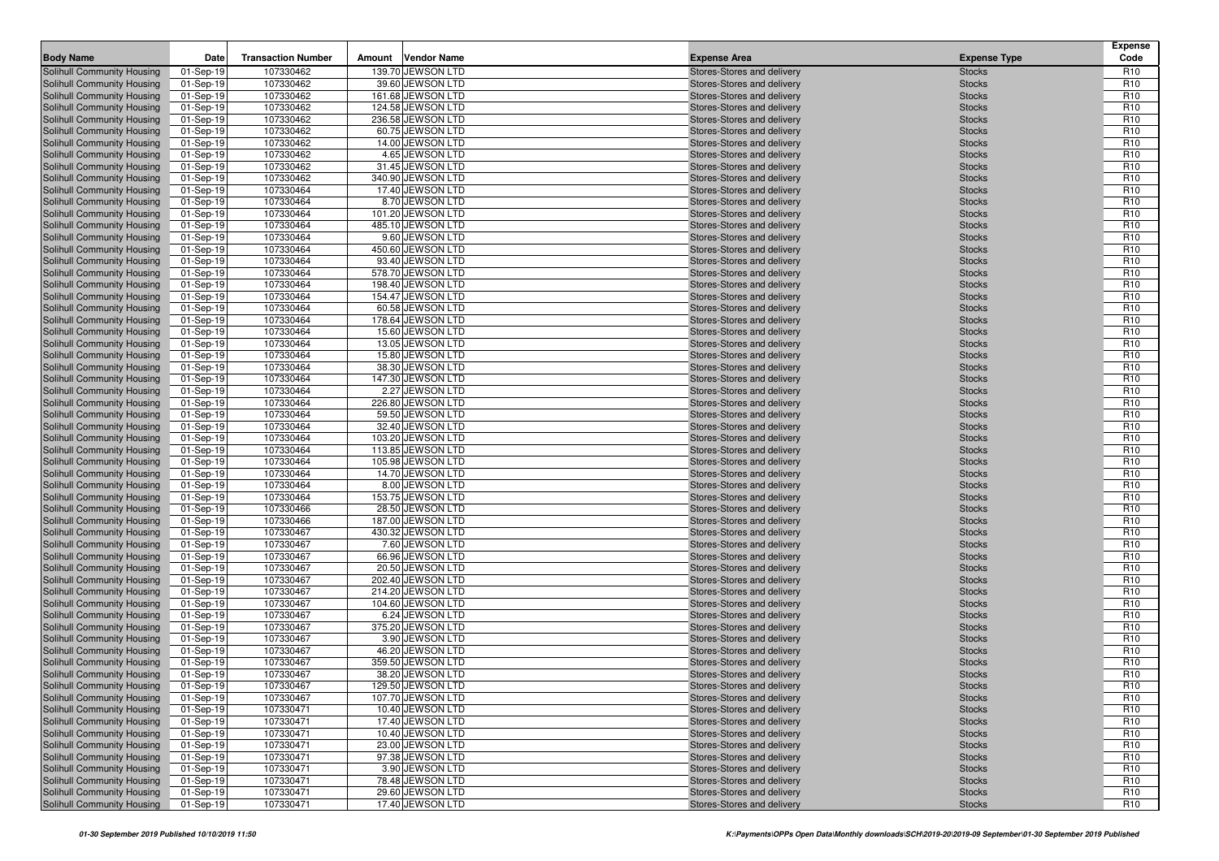| <b>Body Name</b>                                         | Date                   | <b>Transaction Number</b> | Amount | <b>Vendor Name</b>                     | <b>Expense Area</b>                                      | <b>Expense Type</b>            | <b>Expense</b><br>Code             |
|----------------------------------------------------------|------------------------|---------------------------|--------|----------------------------------------|----------------------------------------------------------|--------------------------------|------------------------------------|
| Solihull Community Housing                               | 01-Sep-19              | 107330462                 |        | 139.70 JEWSON LTD                      | Stores-Stores and delivery                               | <b>Stocks</b>                  | R <sub>10</sub>                    |
| Solihull Community Housing                               | 01-Sep-19              | 107330462                 |        | 39.60 JEWSON LTD                       | Stores-Stores and delivery                               | <b>Stocks</b>                  | R <sub>10</sub>                    |
| Solihull Community Housing                               | 01-Sep-19              | 107330462                 |        | 161.68 JEWSON LTD                      | Stores-Stores and delivery                               | <b>Stocks</b>                  | R <sub>10</sub>                    |
| Solihull Community Housing                               | 01-Sep-19              | 107330462                 |        | 124.58 JEWSON LTD                      | Stores-Stores and delivery                               | <b>Stocks</b>                  | R <sub>10</sub>                    |
| Solihull Community Housing                               | 01-Sep-19              | 107330462                 |        | 236.58 JEWSON LTD                      | Stores-Stores and delivery                               | <b>Stocks</b>                  | R <sub>10</sub>                    |
| Solihull Community Housing                               | 01-Sep-19              | 107330462                 |        | 60.75 JEWSON LTD                       | Stores-Stores and delivery                               | <b>Stocks</b>                  | R <sub>10</sub>                    |
| Solihull Community Housing                               | 01-Sep-19              | 107330462                 |        | 14.00 JEWSON LTD                       | Stores-Stores and delivery                               | <b>Stocks</b>                  | R <sub>10</sub>                    |
| Solihull Community Housing                               | 01-Sep-19              | 107330462                 |        | 4.65 JEWSON LTD                        | Stores-Stores and delivery                               | <b>Stocks</b>                  | R <sub>10</sub>                    |
| Solihull Community Housing                               | 01-Sep-19              | 107330462                 |        | 31.45 JEWSON LTD                       | Stores-Stores and delivery                               | <b>Stocks</b>                  | R <sub>10</sub>                    |
| Solihull Community Housing                               | 01-Sep-19              | 107330462                 |        | 340.90 JEWSON LTD                      | Stores-Stores and delivery                               | <b>Stocks</b>                  | R <sub>10</sub>                    |
| Solihull Community Housing                               | 01-Sep-19              | 107330464                 |        | 17.40 JEWSON LTD                       | Stores-Stores and delivery                               | <b>Stocks</b>                  | R <sub>10</sub>                    |
| Solihull Community Housing                               | 01-Sep-19              | 107330464                 |        | 8.70 JEWSON LTD                        | Stores-Stores and delivery                               | <b>Stocks</b>                  | R <sub>10</sub>                    |
| Solihull Community Housing                               | 01-Sep-19              | 107330464                 |        | 101.20 JEWSON LTD                      | Stores-Stores and delivery                               | <b>Stocks</b>                  | R <sub>10</sub>                    |
| Solihull Community Housing                               | 01-Sep-19              | 107330464                 |        | 485.10 JEWSON LTD                      | Stores-Stores and delivery                               | <b>Stocks</b>                  | R <sub>10</sub>                    |
| Solihull Community Housing                               | 01-Sep-19              | 107330464                 |        | 9.60 JEWSON LTD                        | Stores-Stores and delivery                               | <b>Stocks</b>                  | R <sub>10</sub>                    |
| Solihull Community Housing                               | 01-Sep-19              | 107330464                 |        | 450.60 JEWSON LTD                      | Stores-Stores and delivery                               | <b>Stocks</b>                  | R <sub>10</sub>                    |
| Solihull Community Housing                               | 01-Sep-19              | 107330464<br>107330464    |        | 93.40 JEWSON LTD<br>578.70 JEWSON LTD  | Stores-Stores and delivery                               | <b>Stocks</b>                  | R <sub>10</sub><br>R <sub>10</sub> |
| Solihull Community Housing<br>Solihull Community Housing | 01-Sep-19              | 107330464                 |        | 198.40 JEWSON LTD                      | Stores-Stores and delivery<br>Stores-Stores and delivery | <b>Stocks</b><br><b>Stocks</b> | R <sub>10</sub>                    |
| Solihull Community Housing                               | 01-Sep-19<br>01-Sep-19 | 107330464                 |        | 154.47 JEWSON LTD                      | Stores-Stores and delivery                               | <b>Stocks</b>                  | R <sub>10</sub>                    |
| Solihull Community Housing                               | 01-Sep-19              | 107330464                 |        | 60.58 JEWSON LTD                       | Stores-Stores and delivery                               | <b>Stocks</b>                  | R <sub>10</sub>                    |
| Solihull Community Housing                               | 01-Sep-19              | 107330464                 |        | 178.64 JEWSON LTD                      | Stores-Stores and delivery                               | <b>Stocks</b>                  | R <sub>10</sub>                    |
| Solihull Community Housing                               | 01-Sep-19              | 107330464                 |        | 15.60 JEWSON LTD                       | Stores-Stores and delivery                               | <b>Stocks</b>                  | R <sub>10</sub>                    |
| Solihull Community Housing                               | 01-Sep-19              | 107330464                 |        | 13.05 JEWSON LTD                       | Stores-Stores and delivery                               | <b>Stocks</b>                  | R <sub>10</sub>                    |
| Solihull Community Housing                               | 01-Sep-19              | 107330464                 |        | 15.80 JEWSON LTD                       | Stores-Stores and delivery                               | <b>Stocks</b>                  | R <sub>10</sub>                    |
| Solihull Community Housing                               | 01-Sep-19              | 107330464                 |        | 38.30 JEWSON LTD                       | Stores-Stores and delivery                               | <b>Stocks</b>                  | R <sub>10</sub>                    |
| Solihull Community Housing                               | 01-Sep-19              | 107330464                 |        | 147.30 JEWSON LTD                      | Stores-Stores and delivery                               | <b>Stocks</b>                  | R <sub>10</sub>                    |
| Solihull Community Housing                               | 01-Sep-19              | 107330464                 |        | 2.27 JEWSON LTD                        | Stores-Stores and delivery                               | <b>Stocks</b>                  | R <sub>10</sub>                    |
| Solihull Community Housing                               | 01-Sep-19              | 107330464                 |        | 226.80 JEWSON LTD                      | Stores-Stores and delivery                               | <b>Stocks</b>                  | R <sub>10</sub>                    |
| Solihull Community Housing                               | 01-Sep-19              | 107330464                 |        | 59.50 JEWSON LTD                       | Stores-Stores and delivery                               | <b>Stocks</b>                  | R <sub>10</sub>                    |
| Solihull Community Housing                               | 01-Sep-19              | 107330464                 |        | 32.40 JEWSON LTD                       | Stores-Stores and delivery                               | <b>Stocks</b>                  | R <sub>10</sub>                    |
| Solihull Community Housing                               | 01-Sep-19              | 107330464                 |        | 103.20 JEWSON LTD                      | Stores-Stores and delivery                               | <b>Stocks</b>                  | R <sub>10</sub>                    |
| Solihull Community Housing                               | 01-Sep-19              | 107330464                 |        | 113.85 JEWSON LTD                      | Stores-Stores and delivery                               | <b>Stocks</b>                  | R <sub>10</sub>                    |
| Solihull Community Housing                               | 01-Sep-19              | 107330464                 |        | 105.98 JEWSON LTD                      | Stores-Stores and delivery                               | <b>Stocks</b>                  | R <sub>10</sub>                    |
| Solihull Community Housing                               | 01-Sep-19              | 107330464                 |        | 14.70 JEWSON LTD                       | Stores-Stores and delivery                               | <b>Stocks</b>                  | R <sub>10</sub>                    |
| Solihull Community Housing                               | 01-Sep-19              | 107330464                 |        | 8.00 JEWSON LTD                        | Stores-Stores and delivery                               | <b>Stocks</b>                  | R <sub>10</sub>                    |
| Solihull Community Housing                               | 01-Sep-19              | 107330464                 |        | 153.75 JEWSON LTD                      | Stores-Stores and delivery                               | <b>Stocks</b>                  | R <sub>10</sub>                    |
| Solihull Community Housing                               | 01-Sep-19              | 107330466                 |        | 28.50 JEWSON LTD                       | Stores-Stores and delivery                               | <b>Stocks</b>                  | R <sub>10</sub>                    |
| Solihull Community Housing                               | 01-Sep-19              | 107330466                 |        | 187.00 JEWSON LTD                      | Stores-Stores and delivery                               | <b>Stocks</b>                  | R <sub>10</sub>                    |
| Solihull Community Housing                               | 01-Sep-19              | 107330467                 |        | 430.32 JEWSON LTD                      | Stores-Stores and delivery                               | <b>Stocks</b>                  | R <sub>10</sub>                    |
| Solihull Community Housing                               | 01-Sep-19              | 107330467                 |        | 7.60 JEWSON LTD                        | Stores-Stores and delivery                               | <b>Stocks</b>                  | R <sub>10</sub>                    |
| Solihull Community Housing                               | 01-Sep-19              | 107330467                 |        | 66.96 JEWSON LTD                       | Stores-Stores and delivery                               | <b>Stocks</b>                  | R <sub>10</sub><br>R <sub>10</sub> |
| Solihull Community Housing                               | 01-Sep-19              | 107330467                 |        | 20.50 JEWSON LTD                       | Stores-Stores and delivery                               | <b>Stocks</b>                  | R <sub>10</sub>                    |
| Solihull Community Housing<br>Solihull Community Housing | 01-Sep-19<br>01-Sep-19 | 107330467<br>107330467    |        | 202.40 JEWSON LTD<br>214.20 JEWSON LTD | Stores-Stores and delivery<br>Stores-Stores and delivery | <b>Stocks</b><br><b>Stocks</b> | R <sub>10</sub>                    |
| Solihull Community Housing                               | 01-Sep-19              | 107330467                 |        | 104.60 JEWSON LTD                      | Stores-Stores and delivery                               | <b>Stocks</b>                  | R <sub>10</sub>                    |
| Solihull Community Housing                               | 01-Sep-19              | 107330467                 |        | 6.24 JEWSON LTD                        | Stores-Stores and delivery                               | <b>Stocks</b>                  | R <sub>10</sub>                    |
| Solihull Community Housing                               | 01-Sep-19              | 107330467                 |        | 375.20 JEWSON LTD                      | Stores-Stores and delivery                               | <b>Stocks</b>                  | R <sub>10</sub>                    |
| Solihull Community Housing                               | 01-Sep-19              | 107330467                 |        | 3.90 JEWSON LTD                        | Stores-Stores and delivery                               | <b>Stocks</b>                  | R <sub>10</sub>                    |
| Solihull Community Housing                               | 01-Sep-19              | 107330467                 |        | 46.20 JEWSON LTD                       | Stores-Stores and delivery                               | <b>Stocks</b>                  | R <sub>10</sub>                    |
| Solihull Community Housing                               | 01-Sep-19              | 107330467                 |        | 359.50 JEWSON LTD                      | Stores-Stores and delivery                               | <b>Stocks</b>                  | R <sub>10</sub>                    |
| <b>Solihull Community Housing</b>                        | 01-Sep-19              | 107330467                 |        | 38.20 JEWSON LTD                       | Stores-Stores and delivery                               | <b>Stocks</b>                  | R <sub>10</sub>                    |
| Solihull Community Housing                               | 01-Sep-19              | 107330467                 |        | 129.50 JEWSON LTD                      | Stores-Stores and delivery                               | <b>Stocks</b>                  | R <sub>10</sub>                    |
| Solihull Community Housing                               | 01-Sep-19              | 107330467                 |        | 107.70 JEWSON LTD                      | Stores-Stores and delivery                               | <b>Stocks</b>                  | R <sub>10</sub>                    |
| Solihull Community Housing                               | 01-Sep-19              | 107330471                 |        | 10.40 JEWSON LTD                       | Stores-Stores and delivery                               | <b>Stocks</b>                  | R <sub>10</sub>                    |
| Solihull Community Housing                               | 01-Sep-19              | 107330471                 |        | 17.40 JEWSON LTD                       | Stores-Stores and delivery                               | <b>Stocks</b>                  | R <sub>10</sub>                    |
| Solihull Community Housing                               | 01-Sep-19              | 107330471                 |        | 10.40 JEWSON LTD                       | Stores-Stores and delivery                               | <b>Stocks</b>                  | R <sub>10</sub>                    |
| Solihull Community Housing                               | 01-Sep-19              | 107330471                 |        | 23.00 JEWSON LTD                       | Stores-Stores and delivery                               | <b>Stocks</b>                  | R <sub>10</sub>                    |
| Solihull Community Housing                               | 01-Sep-19              | 107330471                 |        | 97.38 JEWSON LTD                       | Stores-Stores and delivery                               | <b>Stocks</b>                  | R <sub>10</sub>                    |
| Solihull Community Housing                               | 01-Sep-19              | 107330471                 |        | 3.90 JEWSON LTD                        | Stores-Stores and delivery                               | <b>Stocks</b>                  | R <sub>10</sub>                    |
| Solihull Community Housing                               | 01-Sep-19              | 107330471                 |        | 78.48 JEWSON LTD                       | Stores-Stores and delivery                               | <b>Stocks</b>                  | R <sub>10</sub>                    |
| Solihull Community Housing                               | 01-Sep-19              | 107330471                 |        | 29.60 JEWSON LTD                       | Stores-Stores and delivery                               | <b>Stocks</b>                  | R <sub>10</sub>                    |
| Solihull Community Housing                               | 01-Sep-19              | 107330471                 |        | 17.40 JEWSON LTD                       | Stores-Stores and delivery                               | <b>Stocks</b>                  | R <sub>10</sub>                    |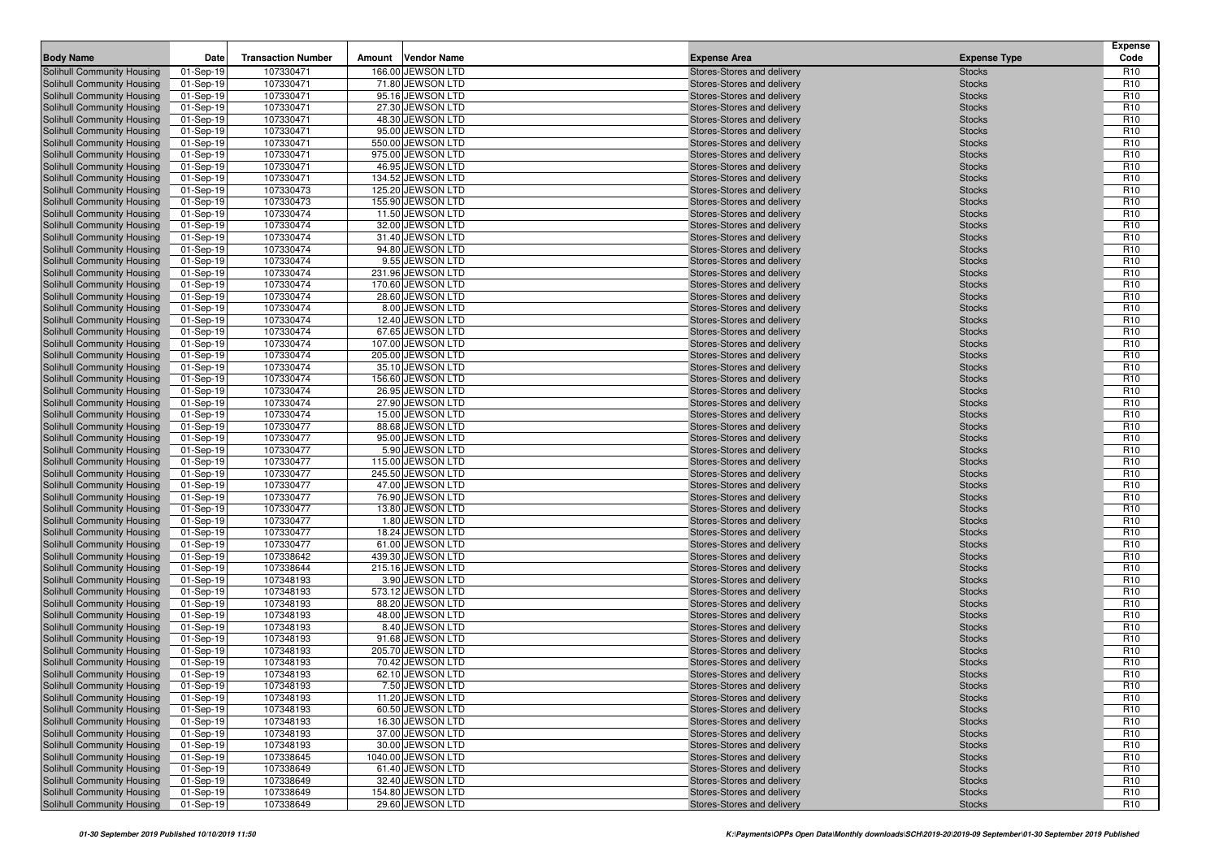| <b>Body Name</b><br><b>Transaction Number</b><br><b>Vendor Name</b><br>Amount<br><b>Expense Type</b><br>107330471<br>166.00 JEWSON LTD<br>Stores-Stores and delivery<br>Solihull Community Housing<br>01-Sep-19<br><b>Stocks</b><br>107330471<br>71.80 JEWSON LTD<br>Solihull Community Housing<br>01-Sep-19<br>Stores-Stores and delivery<br><b>Stocks</b><br>107330471<br>Solihull Community Housing<br>01-Sep-19<br>95.16 JEWSON LTD<br>Stores-Stores and delivery<br><b>Stocks</b><br>107330471<br>27.30 JEWSON LTD<br>Solihull Community Housing<br>01-Sep-19<br>Stores-Stores and delivery<br><b>Stocks</b><br>107330471<br>Solihull Community Housing<br>48.30 JEWSON LTD<br><b>Stocks</b><br>01-Sep-19<br>Stores-Stores and delivery<br>107330471<br>95.00 JEWSON LTD<br>Solihull Community Housing<br>01-Sep-19<br>Stores-Stores and delivery<br><b>Stocks</b><br>107330471<br>550.00 JEWSON LTD<br>Solihull Community Housing<br>01-Sep-19<br>Stores-Stores and delivery<br><b>Stocks</b><br>107330471<br>975.00 JEWSON LTD<br>Solihull Community Housing<br>01-Sep-19<br>Stores-Stores and delivery<br><b>Stocks</b><br>107330471<br>46.95 JEWSON LTD<br>01-Sep-19<br>Stores-Stores and delivery<br><b>Stocks</b><br>Solihull Community Housing<br>134.52 JEWSON LTD<br>Solihull Community Housing<br>01-Sep-19<br>107330471<br>Stores-Stores and delivery<br><b>Stocks</b><br>107330473<br>125.20 JEWSON LTD<br>Solihull Community Housing<br>01-Sep-19<br>Stores-Stores and delivery<br><b>Stocks</b><br>107330473<br>155.90 JEWSON LTD<br>Solihull Community Housing<br>01-Sep-19<br>Stores-Stores and delivery<br><b>Stocks</b><br>107330474<br>11.50 JEWSON LTD<br>Solihull Community Housing<br>01-Sep-19<br>Stores-Stores and delivery<br><b>Stocks</b><br>107330474<br>Solihull Community Housing<br>01-Sep-19<br>32.00 JEWSON LTD<br>Stores-Stores and delivery<br><b>Stocks</b><br>107330474<br>31.40 JEWSON LTD<br>Solihull Community Housing<br>01-Sep-19<br>Stores-Stores and delivery<br><b>Stocks</b><br>107330474<br>94.80 JEWSON LTD<br>Solihull Community Housing<br>01-Sep-19<br>Stores-Stores and delivery<br><b>Stocks</b><br>Solihull Community Housing<br>01-Sep-19<br>107330474<br>9.55 JEWSON LTD<br>Stores-Stores and delivery<br><b>Stocks</b><br>107330474<br>Solihull Community Housing<br>231.96 JEWSON LTD<br>Stores-Stores and delivery<br><b>Stocks</b><br>01-Sep-19<br>107330474<br>170.60 JEWSON LTD<br>Solihull Community Housing<br>01-Sep-19<br>Stores-Stores and delivery<br><b>Stocks</b><br>107330474<br>28.60 JEWSON LTD<br>Solihull Community Housing<br>01-Sep-19<br>Stores-Stores and delivery<br><b>Stocks</b><br>8.00 JEWSON LTD<br>Solihull Community Housing<br>01-Sep-19<br>107330474<br>Stores-Stores and delivery<br><b>Stocks</b><br>Solihull Community Housing<br>01-Sep-19<br>107330474<br>12.40 JEWSON LTD<br>Stores-Stores and delivery<br><b>Stocks</b><br>107330474<br>67.65 JEWSON LTD<br>Solihull Community Housing<br>01-Sep-19<br>Stores-Stores and delivery<br><b>Stocks</b><br>Solihull Community Housing<br>107330474<br>107.00 JEWSON LTD<br>01-Sep-19<br>Stores-Stores and delivery<br><b>Stocks</b><br>107330474<br>205.00 JEWSON LTD<br>Solihull Community Housing<br>01-Sep-19<br>Stores-Stores and delivery<br><b>Stocks</b><br>Solihull Community Housing<br>01-Sep-19<br>107330474<br>35.10 JEWSON LTD<br>Stores-Stores and delivery<br><b>Stocks</b><br>107330474<br>156.60 JEWSON LTD<br>Solihull Community Housing<br>01-Sep-19<br>Stores-Stores and delivery<br><b>Stocks</b><br>107330474<br>26.95 JEWSON LTD<br>Solihull Community Housing<br>01-Sep-19<br>Stores-Stores and delivery<br><b>Stocks</b><br>107330474<br>27.90 JEWSON LTD<br>Solihull Community Housing<br>01-Sep-19<br>Stores-Stores and delivery<br><b>Stocks</b><br>107330474<br>15.00 JEWSON LTD<br>Solihull Community Housing<br>01-Sep-19<br><b>Stocks</b><br>Stores-Stores and delivery<br>107330477<br>88.68 JEWSON LTD<br>Solihull Community Housing<br>01-Sep-19<br>Stores-Stores and delivery<br><b>Stocks</b><br>107330477<br>Solihull Community Housing<br>01-Sep-19<br>95.00 JEWSON LTD<br>Stores-Stores and delivery<br><b>Stocks</b><br>5.90 JEWSON LTD<br>Solihull Community Housing<br>01-Sep-19<br>107330477<br>Stores-Stores and delivery<br><b>Stocks</b><br>107330477<br>115.00 JEWSON LTD<br>01-Sep-19<br>Stores-Stores and delivery<br><b>Stocks</b><br>Solihull Community Housing<br>107330477<br>245.50 JEWSON LTD<br>Solihull Community Housing<br>01-Sep-19<br>Stores-Stores and delivery<br><b>Stocks</b><br>107330477<br>47.00 JEWSON LTD<br>Solihull Community Housing<br>Stores-Stores and delivery<br><b>Stocks</b><br>01-Sep-19<br>107330477<br>76.90 JEWSON LTD<br>Solihull Community Housing<br>01-Sep-19<br>Stores-Stores and delivery<br><b>Stocks</b><br>107330477<br>13.80 JEWSON LTD<br>Solihull Community Housing<br>01-Sep-19<br>Stores-Stores and delivery<br><b>Stocks</b><br>Solihull Community Housing<br>107330477<br>1.80 JEWSON LTD<br><b>Stocks</b><br>01-Sep-19<br>Stores-Stores and delivery<br>107330477<br>18.24 JEWSON LTD<br>Solihull Community Housing<br>01-Sep-19<br>Stores-Stores and delivery<br><b>Stocks</b><br>107330477<br>61.00 JEWSON LTD<br>Solihull Community Housing<br>01-Sep-19<br>Stores-Stores and delivery<br><b>Stocks</b><br>107338642<br>439.30 JEWSON LTD<br>Solihull Community Housing<br>01-Sep-19<br>Stores-Stores and delivery<br><b>Stocks</b><br>107338644<br>Solihull Community Housing<br>215.16 JEWSON LTD<br>Stores-Stores and delivery<br><b>Stocks</b><br>01-Sep-19<br>107348193<br>3.90 JEWSON LTD<br>Solihull Community Housing<br>01-Sep-19<br>Stores-Stores and delivery<br><b>Stocks</b> | <b>Expense</b><br>Code             |
|----------------------------------------------------------------------------------------------------------------------------------------------------------------------------------------------------------------------------------------------------------------------------------------------------------------------------------------------------------------------------------------------------------------------------------------------------------------------------------------------------------------------------------------------------------------------------------------------------------------------------------------------------------------------------------------------------------------------------------------------------------------------------------------------------------------------------------------------------------------------------------------------------------------------------------------------------------------------------------------------------------------------------------------------------------------------------------------------------------------------------------------------------------------------------------------------------------------------------------------------------------------------------------------------------------------------------------------------------------------------------------------------------------------------------------------------------------------------------------------------------------------------------------------------------------------------------------------------------------------------------------------------------------------------------------------------------------------------------------------------------------------------------------------------------------------------------------------------------------------------------------------------------------------------------------------------------------------------------------------------------------------------------------------------------------------------------------------------------------------------------------------------------------------------------------------------------------------------------------------------------------------------------------------------------------------------------------------------------------------------------------------------------------------------------------------------------------------------------------------------------------------------------------------------------------------------------------------------------------------------------------------------------------------------------------------------------------------------------------------------------------------------------------------------------------------------------------------------------------------------------------------------------------------------------------------------------------------------------------------------------------------------------------------------------------------------------------------------------------------------------------------------------------------------------------------------------------------------------------------------------------------------------------------------------------------------------------------------------------------------------------------------------------------------------------------------------------------------------------------------------------------------------------------------------------------------------------------------------------------------------------------------------------------------------------------------------------------------------------------------------------------------------------------------------------------------------------------------------------------------------------------------------------------------------------------------------------------------------------------------------------------------------------------------------------------------------------------------------------------------------------------------------------------------------------------------------------------------------------------------------------------------------------------------------------------------------------------------------------------------------------------------------------------------------------------------------------------------------------------------------------------------------------------------------------------------------------------------------------------------------------------------------------------------------------------------------------------------------------------------------------------------------------------------------------------------------------------------------------------------------------------------------------------------------------------------------------------------------------------------------------------------------------------------------------------------------------------------------------------------------------------------------------------------------------------------------------------------------------------------------------------------------------------------------------------------------------------------------------------------------------------------------------------------------------------------------------------------------------------------------------------------------------------------------------------------------------------------------------------------------------------------------------------------------------------------------------------------------------------------------|------------------------------------|
|                                                                                                                                                                                                                                                                                                                                                                                                                                                                                                                                                                                                                                                                                                                                                                                                                                                                                                                                                                                                                                                                                                                                                                                                                                                                                                                                                                                                                                                                                                                                                                                                                                                                                                                                                                                                                                                                                                                                                                                                                                                                                                                                                                                                                                                                                                                                                                                                                                                                                                                                                                                                                                                                                                                                                                                                                                                                                                                                                                                                                                                                                                                                                                                                                                                                                                                                                                                                                                                                                                                                                                                                                                                                                                                                                                                                                                                                                                                                                                                                                                                                                                                                                                                                                                                                                                                                                                                                                                                                                                                                                                                                                                                                                                                                                                                                                                                                                                                                                                                                                                                                                                                                                                                                                                                                                                                                                                                                                                                                                                                                                                                                                                                                                                                                                    | R <sub>10</sub>                    |
|                                                                                                                                                                                                                                                                                                                                                                                                                                                                                                                                                                                                                                                                                                                                                                                                                                                                                                                                                                                                                                                                                                                                                                                                                                                                                                                                                                                                                                                                                                                                                                                                                                                                                                                                                                                                                                                                                                                                                                                                                                                                                                                                                                                                                                                                                                                                                                                                                                                                                                                                                                                                                                                                                                                                                                                                                                                                                                                                                                                                                                                                                                                                                                                                                                                                                                                                                                                                                                                                                                                                                                                                                                                                                                                                                                                                                                                                                                                                                                                                                                                                                                                                                                                                                                                                                                                                                                                                                                                                                                                                                                                                                                                                                                                                                                                                                                                                                                                                                                                                                                                                                                                                                                                                                                                                                                                                                                                                                                                                                                                                                                                                                                                                                                                                                    | R <sub>10</sub>                    |
|                                                                                                                                                                                                                                                                                                                                                                                                                                                                                                                                                                                                                                                                                                                                                                                                                                                                                                                                                                                                                                                                                                                                                                                                                                                                                                                                                                                                                                                                                                                                                                                                                                                                                                                                                                                                                                                                                                                                                                                                                                                                                                                                                                                                                                                                                                                                                                                                                                                                                                                                                                                                                                                                                                                                                                                                                                                                                                                                                                                                                                                                                                                                                                                                                                                                                                                                                                                                                                                                                                                                                                                                                                                                                                                                                                                                                                                                                                                                                                                                                                                                                                                                                                                                                                                                                                                                                                                                                                                                                                                                                                                                                                                                                                                                                                                                                                                                                                                                                                                                                                                                                                                                                                                                                                                                                                                                                                                                                                                                                                                                                                                                                                                                                                                                                    | R <sub>10</sub>                    |
|                                                                                                                                                                                                                                                                                                                                                                                                                                                                                                                                                                                                                                                                                                                                                                                                                                                                                                                                                                                                                                                                                                                                                                                                                                                                                                                                                                                                                                                                                                                                                                                                                                                                                                                                                                                                                                                                                                                                                                                                                                                                                                                                                                                                                                                                                                                                                                                                                                                                                                                                                                                                                                                                                                                                                                                                                                                                                                                                                                                                                                                                                                                                                                                                                                                                                                                                                                                                                                                                                                                                                                                                                                                                                                                                                                                                                                                                                                                                                                                                                                                                                                                                                                                                                                                                                                                                                                                                                                                                                                                                                                                                                                                                                                                                                                                                                                                                                                                                                                                                                                                                                                                                                                                                                                                                                                                                                                                                                                                                                                                                                                                                                                                                                                                                                    | R <sub>10</sub>                    |
|                                                                                                                                                                                                                                                                                                                                                                                                                                                                                                                                                                                                                                                                                                                                                                                                                                                                                                                                                                                                                                                                                                                                                                                                                                                                                                                                                                                                                                                                                                                                                                                                                                                                                                                                                                                                                                                                                                                                                                                                                                                                                                                                                                                                                                                                                                                                                                                                                                                                                                                                                                                                                                                                                                                                                                                                                                                                                                                                                                                                                                                                                                                                                                                                                                                                                                                                                                                                                                                                                                                                                                                                                                                                                                                                                                                                                                                                                                                                                                                                                                                                                                                                                                                                                                                                                                                                                                                                                                                                                                                                                                                                                                                                                                                                                                                                                                                                                                                                                                                                                                                                                                                                                                                                                                                                                                                                                                                                                                                                                                                                                                                                                                                                                                                                                    | R <sub>10</sub>                    |
|                                                                                                                                                                                                                                                                                                                                                                                                                                                                                                                                                                                                                                                                                                                                                                                                                                                                                                                                                                                                                                                                                                                                                                                                                                                                                                                                                                                                                                                                                                                                                                                                                                                                                                                                                                                                                                                                                                                                                                                                                                                                                                                                                                                                                                                                                                                                                                                                                                                                                                                                                                                                                                                                                                                                                                                                                                                                                                                                                                                                                                                                                                                                                                                                                                                                                                                                                                                                                                                                                                                                                                                                                                                                                                                                                                                                                                                                                                                                                                                                                                                                                                                                                                                                                                                                                                                                                                                                                                                                                                                                                                                                                                                                                                                                                                                                                                                                                                                                                                                                                                                                                                                                                                                                                                                                                                                                                                                                                                                                                                                                                                                                                                                                                                                                                    | R <sub>10</sub>                    |
|                                                                                                                                                                                                                                                                                                                                                                                                                                                                                                                                                                                                                                                                                                                                                                                                                                                                                                                                                                                                                                                                                                                                                                                                                                                                                                                                                                                                                                                                                                                                                                                                                                                                                                                                                                                                                                                                                                                                                                                                                                                                                                                                                                                                                                                                                                                                                                                                                                                                                                                                                                                                                                                                                                                                                                                                                                                                                                                                                                                                                                                                                                                                                                                                                                                                                                                                                                                                                                                                                                                                                                                                                                                                                                                                                                                                                                                                                                                                                                                                                                                                                                                                                                                                                                                                                                                                                                                                                                                                                                                                                                                                                                                                                                                                                                                                                                                                                                                                                                                                                                                                                                                                                                                                                                                                                                                                                                                                                                                                                                                                                                                                                                                                                                                                                    | R <sub>10</sub>                    |
|                                                                                                                                                                                                                                                                                                                                                                                                                                                                                                                                                                                                                                                                                                                                                                                                                                                                                                                                                                                                                                                                                                                                                                                                                                                                                                                                                                                                                                                                                                                                                                                                                                                                                                                                                                                                                                                                                                                                                                                                                                                                                                                                                                                                                                                                                                                                                                                                                                                                                                                                                                                                                                                                                                                                                                                                                                                                                                                                                                                                                                                                                                                                                                                                                                                                                                                                                                                                                                                                                                                                                                                                                                                                                                                                                                                                                                                                                                                                                                                                                                                                                                                                                                                                                                                                                                                                                                                                                                                                                                                                                                                                                                                                                                                                                                                                                                                                                                                                                                                                                                                                                                                                                                                                                                                                                                                                                                                                                                                                                                                                                                                                                                                                                                                                                    | R <sub>10</sub>                    |
|                                                                                                                                                                                                                                                                                                                                                                                                                                                                                                                                                                                                                                                                                                                                                                                                                                                                                                                                                                                                                                                                                                                                                                                                                                                                                                                                                                                                                                                                                                                                                                                                                                                                                                                                                                                                                                                                                                                                                                                                                                                                                                                                                                                                                                                                                                                                                                                                                                                                                                                                                                                                                                                                                                                                                                                                                                                                                                                                                                                                                                                                                                                                                                                                                                                                                                                                                                                                                                                                                                                                                                                                                                                                                                                                                                                                                                                                                                                                                                                                                                                                                                                                                                                                                                                                                                                                                                                                                                                                                                                                                                                                                                                                                                                                                                                                                                                                                                                                                                                                                                                                                                                                                                                                                                                                                                                                                                                                                                                                                                                                                                                                                                                                                                                                                    | R <sub>10</sub>                    |
|                                                                                                                                                                                                                                                                                                                                                                                                                                                                                                                                                                                                                                                                                                                                                                                                                                                                                                                                                                                                                                                                                                                                                                                                                                                                                                                                                                                                                                                                                                                                                                                                                                                                                                                                                                                                                                                                                                                                                                                                                                                                                                                                                                                                                                                                                                                                                                                                                                                                                                                                                                                                                                                                                                                                                                                                                                                                                                                                                                                                                                                                                                                                                                                                                                                                                                                                                                                                                                                                                                                                                                                                                                                                                                                                                                                                                                                                                                                                                                                                                                                                                                                                                                                                                                                                                                                                                                                                                                                                                                                                                                                                                                                                                                                                                                                                                                                                                                                                                                                                                                                                                                                                                                                                                                                                                                                                                                                                                                                                                                                                                                                                                                                                                                                                                    | R <sub>10</sub>                    |
|                                                                                                                                                                                                                                                                                                                                                                                                                                                                                                                                                                                                                                                                                                                                                                                                                                                                                                                                                                                                                                                                                                                                                                                                                                                                                                                                                                                                                                                                                                                                                                                                                                                                                                                                                                                                                                                                                                                                                                                                                                                                                                                                                                                                                                                                                                                                                                                                                                                                                                                                                                                                                                                                                                                                                                                                                                                                                                                                                                                                                                                                                                                                                                                                                                                                                                                                                                                                                                                                                                                                                                                                                                                                                                                                                                                                                                                                                                                                                                                                                                                                                                                                                                                                                                                                                                                                                                                                                                                                                                                                                                                                                                                                                                                                                                                                                                                                                                                                                                                                                                                                                                                                                                                                                                                                                                                                                                                                                                                                                                                                                                                                                                                                                                                                                    | R <sub>10</sub>                    |
|                                                                                                                                                                                                                                                                                                                                                                                                                                                                                                                                                                                                                                                                                                                                                                                                                                                                                                                                                                                                                                                                                                                                                                                                                                                                                                                                                                                                                                                                                                                                                                                                                                                                                                                                                                                                                                                                                                                                                                                                                                                                                                                                                                                                                                                                                                                                                                                                                                                                                                                                                                                                                                                                                                                                                                                                                                                                                                                                                                                                                                                                                                                                                                                                                                                                                                                                                                                                                                                                                                                                                                                                                                                                                                                                                                                                                                                                                                                                                                                                                                                                                                                                                                                                                                                                                                                                                                                                                                                                                                                                                                                                                                                                                                                                                                                                                                                                                                                                                                                                                                                                                                                                                                                                                                                                                                                                                                                                                                                                                                                                                                                                                                                                                                                                                    | R <sub>10</sub>                    |
|                                                                                                                                                                                                                                                                                                                                                                                                                                                                                                                                                                                                                                                                                                                                                                                                                                                                                                                                                                                                                                                                                                                                                                                                                                                                                                                                                                                                                                                                                                                                                                                                                                                                                                                                                                                                                                                                                                                                                                                                                                                                                                                                                                                                                                                                                                                                                                                                                                                                                                                                                                                                                                                                                                                                                                                                                                                                                                                                                                                                                                                                                                                                                                                                                                                                                                                                                                                                                                                                                                                                                                                                                                                                                                                                                                                                                                                                                                                                                                                                                                                                                                                                                                                                                                                                                                                                                                                                                                                                                                                                                                                                                                                                                                                                                                                                                                                                                                                                                                                                                                                                                                                                                                                                                                                                                                                                                                                                                                                                                                                                                                                                                                                                                                                                                    | R <sub>10</sub>                    |
|                                                                                                                                                                                                                                                                                                                                                                                                                                                                                                                                                                                                                                                                                                                                                                                                                                                                                                                                                                                                                                                                                                                                                                                                                                                                                                                                                                                                                                                                                                                                                                                                                                                                                                                                                                                                                                                                                                                                                                                                                                                                                                                                                                                                                                                                                                                                                                                                                                                                                                                                                                                                                                                                                                                                                                                                                                                                                                                                                                                                                                                                                                                                                                                                                                                                                                                                                                                                                                                                                                                                                                                                                                                                                                                                                                                                                                                                                                                                                                                                                                                                                                                                                                                                                                                                                                                                                                                                                                                                                                                                                                                                                                                                                                                                                                                                                                                                                                                                                                                                                                                                                                                                                                                                                                                                                                                                                                                                                                                                                                                                                                                                                                                                                                                                                    | R <sub>10</sub>                    |
|                                                                                                                                                                                                                                                                                                                                                                                                                                                                                                                                                                                                                                                                                                                                                                                                                                                                                                                                                                                                                                                                                                                                                                                                                                                                                                                                                                                                                                                                                                                                                                                                                                                                                                                                                                                                                                                                                                                                                                                                                                                                                                                                                                                                                                                                                                                                                                                                                                                                                                                                                                                                                                                                                                                                                                                                                                                                                                                                                                                                                                                                                                                                                                                                                                                                                                                                                                                                                                                                                                                                                                                                                                                                                                                                                                                                                                                                                                                                                                                                                                                                                                                                                                                                                                                                                                                                                                                                                                                                                                                                                                                                                                                                                                                                                                                                                                                                                                                                                                                                                                                                                                                                                                                                                                                                                                                                                                                                                                                                                                                                                                                                                                                                                                                                                    | R <sub>10</sub><br>R <sub>10</sub> |
|                                                                                                                                                                                                                                                                                                                                                                                                                                                                                                                                                                                                                                                                                                                                                                                                                                                                                                                                                                                                                                                                                                                                                                                                                                                                                                                                                                                                                                                                                                                                                                                                                                                                                                                                                                                                                                                                                                                                                                                                                                                                                                                                                                                                                                                                                                                                                                                                                                                                                                                                                                                                                                                                                                                                                                                                                                                                                                                                                                                                                                                                                                                                                                                                                                                                                                                                                                                                                                                                                                                                                                                                                                                                                                                                                                                                                                                                                                                                                                                                                                                                                                                                                                                                                                                                                                                                                                                                                                                                                                                                                                                                                                                                                                                                                                                                                                                                                                                                                                                                                                                                                                                                                                                                                                                                                                                                                                                                                                                                                                                                                                                                                                                                                                                                                    | R <sub>10</sub>                    |
|                                                                                                                                                                                                                                                                                                                                                                                                                                                                                                                                                                                                                                                                                                                                                                                                                                                                                                                                                                                                                                                                                                                                                                                                                                                                                                                                                                                                                                                                                                                                                                                                                                                                                                                                                                                                                                                                                                                                                                                                                                                                                                                                                                                                                                                                                                                                                                                                                                                                                                                                                                                                                                                                                                                                                                                                                                                                                                                                                                                                                                                                                                                                                                                                                                                                                                                                                                                                                                                                                                                                                                                                                                                                                                                                                                                                                                                                                                                                                                                                                                                                                                                                                                                                                                                                                                                                                                                                                                                                                                                                                                                                                                                                                                                                                                                                                                                                                                                                                                                                                                                                                                                                                                                                                                                                                                                                                                                                                                                                                                                                                                                                                                                                                                                                                    | R <sub>10</sub>                    |
|                                                                                                                                                                                                                                                                                                                                                                                                                                                                                                                                                                                                                                                                                                                                                                                                                                                                                                                                                                                                                                                                                                                                                                                                                                                                                                                                                                                                                                                                                                                                                                                                                                                                                                                                                                                                                                                                                                                                                                                                                                                                                                                                                                                                                                                                                                                                                                                                                                                                                                                                                                                                                                                                                                                                                                                                                                                                                                                                                                                                                                                                                                                                                                                                                                                                                                                                                                                                                                                                                                                                                                                                                                                                                                                                                                                                                                                                                                                                                                                                                                                                                                                                                                                                                                                                                                                                                                                                                                                                                                                                                                                                                                                                                                                                                                                                                                                                                                                                                                                                                                                                                                                                                                                                                                                                                                                                                                                                                                                                                                                                                                                                                                                                                                                                                    | R <sub>10</sub>                    |
|                                                                                                                                                                                                                                                                                                                                                                                                                                                                                                                                                                                                                                                                                                                                                                                                                                                                                                                                                                                                                                                                                                                                                                                                                                                                                                                                                                                                                                                                                                                                                                                                                                                                                                                                                                                                                                                                                                                                                                                                                                                                                                                                                                                                                                                                                                                                                                                                                                                                                                                                                                                                                                                                                                                                                                                                                                                                                                                                                                                                                                                                                                                                                                                                                                                                                                                                                                                                                                                                                                                                                                                                                                                                                                                                                                                                                                                                                                                                                                                                                                                                                                                                                                                                                                                                                                                                                                                                                                                                                                                                                                                                                                                                                                                                                                                                                                                                                                                                                                                                                                                                                                                                                                                                                                                                                                                                                                                                                                                                                                                                                                                                                                                                                                                                                    | R <sub>10</sub>                    |
|                                                                                                                                                                                                                                                                                                                                                                                                                                                                                                                                                                                                                                                                                                                                                                                                                                                                                                                                                                                                                                                                                                                                                                                                                                                                                                                                                                                                                                                                                                                                                                                                                                                                                                                                                                                                                                                                                                                                                                                                                                                                                                                                                                                                                                                                                                                                                                                                                                                                                                                                                                                                                                                                                                                                                                                                                                                                                                                                                                                                                                                                                                                                                                                                                                                                                                                                                                                                                                                                                                                                                                                                                                                                                                                                                                                                                                                                                                                                                                                                                                                                                                                                                                                                                                                                                                                                                                                                                                                                                                                                                                                                                                                                                                                                                                                                                                                                                                                                                                                                                                                                                                                                                                                                                                                                                                                                                                                                                                                                                                                                                                                                                                                                                                                                                    | R <sub>10</sub>                    |
|                                                                                                                                                                                                                                                                                                                                                                                                                                                                                                                                                                                                                                                                                                                                                                                                                                                                                                                                                                                                                                                                                                                                                                                                                                                                                                                                                                                                                                                                                                                                                                                                                                                                                                                                                                                                                                                                                                                                                                                                                                                                                                                                                                                                                                                                                                                                                                                                                                                                                                                                                                                                                                                                                                                                                                                                                                                                                                                                                                                                                                                                                                                                                                                                                                                                                                                                                                                                                                                                                                                                                                                                                                                                                                                                                                                                                                                                                                                                                                                                                                                                                                                                                                                                                                                                                                                                                                                                                                                                                                                                                                                                                                                                                                                                                                                                                                                                                                                                                                                                                                                                                                                                                                                                                                                                                                                                                                                                                                                                                                                                                                                                                                                                                                                                                    | R <sub>10</sub>                    |
|                                                                                                                                                                                                                                                                                                                                                                                                                                                                                                                                                                                                                                                                                                                                                                                                                                                                                                                                                                                                                                                                                                                                                                                                                                                                                                                                                                                                                                                                                                                                                                                                                                                                                                                                                                                                                                                                                                                                                                                                                                                                                                                                                                                                                                                                                                                                                                                                                                                                                                                                                                                                                                                                                                                                                                                                                                                                                                                                                                                                                                                                                                                                                                                                                                                                                                                                                                                                                                                                                                                                                                                                                                                                                                                                                                                                                                                                                                                                                                                                                                                                                                                                                                                                                                                                                                                                                                                                                                                                                                                                                                                                                                                                                                                                                                                                                                                                                                                                                                                                                                                                                                                                                                                                                                                                                                                                                                                                                                                                                                                                                                                                                                                                                                                                                    | R <sub>10</sub>                    |
|                                                                                                                                                                                                                                                                                                                                                                                                                                                                                                                                                                                                                                                                                                                                                                                                                                                                                                                                                                                                                                                                                                                                                                                                                                                                                                                                                                                                                                                                                                                                                                                                                                                                                                                                                                                                                                                                                                                                                                                                                                                                                                                                                                                                                                                                                                                                                                                                                                                                                                                                                                                                                                                                                                                                                                                                                                                                                                                                                                                                                                                                                                                                                                                                                                                                                                                                                                                                                                                                                                                                                                                                                                                                                                                                                                                                                                                                                                                                                                                                                                                                                                                                                                                                                                                                                                                                                                                                                                                                                                                                                                                                                                                                                                                                                                                                                                                                                                                                                                                                                                                                                                                                                                                                                                                                                                                                                                                                                                                                                                                                                                                                                                                                                                                                                    | R <sub>10</sub>                    |
|                                                                                                                                                                                                                                                                                                                                                                                                                                                                                                                                                                                                                                                                                                                                                                                                                                                                                                                                                                                                                                                                                                                                                                                                                                                                                                                                                                                                                                                                                                                                                                                                                                                                                                                                                                                                                                                                                                                                                                                                                                                                                                                                                                                                                                                                                                                                                                                                                                                                                                                                                                                                                                                                                                                                                                                                                                                                                                                                                                                                                                                                                                                                                                                                                                                                                                                                                                                                                                                                                                                                                                                                                                                                                                                                                                                                                                                                                                                                                                                                                                                                                                                                                                                                                                                                                                                                                                                                                                                                                                                                                                                                                                                                                                                                                                                                                                                                                                                                                                                                                                                                                                                                                                                                                                                                                                                                                                                                                                                                                                                                                                                                                                                                                                                                                    | R <sub>10</sub>                    |
|                                                                                                                                                                                                                                                                                                                                                                                                                                                                                                                                                                                                                                                                                                                                                                                                                                                                                                                                                                                                                                                                                                                                                                                                                                                                                                                                                                                                                                                                                                                                                                                                                                                                                                                                                                                                                                                                                                                                                                                                                                                                                                                                                                                                                                                                                                                                                                                                                                                                                                                                                                                                                                                                                                                                                                                                                                                                                                                                                                                                                                                                                                                                                                                                                                                                                                                                                                                                                                                                                                                                                                                                                                                                                                                                                                                                                                                                                                                                                                                                                                                                                                                                                                                                                                                                                                                                                                                                                                                                                                                                                                                                                                                                                                                                                                                                                                                                                                                                                                                                                                                                                                                                                                                                                                                                                                                                                                                                                                                                                                                                                                                                                                                                                                                                                    | R <sub>10</sub>                    |
|                                                                                                                                                                                                                                                                                                                                                                                                                                                                                                                                                                                                                                                                                                                                                                                                                                                                                                                                                                                                                                                                                                                                                                                                                                                                                                                                                                                                                                                                                                                                                                                                                                                                                                                                                                                                                                                                                                                                                                                                                                                                                                                                                                                                                                                                                                                                                                                                                                                                                                                                                                                                                                                                                                                                                                                                                                                                                                                                                                                                                                                                                                                                                                                                                                                                                                                                                                                                                                                                                                                                                                                                                                                                                                                                                                                                                                                                                                                                                                                                                                                                                                                                                                                                                                                                                                                                                                                                                                                                                                                                                                                                                                                                                                                                                                                                                                                                                                                                                                                                                                                                                                                                                                                                                                                                                                                                                                                                                                                                                                                                                                                                                                                                                                                                                    | R <sub>10</sub>                    |
|                                                                                                                                                                                                                                                                                                                                                                                                                                                                                                                                                                                                                                                                                                                                                                                                                                                                                                                                                                                                                                                                                                                                                                                                                                                                                                                                                                                                                                                                                                                                                                                                                                                                                                                                                                                                                                                                                                                                                                                                                                                                                                                                                                                                                                                                                                                                                                                                                                                                                                                                                                                                                                                                                                                                                                                                                                                                                                                                                                                                                                                                                                                                                                                                                                                                                                                                                                                                                                                                                                                                                                                                                                                                                                                                                                                                                                                                                                                                                                                                                                                                                                                                                                                                                                                                                                                                                                                                                                                                                                                                                                                                                                                                                                                                                                                                                                                                                                                                                                                                                                                                                                                                                                                                                                                                                                                                                                                                                                                                                                                                                                                                                                                                                                                                                    | R <sub>10</sub>                    |
|                                                                                                                                                                                                                                                                                                                                                                                                                                                                                                                                                                                                                                                                                                                                                                                                                                                                                                                                                                                                                                                                                                                                                                                                                                                                                                                                                                                                                                                                                                                                                                                                                                                                                                                                                                                                                                                                                                                                                                                                                                                                                                                                                                                                                                                                                                                                                                                                                                                                                                                                                                                                                                                                                                                                                                                                                                                                                                                                                                                                                                                                                                                                                                                                                                                                                                                                                                                                                                                                                                                                                                                                                                                                                                                                                                                                                                                                                                                                                                                                                                                                                                                                                                                                                                                                                                                                                                                                                                                                                                                                                                                                                                                                                                                                                                                                                                                                                                                                                                                                                                                                                                                                                                                                                                                                                                                                                                                                                                                                                                                                                                                                                                                                                                                                                    | R <sub>10</sub>                    |
|                                                                                                                                                                                                                                                                                                                                                                                                                                                                                                                                                                                                                                                                                                                                                                                                                                                                                                                                                                                                                                                                                                                                                                                                                                                                                                                                                                                                                                                                                                                                                                                                                                                                                                                                                                                                                                                                                                                                                                                                                                                                                                                                                                                                                                                                                                                                                                                                                                                                                                                                                                                                                                                                                                                                                                                                                                                                                                                                                                                                                                                                                                                                                                                                                                                                                                                                                                                                                                                                                                                                                                                                                                                                                                                                                                                                                                                                                                                                                                                                                                                                                                                                                                                                                                                                                                                                                                                                                                                                                                                                                                                                                                                                                                                                                                                                                                                                                                                                                                                                                                                                                                                                                                                                                                                                                                                                                                                                                                                                                                                                                                                                                                                                                                                                                    | R <sub>10</sub>                    |
|                                                                                                                                                                                                                                                                                                                                                                                                                                                                                                                                                                                                                                                                                                                                                                                                                                                                                                                                                                                                                                                                                                                                                                                                                                                                                                                                                                                                                                                                                                                                                                                                                                                                                                                                                                                                                                                                                                                                                                                                                                                                                                                                                                                                                                                                                                                                                                                                                                                                                                                                                                                                                                                                                                                                                                                                                                                                                                                                                                                                                                                                                                                                                                                                                                                                                                                                                                                                                                                                                                                                                                                                                                                                                                                                                                                                                                                                                                                                                                                                                                                                                                                                                                                                                                                                                                                                                                                                                                                                                                                                                                                                                                                                                                                                                                                                                                                                                                                                                                                                                                                                                                                                                                                                                                                                                                                                                                                                                                                                                                                                                                                                                                                                                                                                                    | R <sub>10</sub>                    |
|                                                                                                                                                                                                                                                                                                                                                                                                                                                                                                                                                                                                                                                                                                                                                                                                                                                                                                                                                                                                                                                                                                                                                                                                                                                                                                                                                                                                                                                                                                                                                                                                                                                                                                                                                                                                                                                                                                                                                                                                                                                                                                                                                                                                                                                                                                                                                                                                                                                                                                                                                                                                                                                                                                                                                                                                                                                                                                                                                                                                                                                                                                                                                                                                                                                                                                                                                                                                                                                                                                                                                                                                                                                                                                                                                                                                                                                                                                                                                                                                                                                                                                                                                                                                                                                                                                                                                                                                                                                                                                                                                                                                                                                                                                                                                                                                                                                                                                                                                                                                                                                                                                                                                                                                                                                                                                                                                                                                                                                                                                                                                                                                                                                                                                                                                    | R <sub>10</sub>                    |
|                                                                                                                                                                                                                                                                                                                                                                                                                                                                                                                                                                                                                                                                                                                                                                                                                                                                                                                                                                                                                                                                                                                                                                                                                                                                                                                                                                                                                                                                                                                                                                                                                                                                                                                                                                                                                                                                                                                                                                                                                                                                                                                                                                                                                                                                                                                                                                                                                                                                                                                                                                                                                                                                                                                                                                                                                                                                                                                                                                                                                                                                                                                                                                                                                                                                                                                                                                                                                                                                                                                                                                                                                                                                                                                                                                                                                                                                                                                                                                                                                                                                                                                                                                                                                                                                                                                                                                                                                                                                                                                                                                                                                                                                                                                                                                                                                                                                                                                                                                                                                                                                                                                                                                                                                                                                                                                                                                                                                                                                                                                                                                                                                                                                                                                                                    | R <sub>10</sub>                    |
|                                                                                                                                                                                                                                                                                                                                                                                                                                                                                                                                                                                                                                                                                                                                                                                                                                                                                                                                                                                                                                                                                                                                                                                                                                                                                                                                                                                                                                                                                                                                                                                                                                                                                                                                                                                                                                                                                                                                                                                                                                                                                                                                                                                                                                                                                                                                                                                                                                                                                                                                                                                                                                                                                                                                                                                                                                                                                                                                                                                                                                                                                                                                                                                                                                                                                                                                                                                                                                                                                                                                                                                                                                                                                                                                                                                                                                                                                                                                                                                                                                                                                                                                                                                                                                                                                                                                                                                                                                                                                                                                                                                                                                                                                                                                                                                                                                                                                                                                                                                                                                                                                                                                                                                                                                                                                                                                                                                                                                                                                                                                                                                                                                                                                                                                                    | R <sub>10</sub>                    |
|                                                                                                                                                                                                                                                                                                                                                                                                                                                                                                                                                                                                                                                                                                                                                                                                                                                                                                                                                                                                                                                                                                                                                                                                                                                                                                                                                                                                                                                                                                                                                                                                                                                                                                                                                                                                                                                                                                                                                                                                                                                                                                                                                                                                                                                                                                                                                                                                                                                                                                                                                                                                                                                                                                                                                                                                                                                                                                                                                                                                                                                                                                                                                                                                                                                                                                                                                                                                                                                                                                                                                                                                                                                                                                                                                                                                                                                                                                                                                                                                                                                                                                                                                                                                                                                                                                                                                                                                                                                                                                                                                                                                                                                                                                                                                                                                                                                                                                                                                                                                                                                                                                                                                                                                                                                                                                                                                                                                                                                                                                                                                                                                                                                                                                                                                    | R <sub>10</sub><br>R <sub>10</sub> |
|                                                                                                                                                                                                                                                                                                                                                                                                                                                                                                                                                                                                                                                                                                                                                                                                                                                                                                                                                                                                                                                                                                                                                                                                                                                                                                                                                                                                                                                                                                                                                                                                                                                                                                                                                                                                                                                                                                                                                                                                                                                                                                                                                                                                                                                                                                                                                                                                                                                                                                                                                                                                                                                                                                                                                                                                                                                                                                                                                                                                                                                                                                                                                                                                                                                                                                                                                                                                                                                                                                                                                                                                                                                                                                                                                                                                                                                                                                                                                                                                                                                                                                                                                                                                                                                                                                                                                                                                                                                                                                                                                                                                                                                                                                                                                                                                                                                                                                                                                                                                                                                                                                                                                                                                                                                                                                                                                                                                                                                                                                                                                                                                                                                                                                                                                    | R <sub>10</sub>                    |
|                                                                                                                                                                                                                                                                                                                                                                                                                                                                                                                                                                                                                                                                                                                                                                                                                                                                                                                                                                                                                                                                                                                                                                                                                                                                                                                                                                                                                                                                                                                                                                                                                                                                                                                                                                                                                                                                                                                                                                                                                                                                                                                                                                                                                                                                                                                                                                                                                                                                                                                                                                                                                                                                                                                                                                                                                                                                                                                                                                                                                                                                                                                                                                                                                                                                                                                                                                                                                                                                                                                                                                                                                                                                                                                                                                                                                                                                                                                                                                                                                                                                                                                                                                                                                                                                                                                                                                                                                                                                                                                                                                                                                                                                                                                                                                                                                                                                                                                                                                                                                                                                                                                                                                                                                                                                                                                                                                                                                                                                                                                                                                                                                                                                                                                                                    | R <sub>10</sub>                    |
|                                                                                                                                                                                                                                                                                                                                                                                                                                                                                                                                                                                                                                                                                                                                                                                                                                                                                                                                                                                                                                                                                                                                                                                                                                                                                                                                                                                                                                                                                                                                                                                                                                                                                                                                                                                                                                                                                                                                                                                                                                                                                                                                                                                                                                                                                                                                                                                                                                                                                                                                                                                                                                                                                                                                                                                                                                                                                                                                                                                                                                                                                                                                                                                                                                                                                                                                                                                                                                                                                                                                                                                                                                                                                                                                                                                                                                                                                                                                                                                                                                                                                                                                                                                                                                                                                                                                                                                                                                                                                                                                                                                                                                                                                                                                                                                                                                                                                                                                                                                                                                                                                                                                                                                                                                                                                                                                                                                                                                                                                                                                                                                                                                                                                                                                                    | R <sub>10</sub>                    |
|                                                                                                                                                                                                                                                                                                                                                                                                                                                                                                                                                                                                                                                                                                                                                                                                                                                                                                                                                                                                                                                                                                                                                                                                                                                                                                                                                                                                                                                                                                                                                                                                                                                                                                                                                                                                                                                                                                                                                                                                                                                                                                                                                                                                                                                                                                                                                                                                                                                                                                                                                                                                                                                                                                                                                                                                                                                                                                                                                                                                                                                                                                                                                                                                                                                                                                                                                                                                                                                                                                                                                                                                                                                                                                                                                                                                                                                                                                                                                                                                                                                                                                                                                                                                                                                                                                                                                                                                                                                                                                                                                                                                                                                                                                                                                                                                                                                                                                                                                                                                                                                                                                                                                                                                                                                                                                                                                                                                                                                                                                                                                                                                                                                                                                                                                    | R <sub>10</sub>                    |
|                                                                                                                                                                                                                                                                                                                                                                                                                                                                                                                                                                                                                                                                                                                                                                                                                                                                                                                                                                                                                                                                                                                                                                                                                                                                                                                                                                                                                                                                                                                                                                                                                                                                                                                                                                                                                                                                                                                                                                                                                                                                                                                                                                                                                                                                                                                                                                                                                                                                                                                                                                                                                                                                                                                                                                                                                                                                                                                                                                                                                                                                                                                                                                                                                                                                                                                                                                                                                                                                                                                                                                                                                                                                                                                                                                                                                                                                                                                                                                                                                                                                                                                                                                                                                                                                                                                                                                                                                                                                                                                                                                                                                                                                                                                                                                                                                                                                                                                                                                                                                                                                                                                                                                                                                                                                                                                                                                                                                                                                                                                                                                                                                                                                                                                                                    | R <sub>10</sub>                    |
|                                                                                                                                                                                                                                                                                                                                                                                                                                                                                                                                                                                                                                                                                                                                                                                                                                                                                                                                                                                                                                                                                                                                                                                                                                                                                                                                                                                                                                                                                                                                                                                                                                                                                                                                                                                                                                                                                                                                                                                                                                                                                                                                                                                                                                                                                                                                                                                                                                                                                                                                                                                                                                                                                                                                                                                                                                                                                                                                                                                                                                                                                                                                                                                                                                                                                                                                                                                                                                                                                                                                                                                                                                                                                                                                                                                                                                                                                                                                                                                                                                                                                                                                                                                                                                                                                                                                                                                                                                                                                                                                                                                                                                                                                                                                                                                                                                                                                                                                                                                                                                                                                                                                                                                                                                                                                                                                                                                                                                                                                                                                                                                                                                                                                                                                                    | R <sub>10</sub>                    |
|                                                                                                                                                                                                                                                                                                                                                                                                                                                                                                                                                                                                                                                                                                                                                                                                                                                                                                                                                                                                                                                                                                                                                                                                                                                                                                                                                                                                                                                                                                                                                                                                                                                                                                                                                                                                                                                                                                                                                                                                                                                                                                                                                                                                                                                                                                                                                                                                                                                                                                                                                                                                                                                                                                                                                                                                                                                                                                                                                                                                                                                                                                                                                                                                                                                                                                                                                                                                                                                                                                                                                                                                                                                                                                                                                                                                                                                                                                                                                                                                                                                                                                                                                                                                                                                                                                                                                                                                                                                                                                                                                                                                                                                                                                                                                                                                                                                                                                                                                                                                                                                                                                                                                                                                                                                                                                                                                                                                                                                                                                                                                                                                                                                                                                                                                    | R <sub>10</sub>                    |
|                                                                                                                                                                                                                                                                                                                                                                                                                                                                                                                                                                                                                                                                                                                                                                                                                                                                                                                                                                                                                                                                                                                                                                                                                                                                                                                                                                                                                                                                                                                                                                                                                                                                                                                                                                                                                                                                                                                                                                                                                                                                                                                                                                                                                                                                                                                                                                                                                                                                                                                                                                                                                                                                                                                                                                                                                                                                                                                                                                                                                                                                                                                                                                                                                                                                                                                                                                                                                                                                                                                                                                                                                                                                                                                                                                                                                                                                                                                                                                                                                                                                                                                                                                                                                                                                                                                                                                                                                                                                                                                                                                                                                                                                                                                                                                                                                                                                                                                                                                                                                                                                                                                                                                                                                                                                                                                                                                                                                                                                                                                                                                                                                                                                                                                                                    | R <sub>10</sub>                    |
| 107348193<br>573.12 JEWSON LTD<br>Solihull Community Housing<br>01-Sep-19<br>Stores-Stores and delivery<br><b>Stocks</b>                                                                                                                                                                                                                                                                                                                                                                                                                                                                                                                                                                                                                                                                                                                                                                                                                                                                                                                                                                                                                                                                                                                                                                                                                                                                                                                                                                                                                                                                                                                                                                                                                                                                                                                                                                                                                                                                                                                                                                                                                                                                                                                                                                                                                                                                                                                                                                                                                                                                                                                                                                                                                                                                                                                                                                                                                                                                                                                                                                                                                                                                                                                                                                                                                                                                                                                                                                                                                                                                                                                                                                                                                                                                                                                                                                                                                                                                                                                                                                                                                                                                                                                                                                                                                                                                                                                                                                                                                                                                                                                                                                                                                                                                                                                                                                                                                                                                                                                                                                                                                                                                                                                                                                                                                                                                                                                                                                                                                                                                                                                                                                                                                           | R <sub>10</sub>                    |
| Solihull Community Housing<br>01-Sep-19<br>107348193<br>88.20 JEWSON LTD<br>Stores-Stores and delivery<br><b>Stocks</b>                                                                                                                                                                                                                                                                                                                                                                                                                                                                                                                                                                                                                                                                                                                                                                                                                                                                                                                                                                                                                                                                                                                                                                                                                                                                                                                                                                                                                                                                                                                                                                                                                                                                                                                                                                                                                                                                                                                                                                                                                                                                                                                                                                                                                                                                                                                                                                                                                                                                                                                                                                                                                                                                                                                                                                                                                                                                                                                                                                                                                                                                                                                                                                                                                                                                                                                                                                                                                                                                                                                                                                                                                                                                                                                                                                                                                                                                                                                                                                                                                                                                                                                                                                                                                                                                                                                                                                                                                                                                                                                                                                                                                                                                                                                                                                                                                                                                                                                                                                                                                                                                                                                                                                                                                                                                                                                                                                                                                                                                                                                                                                                                                            | R <sub>10</sub>                    |
| Solihull Community Housing<br>01-Sep-19<br>107348193<br>48.00 JEWSON LTD<br>Stores-Stores and delivery<br><b>Stocks</b>                                                                                                                                                                                                                                                                                                                                                                                                                                                                                                                                                                                                                                                                                                                                                                                                                                                                                                                                                                                                                                                                                                                                                                                                                                                                                                                                                                                                                                                                                                                                                                                                                                                                                                                                                                                                                                                                                                                                                                                                                                                                                                                                                                                                                                                                                                                                                                                                                                                                                                                                                                                                                                                                                                                                                                                                                                                                                                                                                                                                                                                                                                                                                                                                                                                                                                                                                                                                                                                                                                                                                                                                                                                                                                                                                                                                                                                                                                                                                                                                                                                                                                                                                                                                                                                                                                                                                                                                                                                                                                                                                                                                                                                                                                                                                                                                                                                                                                                                                                                                                                                                                                                                                                                                                                                                                                                                                                                                                                                                                                                                                                                                                            | R <sub>10</sub>                    |
| 107348193<br>8.40 JEWSON LTD<br>Solihull Community Housing<br>01-Sep-19<br>Stores-Stores and delivery<br><b>Stocks</b>                                                                                                                                                                                                                                                                                                                                                                                                                                                                                                                                                                                                                                                                                                                                                                                                                                                                                                                                                                                                                                                                                                                                                                                                                                                                                                                                                                                                                                                                                                                                                                                                                                                                                                                                                                                                                                                                                                                                                                                                                                                                                                                                                                                                                                                                                                                                                                                                                                                                                                                                                                                                                                                                                                                                                                                                                                                                                                                                                                                                                                                                                                                                                                                                                                                                                                                                                                                                                                                                                                                                                                                                                                                                                                                                                                                                                                                                                                                                                                                                                                                                                                                                                                                                                                                                                                                                                                                                                                                                                                                                                                                                                                                                                                                                                                                                                                                                                                                                                                                                                                                                                                                                                                                                                                                                                                                                                                                                                                                                                                                                                                                                                             | R <sub>10</sub>                    |
| Solihull Community Housing<br>107348193<br>91.68 JEWSON LTD<br>01-Sep-19<br>Stores-Stores and delivery<br><b>Stocks</b>                                                                                                                                                                                                                                                                                                                                                                                                                                                                                                                                                                                                                                                                                                                                                                                                                                                                                                                                                                                                                                                                                                                                                                                                                                                                                                                                                                                                                                                                                                                                                                                                                                                                                                                                                                                                                                                                                                                                                                                                                                                                                                                                                                                                                                                                                                                                                                                                                                                                                                                                                                                                                                                                                                                                                                                                                                                                                                                                                                                                                                                                                                                                                                                                                                                                                                                                                                                                                                                                                                                                                                                                                                                                                                                                                                                                                                                                                                                                                                                                                                                                                                                                                                                                                                                                                                                                                                                                                                                                                                                                                                                                                                                                                                                                                                                                                                                                                                                                                                                                                                                                                                                                                                                                                                                                                                                                                                                                                                                                                                                                                                                                                            | R <sub>10</sub>                    |
| 205.70 JEWSON LTD<br>Solihull Community Housing<br>107348193<br>Stores-Stores and delivery<br><b>Stocks</b><br>01-Sep-19                                                                                                                                                                                                                                                                                                                                                                                                                                                                                                                                                                                                                                                                                                                                                                                                                                                                                                                                                                                                                                                                                                                                                                                                                                                                                                                                                                                                                                                                                                                                                                                                                                                                                                                                                                                                                                                                                                                                                                                                                                                                                                                                                                                                                                                                                                                                                                                                                                                                                                                                                                                                                                                                                                                                                                                                                                                                                                                                                                                                                                                                                                                                                                                                                                                                                                                                                                                                                                                                                                                                                                                                                                                                                                                                                                                                                                                                                                                                                                                                                                                                                                                                                                                                                                                                                                                                                                                                                                                                                                                                                                                                                                                                                                                                                                                                                                                                                                                                                                                                                                                                                                                                                                                                                                                                                                                                                                                                                                                                                                                                                                                                                           | R <sub>10</sub>                    |
| Solihull Community Housing<br>01-Sep-19<br>107348193<br>70.42 JEWSON LTD<br>Stores-Stores and delivery<br><b>Stocks</b>                                                                                                                                                                                                                                                                                                                                                                                                                                                                                                                                                                                                                                                                                                                                                                                                                                                                                                                                                                                                                                                                                                                                                                                                                                                                                                                                                                                                                                                                                                                                                                                                                                                                                                                                                                                                                                                                                                                                                                                                                                                                                                                                                                                                                                                                                                                                                                                                                                                                                                                                                                                                                                                                                                                                                                                                                                                                                                                                                                                                                                                                                                                                                                                                                                                                                                                                                                                                                                                                                                                                                                                                                                                                                                                                                                                                                                                                                                                                                                                                                                                                                                                                                                                                                                                                                                                                                                                                                                                                                                                                                                                                                                                                                                                                                                                                                                                                                                                                                                                                                                                                                                                                                                                                                                                                                                                                                                                                                                                                                                                                                                                                                            | R <sub>10</sub>                    |
| <b>Solihull Community Housing</b><br>107348193<br>62.10 JEWSON LTD<br>01-Sep-19<br>Stores-Stores and delivery<br><b>Stocks</b>                                                                                                                                                                                                                                                                                                                                                                                                                                                                                                                                                                                                                                                                                                                                                                                                                                                                                                                                                                                                                                                                                                                                                                                                                                                                                                                                                                                                                                                                                                                                                                                                                                                                                                                                                                                                                                                                                                                                                                                                                                                                                                                                                                                                                                                                                                                                                                                                                                                                                                                                                                                                                                                                                                                                                                                                                                                                                                                                                                                                                                                                                                                                                                                                                                                                                                                                                                                                                                                                                                                                                                                                                                                                                                                                                                                                                                                                                                                                                                                                                                                                                                                                                                                                                                                                                                                                                                                                                                                                                                                                                                                                                                                                                                                                                                                                                                                                                                                                                                                                                                                                                                                                                                                                                                                                                                                                                                                                                                                                                                                                                                                                                     | R <sub>10</sub>                    |
| Solihull Community Housing<br>01-Sep-19<br>107348193<br>7.50 JEWSON LTD<br>Stores-Stores and delivery<br><b>Stocks</b>                                                                                                                                                                                                                                                                                                                                                                                                                                                                                                                                                                                                                                                                                                                                                                                                                                                                                                                                                                                                                                                                                                                                                                                                                                                                                                                                                                                                                                                                                                                                                                                                                                                                                                                                                                                                                                                                                                                                                                                                                                                                                                                                                                                                                                                                                                                                                                                                                                                                                                                                                                                                                                                                                                                                                                                                                                                                                                                                                                                                                                                                                                                                                                                                                                                                                                                                                                                                                                                                                                                                                                                                                                                                                                                                                                                                                                                                                                                                                                                                                                                                                                                                                                                                                                                                                                                                                                                                                                                                                                                                                                                                                                                                                                                                                                                                                                                                                                                                                                                                                                                                                                                                                                                                                                                                                                                                                                                                                                                                                                                                                                                                                             | R <sub>10</sub>                    |
| Solihull Community Housing<br>11.20 JEWSON LTD<br>01-Sep-19<br>107348193<br>Stores-Stores and delivery<br><b>Stocks</b><br>60.50 JEWSON LTD                                                                                                                                                                                                                                                                                                                                                                                                                                                                                                                                                                                                                                                                                                                                                                                                                                                                                                                                                                                                                                                                                                                                                                                                                                                                                                                                                                                                                                                                                                                                                                                                                                                                                                                                                                                                                                                                                                                                                                                                                                                                                                                                                                                                                                                                                                                                                                                                                                                                                                                                                                                                                                                                                                                                                                                                                                                                                                                                                                                                                                                                                                                                                                                                                                                                                                                                                                                                                                                                                                                                                                                                                                                                                                                                                                                                                                                                                                                                                                                                                                                                                                                                                                                                                                                                                                                                                                                                                                                                                                                                                                                                                                                                                                                                                                                                                                                                                                                                                                                                                                                                                                                                                                                                                                                                                                                                                                                                                                                                                                                                                                                                        | R <sub>10</sub>                    |
| Solihull Community Housing<br>Stores-Stores and delivery<br>01-Sep-19<br>107348193<br><b>Stocks</b><br>Solihull Community Housing<br>107348193<br>16.30 JEWSON LTD<br>01-Sep-19<br>Stores-Stores and delivery<br><b>Stocks</b>                                                                                                                                                                                                                                                                                                                                                                                                                                                                                                                                                                                                                                                                                                                                                                                                                                                                                                                                                                                                                                                                                                                                                                                                                                                                                                                                                                                                                                                                                                                                                                                                                                                                                                                                                                                                                                                                                                                                                                                                                                                                                                                                                                                                                                                                                                                                                                                                                                                                                                                                                                                                                                                                                                                                                                                                                                                                                                                                                                                                                                                                                                                                                                                                                                                                                                                                                                                                                                                                                                                                                                                                                                                                                                                                                                                                                                                                                                                                                                                                                                                                                                                                                                                                                                                                                                                                                                                                                                                                                                                                                                                                                                                                                                                                                                                                                                                                                                                                                                                                                                                                                                                                                                                                                                                                                                                                                                                                                                                                                                                     | R <sub>10</sub><br>R <sub>10</sub> |
| Solihull Community Housing<br>01-Sep-19<br>107348193<br>37.00 JEWSON LTD<br>Stores-Stores and delivery<br><b>Stocks</b>                                                                                                                                                                                                                                                                                                                                                                                                                                                                                                                                                                                                                                                                                                                                                                                                                                                                                                                                                                                                                                                                                                                                                                                                                                                                                                                                                                                                                                                                                                                                                                                                                                                                                                                                                                                                                                                                                                                                                                                                                                                                                                                                                                                                                                                                                                                                                                                                                                                                                                                                                                                                                                                                                                                                                                                                                                                                                                                                                                                                                                                                                                                                                                                                                                                                                                                                                                                                                                                                                                                                                                                                                                                                                                                                                                                                                                                                                                                                                                                                                                                                                                                                                                                                                                                                                                                                                                                                                                                                                                                                                                                                                                                                                                                                                                                                                                                                                                                                                                                                                                                                                                                                                                                                                                                                                                                                                                                                                                                                                                                                                                                                                            | R <sub>10</sub>                    |
| Solihull Community Housing<br>107348193<br>30.00 JEWSON LTD<br>01-Sep-19<br>Stores-Stores and delivery<br><b>Stocks</b>                                                                                                                                                                                                                                                                                                                                                                                                                                                                                                                                                                                                                                                                                                                                                                                                                                                                                                                                                                                                                                                                                                                                                                                                                                                                                                                                                                                                                                                                                                                                                                                                                                                                                                                                                                                                                                                                                                                                                                                                                                                                                                                                                                                                                                                                                                                                                                                                                                                                                                                                                                                                                                                                                                                                                                                                                                                                                                                                                                                                                                                                                                                                                                                                                                                                                                                                                                                                                                                                                                                                                                                                                                                                                                                                                                                                                                                                                                                                                                                                                                                                                                                                                                                                                                                                                                                                                                                                                                                                                                                                                                                                                                                                                                                                                                                                                                                                                                                                                                                                                                                                                                                                                                                                                                                                                                                                                                                                                                                                                                                                                                                                                            | R <sub>10</sub>                    |
| Solihull Community Housing<br>107338645<br>1040.00 JEWSON LTD<br>Stores-Stores and delivery<br>01-Sep-19<br><b>Stocks</b>                                                                                                                                                                                                                                                                                                                                                                                                                                                                                                                                                                                                                                                                                                                                                                                                                                                                                                                                                                                                                                                                                                                                                                                                                                                                                                                                                                                                                                                                                                                                                                                                                                                                                                                                                                                                                                                                                                                                                                                                                                                                                                                                                                                                                                                                                                                                                                                                                                                                                                                                                                                                                                                                                                                                                                                                                                                                                                                                                                                                                                                                                                                                                                                                                                                                                                                                                                                                                                                                                                                                                                                                                                                                                                                                                                                                                                                                                                                                                                                                                                                                                                                                                                                                                                                                                                                                                                                                                                                                                                                                                                                                                                                                                                                                                                                                                                                                                                                                                                                                                                                                                                                                                                                                                                                                                                                                                                                                                                                                                                                                                                                                                          | R <sub>10</sub>                    |
| Solihull Community Housing<br>01-Sep-19<br>107338649<br>61.40 JEWSON LTD<br>Stores-Stores and delivery<br><b>Stocks</b>                                                                                                                                                                                                                                                                                                                                                                                                                                                                                                                                                                                                                                                                                                                                                                                                                                                                                                                                                                                                                                                                                                                                                                                                                                                                                                                                                                                                                                                                                                                                                                                                                                                                                                                                                                                                                                                                                                                                                                                                                                                                                                                                                                                                                                                                                                                                                                                                                                                                                                                                                                                                                                                                                                                                                                                                                                                                                                                                                                                                                                                                                                                                                                                                                                                                                                                                                                                                                                                                                                                                                                                                                                                                                                                                                                                                                                                                                                                                                                                                                                                                                                                                                                                                                                                                                                                                                                                                                                                                                                                                                                                                                                                                                                                                                                                                                                                                                                                                                                                                                                                                                                                                                                                                                                                                                                                                                                                                                                                                                                                                                                                                                            | R <sub>10</sub>                    |
| Solihull Community Housing<br>107338649<br>32.40 JEWSON LTD<br>Stores-Stores and delivery<br>01-Sep-19<br><b>Stocks</b>                                                                                                                                                                                                                                                                                                                                                                                                                                                                                                                                                                                                                                                                                                                                                                                                                                                                                                                                                                                                                                                                                                                                                                                                                                                                                                                                                                                                                                                                                                                                                                                                                                                                                                                                                                                                                                                                                                                                                                                                                                                                                                                                                                                                                                                                                                                                                                                                                                                                                                                                                                                                                                                                                                                                                                                                                                                                                                                                                                                                                                                                                                                                                                                                                                                                                                                                                                                                                                                                                                                                                                                                                                                                                                                                                                                                                                                                                                                                                                                                                                                                                                                                                                                                                                                                                                                                                                                                                                                                                                                                                                                                                                                                                                                                                                                                                                                                                                                                                                                                                                                                                                                                                                                                                                                                                                                                                                                                                                                                                                                                                                                                                            | R <sub>10</sub>                    |
| Solihull Community Housing<br>107338649<br>154.80 JEWSON LTD<br>Stores-Stores and delivery<br>01-Sep-19<br><b>Stocks</b>                                                                                                                                                                                                                                                                                                                                                                                                                                                                                                                                                                                                                                                                                                                                                                                                                                                                                                                                                                                                                                                                                                                                                                                                                                                                                                                                                                                                                                                                                                                                                                                                                                                                                                                                                                                                                                                                                                                                                                                                                                                                                                                                                                                                                                                                                                                                                                                                                                                                                                                                                                                                                                                                                                                                                                                                                                                                                                                                                                                                                                                                                                                                                                                                                                                                                                                                                                                                                                                                                                                                                                                                                                                                                                                                                                                                                                                                                                                                                                                                                                                                                                                                                                                                                                                                                                                                                                                                                                                                                                                                                                                                                                                                                                                                                                                                                                                                                                                                                                                                                                                                                                                                                                                                                                                                                                                                                                                                                                                                                                                                                                                                                           | R <sub>10</sub>                    |
| Solihull Community Housing<br>107338649<br>29.60 JEWSON LTD<br>Stores-Stores and delivery<br>01-Sep-19<br><b>Stocks</b>                                                                                                                                                                                                                                                                                                                                                                                                                                                                                                                                                                                                                                                                                                                                                                                                                                                                                                                                                                                                                                                                                                                                                                                                                                                                                                                                                                                                                                                                                                                                                                                                                                                                                                                                                                                                                                                                                                                                                                                                                                                                                                                                                                                                                                                                                                                                                                                                                                                                                                                                                                                                                                                                                                                                                                                                                                                                                                                                                                                                                                                                                                                                                                                                                                                                                                                                                                                                                                                                                                                                                                                                                                                                                                                                                                                                                                                                                                                                                                                                                                                                                                                                                                                                                                                                                                                                                                                                                                                                                                                                                                                                                                                                                                                                                                                                                                                                                                                                                                                                                                                                                                                                                                                                                                                                                                                                                                                                                                                                                                                                                                                                                            | R <sub>10</sub>                    |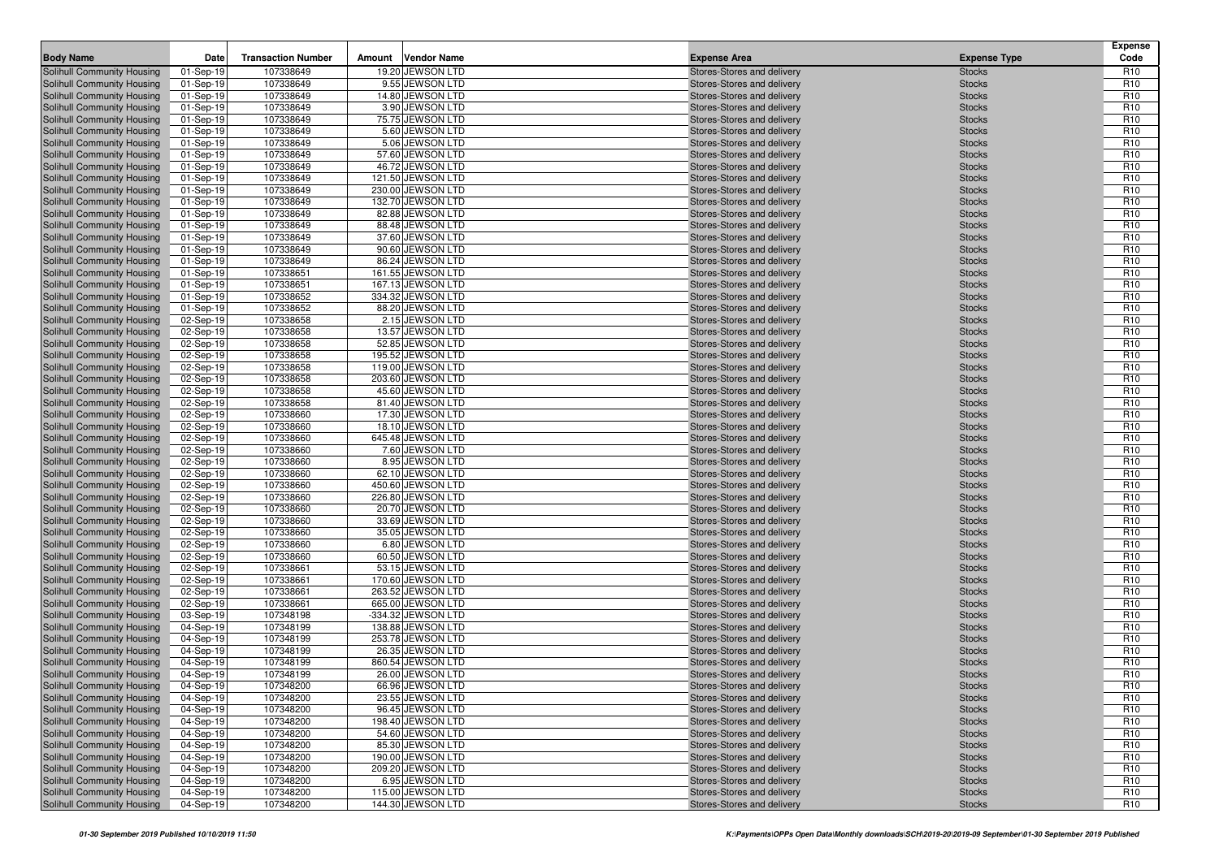| <b>Body Name</b>                                         | Date                   | <b>Transaction Number</b> | Amount | <b>Vendor Name</b>                     | <b>Expense Area</b>                                      | <b>Expense Type</b>            | <b>Expense</b><br>Code             |
|----------------------------------------------------------|------------------------|---------------------------|--------|----------------------------------------|----------------------------------------------------------|--------------------------------|------------------------------------|
| Solihull Community Housing                               | 01-Sep-19              | 107338649                 |        | 19.20 JEWSON LTD                       | Stores-Stores and delivery                               | <b>Stocks</b>                  | R <sub>10</sub>                    |
| Solihull Community Housing                               | 01-Sep-19              | 107338649                 |        | 9.55 JEWSON LTD                        | Stores-Stores and delivery                               | <b>Stocks</b>                  | R <sub>10</sub>                    |
| Solihull Community Housing                               | 01-Sep-19              | 107338649                 |        | 14.80 JEWSON LTD                       | Stores-Stores and delivery                               | <b>Stocks</b>                  | R <sub>10</sub>                    |
| Solihull Community Housing                               | 01-Sep-19              | 107338649                 |        | 3.90 JEWSON LTD                        | Stores-Stores and delivery                               | <b>Stocks</b>                  | R <sub>10</sub>                    |
| Solihull Community Housing                               | 01-Sep-19              | 107338649                 |        | 75.75 JEWSON LTD                       | Stores-Stores and delivery                               | <b>Stocks</b>                  | R <sub>10</sub>                    |
| Solihull Community Housing                               | 01-Sep-19              | 107338649                 |        | 5.60 JEWSON LTD                        | Stores-Stores and delivery                               | <b>Stocks</b>                  | R <sub>10</sub>                    |
| Solihull Community Housing                               | 01-Sep-19              | 107338649                 |        | 5.06 JEWSON LTD                        | Stores-Stores and delivery                               | <b>Stocks</b>                  | R <sub>10</sub>                    |
| Solihull Community Housing                               | 01-Sep-19              | 107338649                 |        | 57.60 JEWSON LTD                       | Stores-Stores and delivery                               | <b>Stocks</b>                  | R <sub>10</sub>                    |
| Solihull Community Housing                               | 01-Sep-19              | 107338649                 |        | 46.72 JEWSON LTD                       | Stores-Stores and delivery                               | <b>Stocks</b>                  | R <sub>10</sub>                    |
| Solihull Community Housing                               | 01-Sep-19              | 107338649                 |        | 121.50 JEWSON LTD                      | Stores-Stores and delivery                               | <b>Stocks</b>                  | R <sub>10</sub>                    |
| Solihull Community Housing                               | 01-Sep-19              | 107338649                 |        | 230.00 JEWSON LTD                      | Stores-Stores and delivery                               | <b>Stocks</b>                  | R <sub>10</sub>                    |
| Solihull Community Housing                               | 01-Sep-19              | 107338649                 |        | 132.70 JEWSON LTD                      | Stores-Stores and delivery                               | <b>Stocks</b>                  | R <sub>10</sub>                    |
| Solihull Community Housing                               | 01-Sep-19              | 107338649                 |        | 82.88 JEWSON LTD                       | Stores-Stores and delivery                               | <b>Stocks</b>                  | R <sub>10</sub>                    |
| Solihull Community Housing                               | 01-Sep-19              | 107338649                 |        | 88.48 JEWSON LTD                       | Stores-Stores and delivery                               | <b>Stocks</b>                  | R <sub>10</sub>                    |
| Solihull Community Housing                               | 01-Sep-19              | 107338649                 |        | 37.60 JEWSON LTD                       | Stores-Stores and delivery                               | <b>Stocks</b>                  | R <sub>10</sub>                    |
| Solihull Community Housing                               | 01-Sep-19              | 107338649                 |        | 90.60 JEWSON LTD                       | Stores-Stores and delivery                               | <b>Stocks</b>                  | R <sub>10</sub>                    |
| Solihull Community Housing                               | 01-Sep-19              | 107338649                 |        | 86.24 JEWSON LTD                       | Stores-Stores and delivery                               | <b>Stocks</b>                  | R <sub>10</sub><br>R <sub>10</sub> |
| Solihull Community Housing<br>Solihull Community Housing | 01-Sep-19              | 107338651<br>107338651    |        | 161.55 JEWSON LTD<br>167.13 JEWSON LTD | Stores-Stores and delivery<br>Stores-Stores and delivery | <b>Stocks</b><br><b>Stocks</b> | R <sub>10</sub>                    |
| Solihull Community Housing                               | 01-Sep-19<br>01-Sep-19 | 107338652                 |        | 334.32 JEWSON LTD                      | Stores-Stores and delivery                               | <b>Stocks</b>                  | R <sub>10</sub>                    |
| Solihull Community Housing                               | 01-Sep-19              | 107338652                 |        | 88.20 JEWSON LTD                       | Stores-Stores and delivery                               | <b>Stocks</b>                  | R <sub>10</sub>                    |
| Solihull Community Housing                               | 02-Sep-19              | 107338658                 |        | 2.15 JEWSON LTD                        | Stores-Stores and delivery                               | <b>Stocks</b>                  | R <sub>10</sub>                    |
| Solihull Community Housing                               | 02-Sep-19              | 107338658                 |        | 13.57 JEWSON LTD                       | Stores-Stores and delivery                               | <b>Stocks</b>                  | R <sub>10</sub>                    |
| Solihull Community Housing                               | 02-Sep-19              | 107338658                 |        | 52.85 JEWSON LTD                       | Stores-Stores and delivery                               | <b>Stocks</b>                  | R <sub>10</sub>                    |
| Solihull Community Housing                               | 02-Sep-19              | 107338658                 |        | 195.52 JEWSON LTD                      | Stores-Stores and delivery                               | <b>Stocks</b>                  | R <sub>10</sub>                    |
| Solihull Community Housing                               | 02-Sep-19              | 107338658                 |        | 119.00 JEWSON LTD                      | Stores-Stores and delivery                               | <b>Stocks</b>                  | R <sub>10</sub>                    |
| Solihull Community Housing                               | 02-Sep-19              | 107338658                 |        | 203.60 JEWSON LTD                      | Stores-Stores and delivery                               | <b>Stocks</b>                  | R <sub>10</sub>                    |
| Solihull Community Housing                               | 02-Sep-19              | 107338658                 |        | 45.60 JEWSON LTD                       | Stores-Stores and delivery                               | <b>Stocks</b>                  | R <sub>10</sub>                    |
| Solihull Community Housing                               | 02-Sep-19              | 107338658                 |        | 81.40 JEWSON LTD                       | Stores-Stores and delivery                               | <b>Stocks</b>                  | R <sub>10</sub>                    |
| Solihull Community Housing                               | 02-Sep-19              | 107338660                 |        | 17.30 JEWSON LTD                       | Stores-Stores and delivery                               | <b>Stocks</b>                  | R <sub>10</sub>                    |
| Solihull Community Housing                               | 02-Sep-19              | 107338660                 |        | 18.10 JEWSON LTD                       | Stores-Stores and delivery                               | <b>Stocks</b>                  | R <sub>10</sub>                    |
| Solihull Community Housing                               | 02-Sep-19              | 107338660                 |        | 645.48 JEWSON LTD                      | Stores-Stores and delivery                               | <b>Stocks</b>                  | R <sub>10</sub>                    |
| Solihull Community Housing                               | 02-Sep-19              | 107338660                 |        | 7.60 JEWSON LTD                        | Stores-Stores and delivery                               | <b>Stocks</b>                  | R <sub>10</sub>                    |
| Solihull Community Housing                               | 02-Sep-19              | 107338660                 |        | 8.95 JEWSON LTD                        | Stores-Stores and delivery                               | <b>Stocks</b>                  | R <sub>10</sub>                    |
| Solihull Community Housing                               | 02-Sep-19              | 107338660                 |        | 62.10 JEWSON LTD                       | Stores-Stores and delivery                               | <b>Stocks</b>                  | R <sub>10</sub>                    |
| Solihull Community Housing                               | 02-Sep-19              | 107338660                 |        | 450.60 JEWSON LTD                      | Stores-Stores and delivery                               | <b>Stocks</b>                  | R <sub>10</sub>                    |
| Solihull Community Housing                               | 02-Sep-19              | 107338660                 |        | 226.80 JEWSON LTD                      | Stores-Stores and delivery                               | <b>Stocks</b>                  | R <sub>10</sub>                    |
| Solihull Community Housing                               | 02-Sep-19              | 107338660                 |        | 20.70 JEWSON LTD                       | Stores-Stores and delivery                               | <b>Stocks</b>                  | R <sub>10</sub>                    |
| Solihull Community Housing                               | 02-Sep-19              | 107338660                 |        | 33.69 JEWSON LTD                       | Stores-Stores and delivery                               | <b>Stocks</b>                  | R <sub>10</sub>                    |
| Solihull Community Housing                               | 02-Sep-19              | 107338660                 |        | 35.05 JEWSON LTD                       | Stores-Stores and delivery                               | <b>Stocks</b>                  | R <sub>10</sub>                    |
| Solihull Community Housing                               | 02-Sep-19              | 107338660                 |        | 6.80 JEWSON LTD                        | Stores-Stores and delivery                               | <b>Stocks</b>                  | R <sub>10</sub>                    |
| Solihull Community Housing                               | 02-Sep-19              | 107338660                 |        | 60.50 JEWSON LTD                       | Stores-Stores and delivery                               | <b>Stocks</b>                  | R <sub>10</sub>                    |
| Solihull Community Housing                               | 02-Sep-19              | 107338661                 |        | 53.15 JEWSON LTD                       | Stores-Stores and delivery                               | <b>Stocks</b>                  | R <sub>10</sub>                    |
| Solihull Community Housing                               | 02-Sep-19              | 107338661<br>107338661    |        | 170.60 JEWSON LTD<br>263.52 JEWSON LTD | Stores-Stores and delivery                               | <b>Stocks</b>                  | R <sub>10</sub><br>R <sub>10</sub> |
| Solihull Community Housing<br>Solihull Community Housing | 02-Sep-19<br>02-Sep-19 | 107338661                 |        | 665.00 JEWSON LTD                      | Stores-Stores and delivery<br>Stores-Stores and delivery | <b>Stocks</b><br><b>Stocks</b> | R <sub>10</sub>                    |
| Solihull Community Housing                               | 03-Sep-19              | 107348198                 |        | -334.32 JEWSON LTD                     | Stores-Stores and delivery                               | <b>Stocks</b>                  | R <sub>10</sub>                    |
| Solihull Community Housing                               | 04-Sep-19              | 107348199                 |        | 138.88 JEWSON LTD                      | Stores-Stores and delivery                               | <b>Stocks</b>                  | R <sub>10</sub>                    |
| Solihull Community Housing                               | 04-Sep-19              | 107348199                 |        | 253.78 JEWSON LTD                      | Stores-Stores and delivery                               | <b>Stocks</b>                  | R <sub>10</sub>                    |
| Solihull Community Housing                               | 04-Sep-19              | 107348199                 |        | 26.35 JEWSON LTD                       | Stores-Stores and delivery                               | <b>Stocks</b>                  | R <sub>10</sub>                    |
| Solihull Community Housing                               | 04-Sep-19              | 107348199                 |        | 860.54 JEWSON LTD                      | Stores-Stores and delivery                               | <b>Stocks</b>                  | R <sub>10</sub>                    |
| <b>Solihull Community Housing</b>                        | 04-Sep-19              | 107348199                 |        | 26.00 JEWSON LTD                       | Stores-Stores and delivery                               | <b>Stocks</b>                  | R <sub>10</sub>                    |
| Solihull Community Housing                               | 04-Sep-19              | 107348200                 |        | 66.96 JEWSON LTD                       | Stores-Stores and delivery                               | <b>Stocks</b>                  | R <sub>10</sub>                    |
| Solihull Community Housing                               | 04-Sep-19              | 107348200                 |        | 23.55 JEWSON LTD                       | Stores-Stores and delivery                               | <b>Stocks</b>                  | R <sub>10</sub>                    |
| Solihull Community Housing                               | 04-Sep-19              | 107348200                 |        | 96.45 JEWSON LTD                       | Stores-Stores and delivery                               | <b>Stocks</b>                  | R <sub>10</sub>                    |
| Solihull Community Housing                               | 04-Sep-19              | 107348200                 |        | 198.40 JEWSON LTD                      | Stores-Stores and delivery                               | <b>Stocks</b>                  | R <sub>10</sub>                    |
| Solihull Community Housing                               | 04-Sep-19              | 107348200                 |        | 54.60 JEWSON LTD                       | Stores-Stores and delivery                               | <b>Stocks</b>                  | R <sub>10</sub>                    |
| Solihull Community Housing                               | 04-Sep-19              | 107348200                 |        | 85.30 JEWSON LTD                       | Stores-Stores and delivery                               | <b>Stocks</b>                  | R <sub>10</sub>                    |
| Solihull Community Housing                               | 04-Sep-19              | 107348200                 |        | 190.00 JEWSON LTD                      | Stores-Stores and delivery                               | <b>Stocks</b>                  | R <sub>10</sub>                    |
| Solihull Community Housing                               | 04-Sep-19              | 107348200                 |        | 209.20 JEWSON LTD                      | Stores-Stores and delivery                               | <b>Stocks</b>                  | R <sub>10</sub>                    |
| Solihull Community Housing                               | 04-Sep-19              | 107348200                 |        | 6.95 JEWSON LTD                        | Stores-Stores and delivery                               | <b>Stocks</b>                  | R <sub>10</sub>                    |
| Solihull Community Housing                               | 04-Sep-19              | 107348200                 |        | 115.00 JEWSON LTD                      | Stores-Stores and delivery                               | <b>Stocks</b>                  | R <sub>10</sub>                    |
| Solihull Community Housing                               | 04-Sep-19              | 107348200                 |        | 144.30 JEWSON LTD                      | Stores-Stores and delivery                               | <b>Stocks</b>                  | R <sub>10</sub>                    |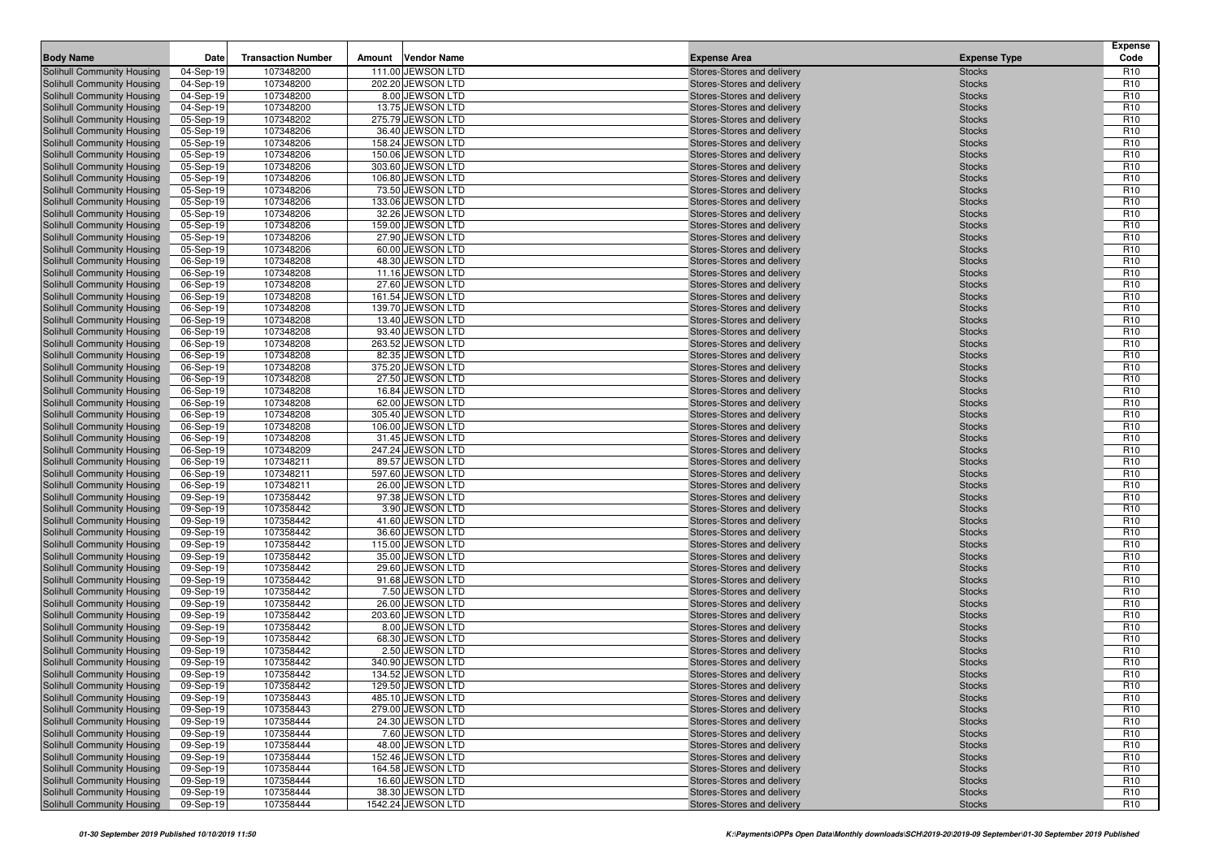| <b>Body Name</b>                                         | Date                   | <b>Transaction Number</b> | Amount | <b>Vendor Name</b>                  | <b>Expense Area</b>                                      | <b>Expense Type</b>            | <b>Expense</b><br>Code             |
|----------------------------------------------------------|------------------------|---------------------------|--------|-------------------------------------|----------------------------------------------------------|--------------------------------|------------------------------------|
| Solihull Community Housing                               | 04-Sep-19              | 107348200                 |        | 111.00 JEWSON LTD                   | Stores-Stores and delivery                               | <b>Stocks</b>                  | R <sub>10</sub>                    |
| Solihull Community Housing                               | 04-Sep-19              | 107348200                 |        | 202.20 JEWSON LTD                   | Stores-Stores and delivery                               | <b>Stocks</b>                  | R <sub>10</sub>                    |
| Solihull Community Housing                               | 04-Sep-19              | 107348200                 |        | 8.00 JEWSON LTD                     | Stores-Stores and delivery                               | <b>Stocks</b>                  | R <sub>10</sub>                    |
| Solihull Community Housing                               | 04-Sep-19              | 107348200                 |        | 13.75 JEWSON LTD                    | Stores-Stores and delivery                               | <b>Stocks</b>                  | R <sub>10</sub>                    |
| Solihull Community Housing                               | 05-Sep-19              | 107348202                 |        | 275.79 JEWSON LTD                   | Stores-Stores and delivery                               | <b>Stocks</b>                  | R <sub>10</sub>                    |
| Solihull Community Housing                               | 05-Sep-19              | 107348206                 |        | 36.40 JEWSON LTD                    | Stores-Stores and delivery                               | <b>Stocks</b>                  | R <sub>10</sub>                    |
| Solihull Community Housing                               | 05-Sep-19              | 107348206                 |        | 158.24 JEWSON LTD                   | Stores-Stores and delivery                               | <b>Stocks</b>                  | R <sub>10</sub>                    |
| Solihull Community Housing                               | 05-Sep-19              | 107348206                 |        | 150.06 JEWSON LTD                   | Stores-Stores and delivery                               | <b>Stocks</b>                  | R <sub>10</sub>                    |
| Solihull Community Housing                               | 05-Sep-19              | 107348206                 |        | 303.60 JEWSON LTD                   | Stores-Stores and delivery                               | <b>Stocks</b>                  | R <sub>10</sub>                    |
| Solihull Community Housing                               | 05-Sep-19              | 107348206                 |        | 106.80 JEWSON LTD                   | Stores-Stores and delivery                               | <b>Stocks</b>                  | R <sub>10</sub>                    |
| Solihull Community Housing                               | 05-Sep-19              | 107348206                 |        | 73.50 JEWSON LTD                    | Stores-Stores and delivery                               | <b>Stocks</b>                  | R <sub>10</sub>                    |
| Solihull Community Housing                               | 05-Sep-19              | 107348206                 |        | 133.06 JEWSON LTD                   | Stores-Stores and delivery                               | <b>Stocks</b>                  | R <sub>10</sub>                    |
| Solihull Community Housing                               | 05-Sep-19              | 107348206                 |        | 32.26 JEWSON LTD                    | Stores-Stores and delivery                               | <b>Stocks</b>                  | R <sub>10</sub>                    |
| Solihull Community Housing                               | 05-Sep-19              | 107348206                 |        | 159.00 JEWSON LTD                   | Stores-Stores and delivery                               | <b>Stocks</b>                  | R <sub>10</sub>                    |
| Solihull Community Housing                               | 05-Sep-19              | 107348206                 |        | 27.90 JEWSON LTD                    | Stores-Stores and delivery                               | <b>Stocks</b>                  | R <sub>10</sub>                    |
| Solihull Community Housing                               | 05-Sep-19              | 107348206                 |        | 60.00 JEWSON LTD                    | Stores-Stores and delivery                               | <b>Stocks</b>                  | R <sub>10</sub>                    |
| Solihull Community Housing                               | 06-Sep-19              | 107348208                 |        | 48.30 JEWSON LTD                    | Stores-Stores and delivery                               | <b>Stocks</b>                  | R <sub>10</sub>                    |
| Solihull Community Housing                               | 06-Sep-19              | 107348208                 |        | 11.16 JEWSON LTD                    | Stores-Stores and delivery                               | <b>Stocks</b>                  | R <sub>10</sub>                    |
| Solihull Community Housing                               | 06-Sep-19              | 107348208                 |        | 27.60 JEWSON LTD                    | Stores-Stores and delivery                               | <b>Stocks</b>                  | R <sub>10</sub>                    |
| Solihull Community Housing                               | 06-Sep-19              | 107348208                 |        | 161.54 JEWSON LTD                   | Stores-Stores and delivery                               | <b>Stocks</b>                  | R <sub>10</sub>                    |
| Solihull Community Housing                               | 06-Sep-19              | 107348208                 |        | 139.70 JEWSON LTD                   | Stores-Stores and delivery                               | <b>Stocks</b>                  | R <sub>10</sub>                    |
| Solihull Community Housing                               | 06-Sep-19              | 107348208                 |        | 13.40 JEWSON LTD                    | Stores-Stores and delivery                               | <b>Stocks</b>                  | R <sub>10</sub>                    |
| Solihull Community Housing                               | 06-Sep-19              | 107348208                 |        | 93.40 JEWSON LTD                    | Stores-Stores and delivery                               | <b>Stocks</b>                  | R <sub>10</sub>                    |
| Solihull Community Housing                               | 06-Sep-19              | 107348208                 |        | 263.52 JEWSON LTD                   | Stores-Stores and delivery                               | <b>Stocks</b>                  | R <sub>10</sub>                    |
| Solihull Community Housing                               | 06-Sep-19              | 107348208                 |        | 82.35 JEWSON LTD                    | Stores-Stores and delivery                               | <b>Stocks</b>                  | R <sub>10</sub>                    |
| Solihull Community Housing                               | 06-Sep-19              | 107348208                 |        | 375.20 JEWSON LTD                   | Stores-Stores and delivery                               | <b>Stocks</b>                  | R <sub>10</sub>                    |
| Solihull Community Housing                               | 06-Sep-19              | 107348208                 |        | 27.50 JEWSON LTD                    | Stores-Stores and delivery                               | <b>Stocks</b>                  | R <sub>10</sub>                    |
| Solihull Community Housing                               | 06-Sep-19              | 107348208                 |        | 16.84 JEWSON LTD                    | Stores-Stores and delivery                               | <b>Stocks</b>                  | R <sub>10</sub>                    |
| Solihull Community Housing                               | 06-Sep-19              | 107348208                 |        | 62.00 JEWSON LTD                    | Stores-Stores and delivery                               | <b>Stocks</b>                  | R <sub>10</sub>                    |
| Solihull Community Housing                               | 06-Sep-19              | 107348208                 |        | 305.40 JEWSON LTD                   | Stores-Stores and delivery                               | <b>Stocks</b>                  | R <sub>10</sub>                    |
| Solihull Community Housing                               | 06-Sep-19              | 107348208                 |        | 106.00 JEWSON LTD                   | Stores-Stores and delivery                               | <b>Stocks</b>                  | R <sub>10</sub>                    |
| Solihull Community Housing                               | 06-Sep-19              | 107348208                 |        | 31.45 JEWSON LTD                    | Stores-Stores and delivery                               | <b>Stocks</b>                  | R <sub>10</sub>                    |
| Solihull Community Housing                               | 06-Sep-19              | 107348209                 |        | 247.24 JEWSON LTD                   | Stores-Stores and delivery                               | <b>Stocks</b>                  | R <sub>10</sub>                    |
| Solihull Community Housing                               | 06-Sep-19              | 107348211                 |        | 89.57 JEWSON LTD                    | Stores-Stores and delivery                               | <b>Stocks</b>                  | R <sub>10</sub>                    |
| Solihull Community Housing                               | 06-Sep-19              | 107348211                 |        | 597.60 JEWSON LTD                   | Stores-Stores and delivery                               | <b>Stocks</b>                  | R <sub>10</sub>                    |
| Solihull Community Housing                               | 06-Sep-19              | 107348211                 |        | 26.00 JEWSON LTD                    | Stores-Stores and delivery                               | <b>Stocks</b>                  | R <sub>10</sub>                    |
| Solihull Community Housing                               | 09-Sep-19              | 107358442                 |        | 97.38 JEWSON LTD                    | Stores-Stores and delivery                               | <b>Stocks</b>                  | R <sub>10</sub><br>R <sub>10</sub> |
| Solihull Community Housing<br>Solihull Community Housing | 09-Sep-19              | 107358442<br>107358442    |        | 3.90 JEWSON LTD<br>41.60 JEWSON LTD | Stores-Stores and delivery<br>Stores-Stores and delivery | <b>Stocks</b><br><b>Stocks</b> | R <sub>10</sub>                    |
| Solihull Community Housing                               | 09-Sep-19<br>09-Sep-19 | 107358442                 |        | 36.60 JEWSON LTD                    | Stores-Stores and delivery                               | <b>Stocks</b>                  | R <sub>10</sub>                    |
| Solihull Community Housing                               | 09-Sep-19              | 107358442                 |        | 115.00 JEWSON LTD                   | Stores-Stores and delivery                               | <b>Stocks</b>                  | R <sub>10</sub>                    |
| Solihull Community Housing                               | 09-Sep-19              | 107358442                 |        | 35.00 JEWSON LTD                    | Stores-Stores and delivery                               | <b>Stocks</b>                  | R <sub>10</sub>                    |
| Solihull Community Housing                               | 09-Sep-19              | 107358442                 |        | 29.60 JEWSON LTD                    | Stores-Stores and delivery                               | <b>Stocks</b>                  | R <sub>10</sub>                    |
| Solihull Community Housing                               | 09-Sep-19              | 107358442                 |        | 91.68 JEWSON LTD                    | Stores-Stores and delivery                               | <b>Stocks</b>                  | R <sub>10</sub>                    |
| Solihull Community Housing                               | 09-Sep-19              | 107358442                 |        | 7.50 JEWSON LTD                     | Stores-Stores and delivery                               | <b>Stocks</b>                  | R <sub>10</sub>                    |
| Solihull Community Housing                               | 09-Sep-19              | 107358442                 |        | 26.00 JEWSON LTD                    | Stores-Stores and delivery                               | <b>Stocks</b>                  | R <sub>10</sub>                    |
| Solihull Community Housing                               | 09-Sep-19              | 107358442                 |        | 203.60 JEWSON LTD                   | Stores-Stores and delivery                               | <b>Stocks</b>                  | R <sub>10</sub>                    |
| Solihull Community Housing                               | 09-Sep-19              | 107358442                 |        | 8.00 JEWSON LTD                     | Stores-Stores and delivery                               | <b>Stocks</b>                  | R <sub>10</sub>                    |
| Solihull Community Housing                               | 09-Sep-19              | 107358442                 |        | 68.30 JEWSON LTD                    | Stores-Stores and delivery                               | <b>Stocks</b>                  | R <sub>10</sub>                    |
| Solihull Community Housing                               | 09-Sep-19              | 107358442                 |        | 2.50 JEWSON LTD                     | Stores-Stores and delivery                               | <b>Stocks</b>                  | R <sub>10</sub>                    |
| Solihull Community Housing                               | 09-Sep-19              | 107358442                 |        | 340.90 JEWSON LTD                   | Stores-Stores and delivery                               | <b>Stocks</b>                  | R <sub>10</sub>                    |
| <b>Solihull Community Housing</b>                        | 09-Sep-19              | 107358442                 |        | 134.52 JEWSON LTD                   | Stores-Stores and delivery                               | <b>Stocks</b>                  | R <sub>10</sub>                    |
| Solihull Community Housing                               | 09-Sep-19              | 107358442                 |        | 129.50 JEWSON LTD                   | Stores-Stores and delivery                               | <b>Stocks</b>                  | R <sub>10</sub>                    |
| Solihull Community Housing                               | 09-Sep-19              | 107358443                 |        | 485.10 JEWSON LTD                   | Stores-Stores and delivery                               | <b>Stocks</b>                  | R <sub>10</sub>                    |
| Solihull Community Housing                               | 09-Sep-19              | 107358443                 |        | 279.00 JEWSON LTD                   | Stores-Stores and delivery                               | <b>Stocks</b>                  | R <sub>10</sub>                    |
| Solihull Community Housing                               | 09-Sep-19              | 107358444                 |        | 24.30 JEWSON LTD                    | Stores-Stores and delivery                               | <b>Stocks</b>                  | R <sub>10</sub>                    |
| Solihull Community Housing                               | 09-Sep-19              | 107358444                 |        | 7.60 JEWSON LTD                     | Stores-Stores and delivery                               | <b>Stocks</b>                  | R <sub>10</sub>                    |
| Solihull Community Housing                               | 09-Sep-19              | 107358444                 |        | 48.00 JEWSON LTD                    | Stores-Stores and delivery                               | <b>Stocks</b>                  | R <sub>10</sub>                    |
| Solihull Community Housing                               | 09-Sep-19              | 107358444                 |        | 152.46 JEWSON LTD                   | Stores-Stores and delivery                               | <b>Stocks</b>                  | R <sub>10</sub>                    |
| Solihull Community Housing                               | 09-Sep-19              | 107358444                 |        | 164.58 JEWSON LTD                   | Stores-Stores and delivery                               | <b>Stocks</b>                  | R <sub>10</sub>                    |
| Solihull Community Housing                               | 09-Sep-19              | 107358444                 |        | 16.60 JEWSON LTD                    | Stores-Stores and delivery                               | <b>Stocks</b>                  | R <sub>10</sub>                    |
| Solihull Community Housing                               | 09-Sep-19              | 107358444                 |        | 38.30 JEWSON LTD                    | Stores-Stores and delivery                               | <b>Stocks</b>                  | R <sub>10</sub>                    |
| Solihull Community Housing                               | 09-Sep-19              | 107358444                 |        | 1542.24 JEWSON LTD                  | Stores-Stores and delivery                               | <b>Stocks</b>                  | R <sub>10</sub>                    |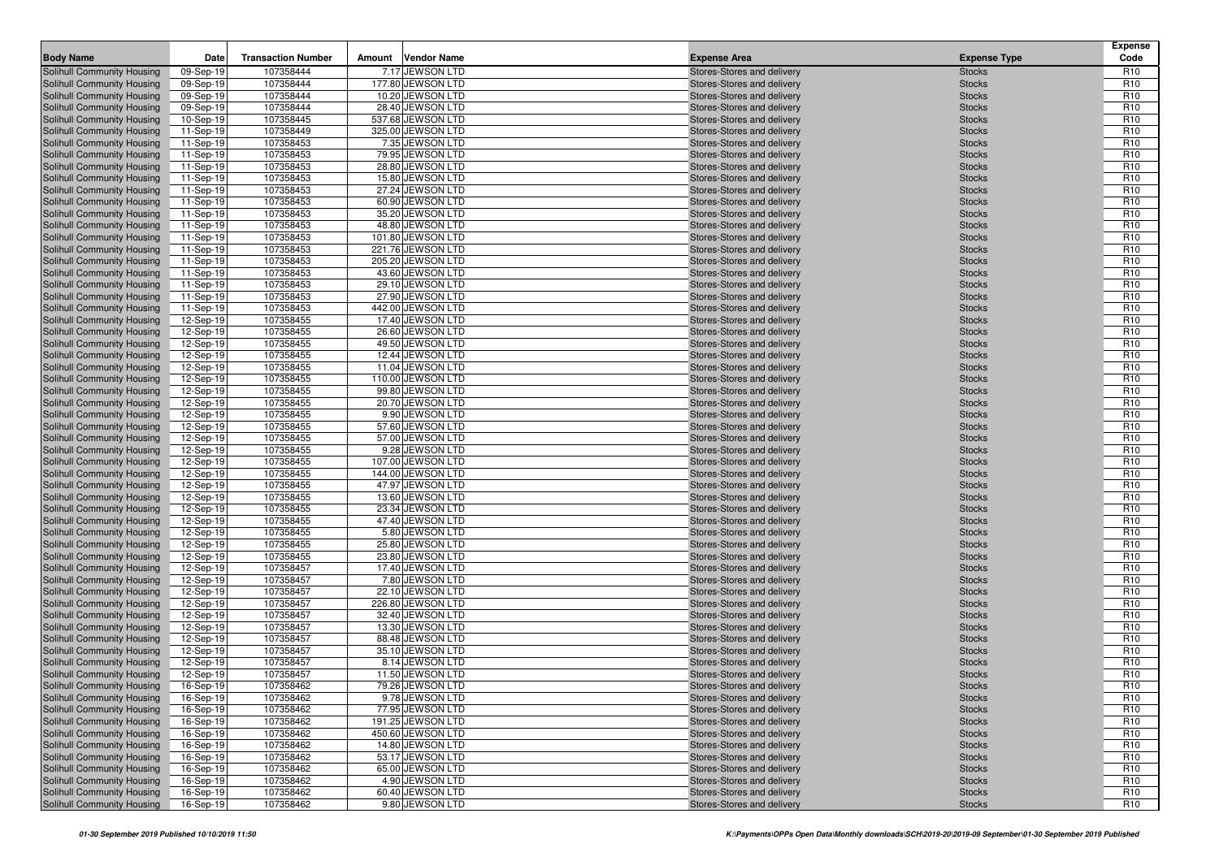| <b>Body Name</b>                                         | Date                   | <b>Transaction Number</b> | Amount | <b>Vendor Name</b>                   | <b>Expense Area</b>                                      | <b>Expense Type</b>            | <b>Expense</b><br>Code             |
|----------------------------------------------------------|------------------------|---------------------------|--------|--------------------------------------|----------------------------------------------------------|--------------------------------|------------------------------------|
| Solihull Community Housing                               | 09-Sep-19              | 107358444                 |        | 7.17 JEWSON LTD                      | Stores-Stores and delivery                               | <b>Stocks</b>                  | R <sub>10</sub>                    |
| Solihull Community Housing                               | 09-Sep-19              | 107358444                 |        | 177.80 JEWSON LTD                    | Stores-Stores and delivery                               | <b>Stocks</b>                  | R <sub>10</sub>                    |
| Solihull Community Housing                               | 09-Sep-19              | 107358444                 |        | 10.20 JEWSON LTD                     | Stores-Stores and delivery                               | <b>Stocks</b>                  | R <sub>10</sub>                    |
| Solihull Community Housing                               | 09-Sep-19              | 107358444                 |        | 28.40 JEWSON LTD                     | Stores-Stores and delivery                               | <b>Stocks</b>                  | R <sub>10</sub>                    |
| Solihull Community Housing                               | 10-Sep-19              | 107358445                 |        | 537.68 JEWSON LTD                    | Stores-Stores and delivery                               | <b>Stocks</b>                  | R <sub>10</sub>                    |
| Solihull Community Housing                               | 11-Sep-19              | 107358449                 |        | 325.00 JEWSON LTD                    | Stores-Stores and delivery                               | <b>Stocks</b>                  | R <sub>10</sub>                    |
| Solihull Community Housing                               | 11-Sep-19              | 107358453                 |        | 7.35 JEWSON LTD                      | Stores-Stores and delivery                               | <b>Stocks</b>                  | R <sub>10</sub>                    |
| Solihull Community Housing                               | 11-Sep-19              | 107358453                 |        | 79.95 JEWSON LTD                     | Stores-Stores and delivery                               | <b>Stocks</b>                  | R <sub>10</sub>                    |
| Solihull Community Housing                               | 11-Sep-19              | 107358453                 |        | 28.80 JEWSON LTD                     | Stores-Stores and delivery                               | <b>Stocks</b>                  | R <sub>10</sub>                    |
| Solihull Community Housing                               | 11-Sep-19              | 107358453                 |        | 15.80 JEWSON LTD                     | Stores-Stores and delivery                               | <b>Stocks</b>                  | R <sub>10</sub>                    |
| Solihull Community Housing                               | 11-Sep-19              | 107358453                 |        | 27.24 JEWSON LTD                     | Stores-Stores and delivery                               | <b>Stocks</b>                  | R <sub>10</sub>                    |
| Solihull Community Housing                               | 11-Sep-19              | 107358453                 |        | 60.90 JEWSON LTD                     | Stores-Stores and delivery                               | <b>Stocks</b>                  | R <sub>10</sub>                    |
| Solihull Community Housing                               | 11-Sep-19              | 107358453                 |        | 35.20 JEWSON LTD                     | Stores-Stores and delivery                               | <b>Stocks</b>                  | R <sub>10</sub>                    |
| Solihull Community Housing                               | 11-Sep-19              | 107358453                 |        | 48.80 JEWSON LTD                     | Stores-Stores and delivery                               | <b>Stocks</b>                  | R <sub>10</sub>                    |
| Solihull Community Housing                               | 11-Sep-19              | 107358453                 |        | 101.80 JEWSON LTD                    | Stores-Stores and delivery                               | <b>Stocks</b>                  | R <sub>10</sub>                    |
| Solihull Community Housing                               | 11-Sep-19              | 107358453                 |        | 221.76 JEWSON LTD                    | Stores-Stores and delivery                               | <b>Stocks</b>                  | R <sub>10</sub>                    |
| Solihull Community Housing                               | 11-Sep-19              | 107358453                 |        | 205.20 JEWSON LTD                    | Stores-Stores and delivery                               | <b>Stocks</b>                  | R <sub>10</sub>                    |
| Solihull Community Housing                               | 11-Sep-19              | 107358453                 |        | 43.60 JEWSON LTD                     | Stores-Stores and delivery                               | <b>Stocks</b>                  | R <sub>10</sub>                    |
| Solihull Community Housing                               | 11-Sep-19              | 107358453                 |        | 29.10 JEWSON LTD                     | Stores-Stores and delivery                               | <b>Stocks</b>                  | R <sub>10</sub>                    |
| Solihull Community Housing                               | 11-Sep-19              | 107358453                 |        | 27.90 JEWSON LTD                     | Stores-Stores and delivery                               | <b>Stocks</b>                  | R <sub>10</sub>                    |
| Solihull Community Housing                               | 11-Sep-19              | 107358453                 |        | 442.00 JEWSON LTD                    | Stores-Stores and delivery                               | <b>Stocks</b>                  | R <sub>10</sub>                    |
| Solihull Community Housing                               | 12-Sep-19              | 107358455                 |        | 17.40 JEWSON LTD                     | Stores-Stores and delivery                               | <b>Stocks</b>                  | R <sub>10</sub>                    |
| Solihull Community Housing                               | 12-Sep-19              | 107358455                 |        | 26.60 JEWSON LTD                     | Stores-Stores and delivery                               | <b>Stocks</b>                  | R <sub>10</sub>                    |
| Solihull Community Housing                               | 12-Sep-19              | 107358455                 |        | 49.50 JEWSON LTD                     | Stores-Stores and delivery                               | <b>Stocks</b>                  | R <sub>10</sub>                    |
| Solihull Community Housing                               | 12-Sep-19              | 107358455                 |        | 12.44 JEWSON LTD                     | Stores-Stores and delivery                               | <b>Stocks</b>                  | R <sub>10</sub>                    |
| Solihull Community Housing                               | 12-Sep-19              | 107358455                 |        | 11.04 JEWSON LTD                     | Stores-Stores and delivery                               | <b>Stocks</b>                  | R <sub>10</sub>                    |
| Solihull Community Housing                               | 12-Sep-19              | 107358455                 |        | 110.00 JEWSON LTD                    | Stores-Stores and delivery                               | <b>Stocks</b>                  | R <sub>10</sub>                    |
| Solihull Community Housing                               | 12-Sep-19              | 107358455                 |        | 99.80 JEWSON LTD<br>20.70 JEWSON LTD | Stores-Stores and delivery                               | <b>Stocks</b>                  | R <sub>10</sub>                    |
| Solihull Community Housing<br>Solihull Community Housing | 12-Sep-19<br>12-Sep-19 | 107358455<br>107358455    |        | 9.90 JEWSON LTD                      | Stores-Stores and delivery<br>Stores-Stores and delivery | <b>Stocks</b><br><b>Stocks</b> | R <sub>10</sub><br>R <sub>10</sub> |
| Solihull Community Housing                               | 12-Sep-19              | 107358455                 |        | 57.60 JEWSON LTD                     | Stores-Stores and delivery                               | <b>Stocks</b>                  | R <sub>10</sub>                    |
| Solihull Community Housing                               | 12-Sep-19              | 107358455                 |        | 57.00 JEWSON LTD                     | Stores-Stores and delivery                               | <b>Stocks</b>                  | R <sub>10</sub>                    |
| Solihull Community Housing                               | 12-Sep-19              | 107358455                 |        | 9.28 JEWSON LTD                      | Stores-Stores and delivery                               | <b>Stocks</b>                  | R <sub>10</sub>                    |
| Solihull Community Housing                               | 12-Sep-19              | 107358455                 |        | 107.00 JEWSON LTD                    | Stores-Stores and delivery                               | <b>Stocks</b>                  | R <sub>10</sub>                    |
| Solihull Community Housing                               | 12-Sep-19              | 107358455                 |        | 144.00 JEWSON LTD                    | Stores-Stores and delivery                               | <b>Stocks</b>                  | R <sub>10</sub>                    |
| Solihull Community Housing                               | 12-Sep-19              | 107358455                 |        | 47.97 JEWSON LTD                     | Stores-Stores and delivery                               | <b>Stocks</b>                  | R <sub>10</sub>                    |
| Solihull Community Housing                               | 12-Sep-19              | 107358455                 |        | 13.60 JEWSON LTD                     | Stores-Stores and delivery                               | <b>Stocks</b>                  | R <sub>10</sub>                    |
| Solihull Community Housing                               | 12-Sep-19              | 107358455                 |        | 23.34 JEWSON LTD                     | Stores-Stores and delivery                               | <b>Stocks</b>                  | R <sub>10</sub>                    |
| Solihull Community Housing                               | 12-Sep-19              | 107358455                 |        | 47.40 JEWSON LTD                     | Stores-Stores and delivery                               | <b>Stocks</b>                  | R <sub>10</sub>                    |
| Solihull Community Housing                               | 12-Sep-19              | 107358455                 |        | 5.80 JEWSON LTD                      | Stores-Stores and delivery                               | <b>Stocks</b>                  | R <sub>10</sub>                    |
| Solihull Community Housing                               | 12-Sep-19              | 107358455                 |        | 25.80 JEWSON LTD                     | Stores-Stores and delivery                               | <b>Stocks</b>                  | R <sub>10</sub>                    |
| Solihull Community Housing                               | 12-Sep-19              | 107358455                 |        | 23.80 JEWSON LTD                     | Stores-Stores and delivery                               | <b>Stocks</b>                  | R <sub>10</sub>                    |
| Solihull Community Housing                               | 12-Sep-19              | 107358457                 |        | 17.40 JEWSON LTD                     | Stores-Stores and delivery                               | <b>Stocks</b>                  | R <sub>10</sub>                    |
| Solihull Community Housing                               | 12-Sep-19              | 107358457                 |        | 7.80 JEWSON LTD                      | Stores-Stores and delivery                               | <b>Stocks</b>                  | R <sub>10</sub>                    |
| Solihull Community Housing                               | 12-Sep-19              | 107358457                 |        | 22.10 JEWSON LTD                     | Stores-Stores and delivery                               | <b>Stocks</b>                  | R <sub>10</sub>                    |
| Solihull Community Housing                               | 12-Sep-19              | 107358457                 |        | 226.80 JEWSON LTD                    | Stores-Stores and delivery                               | <b>Stocks</b>                  | R <sub>10</sub>                    |
| Solihull Community Housing                               | 12-Sep-19              | 107358457                 |        | 32.40 JEWSON LTD                     | Stores-Stores and delivery                               | <b>Stocks</b>                  | R <sub>10</sub>                    |
| Solihull Community Housing                               | 12-Sep-19              | 107358457                 |        | 13.30 JEWSON LTD                     | Stores-Stores and delivery                               | <b>Stocks</b>                  | R <sub>10</sub>                    |
| Solihull Community Housing                               | 12-Sep-19              | 107358457                 |        | 88.48 JEWSON LTD                     | Stores-Stores and delivery                               | <b>Stocks</b>                  | R <sub>10</sub>                    |
| Solihull Community Housing                               | 12-Sep-19              | 107358457                 |        | 35.10 JEWSON LTD                     | Stores-Stores and delivery                               | <b>Stocks</b>                  | R <sub>10</sub>                    |
| Solihull Community Housing                               | 12-Sep-19              | 107358457                 |        | 8.14 JEWSON LTD                      | Stores-Stores and delivery                               | <b>Stocks</b>                  | R <sub>10</sub>                    |
| <b>Solihull Community Housing</b>                        | 12-Sep-19              | 107358457                 |        | 11.50 JEWSON LTD                     | Stores-Stores and delivery                               | <b>Stocks</b>                  | R <sub>10</sub>                    |
| Solihull Community Housing                               | 16-Sep-19              | 107358462                 |        | 79.26 JEWSON LTD                     | Stores-Stores and delivery                               | <b>Stocks</b>                  | R <sub>10</sub>                    |
| Solihull Community Housing                               | 16-Sep-19              | 107358462                 |        | 9.78 JEWSON LTD                      | Stores-Stores and delivery                               | <b>Stocks</b>                  | R <sub>10</sub>                    |
| Solihull Community Housing                               | 16-Sep-19              | 107358462                 |        | 77.95 JEWSON LTD                     | Stores-Stores and delivery                               | <b>Stocks</b>                  | R <sub>10</sub>                    |
| Solihull Community Housing                               | 16-Sep-19              | 107358462                 |        | 191.25 JEWSON LTD                    | Stores-Stores and delivery                               | <b>Stocks</b>                  | R <sub>10</sub>                    |
| Solihull Community Housing                               | 16-Sep-19              | 107358462                 |        | 450.60 JEWSON LTD                    | Stores-Stores and delivery                               | <b>Stocks</b>                  | R <sub>10</sub>                    |
| Solihull Community Housing                               | 16-Sep-19              | 107358462                 |        | 14.80 JEWSON LTD                     | Stores-Stores and delivery                               | <b>Stocks</b>                  | R <sub>10</sub>                    |
| Solihull Community Housing                               | 16-Sep-19              | 107358462                 |        | 53.17 JEWSON LTD                     | Stores-Stores and delivery                               | <b>Stocks</b>                  | R <sub>10</sub>                    |
| Solihull Community Housing<br>Solihull Community Housing | 16-Sep-19              | 107358462                 |        | 65.00 JEWSON LTD                     | Stores-Stores and delivery                               | <b>Stocks</b>                  | R <sub>10</sub>                    |
| Solihull Community Housing                               | 16-Sep-19              | 107358462                 |        | 4.90 JEWSON LTD<br>60.40 JEWSON LTD  | Stores-Stores and delivery<br>Stores-Stores and delivery | <b>Stocks</b>                  | R <sub>10</sub><br>R <sub>10</sub> |
|                                                          | 16-Sep-19              | 107358462                 |        |                                      |                                                          | <b>Stocks</b>                  |                                    |
| Solihull Community Housing                               | 16-Sep-19              | 107358462                 |        | 9.80 JEWSON LTD                      | Stores-Stores and delivery                               | <b>Stocks</b>                  | R <sub>10</sub>                    |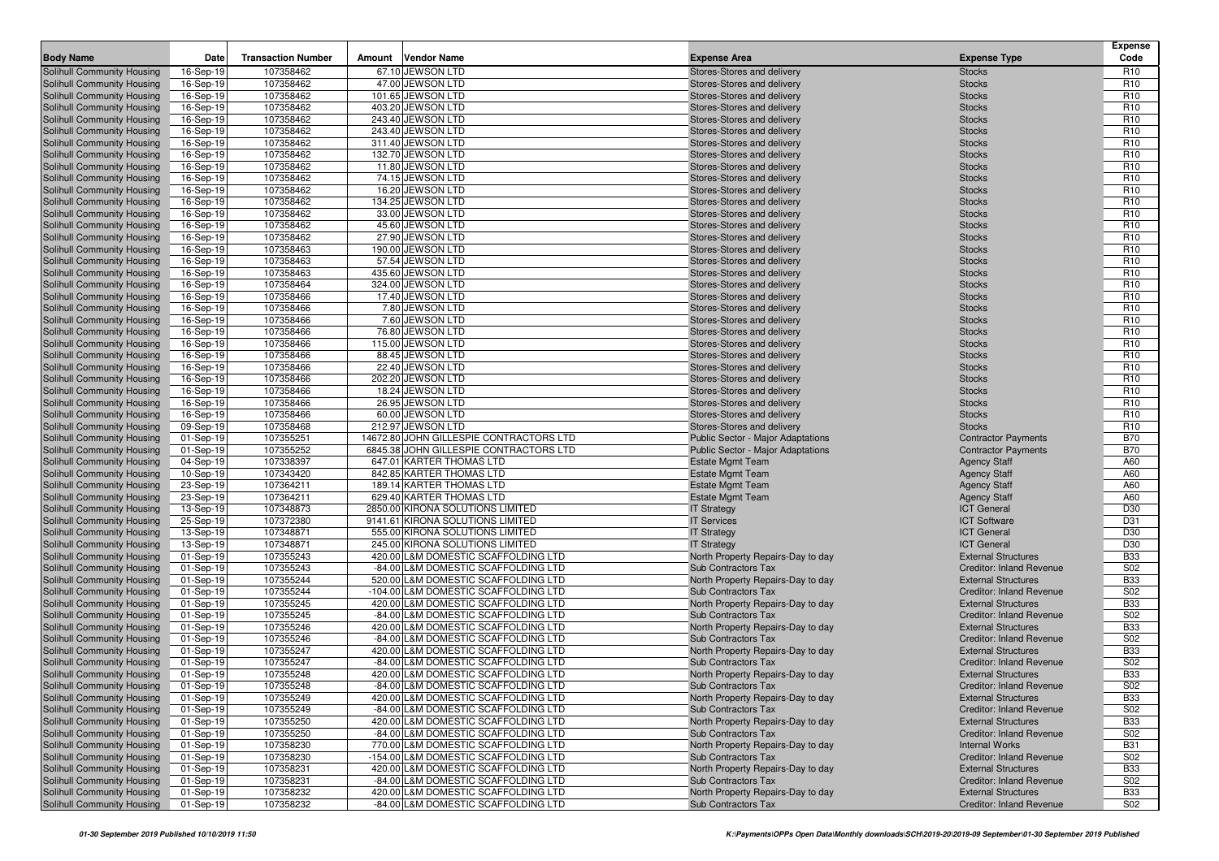|                                   |             |                           |        |                                         |                                          |                                 | <b>Expense</b>  |
|-----------------------------------|-------------|---------------------------|--------|-----------------------------------------|------------------------------------------|---------------------------------|-----------------|
| <b>Body Name</b>                  | Date        | <b>Transaction Number</b> | Amount | <b>Vendor Name</b>                      | <b>Expense Area</b>                      | <b>Expense Type</b>             | Code            |
| Solihull Community Housing        | 16-Sep-19   | 107358462                 |        | 67.10 JEWSON LTD                        | Stores-Stores and delivery               | <b>Stocks</b>                   | R <sub>10</sub> |
| Solihull Community Housing        | 16-Sep-19   | 107358462                 |        | 47.00 JEWSON LTD                        | Stores-Stores and delivery               | <b>Stocks</b>                   | R <sub>10</sub> |
| Solihull Community Housing        | 16-Sep-19   | 107358462                 |        | 101.65 JEWSON LTD                       | Stores-Stores and delivery               | <b>Stocks</b>                   | R <sub>10</sub> |
| Solihull Community Housing        | 16-Sep-19   | 107358462                 |        | 403.20 JEWSON LTD                       | Stores-Stores and delivery               | <b>Stocks</b>                   | R <sub>10</sub> |
| Solihull Community Housing        | 16-Sep-19   | 107358462                 |        | 243.40 JEWSON LTD                       | Stores-Stores and delivery               | <b>Stocks</b>                   | R <sub>10</sub> |
| Solihull Community Housing        | 16-Sep-19   | 107358462                 |        | 243.40 JEWSON LTD                       | Stores-Stores and delivery               | <b>Stocks</b>                   | R <sub>10</sub> |
| Solihull Community Housing        | 16-Sep-19   | 107358462                 |        | 311.40 JEWSON LTD                       | Stores-Stores and delivery               | <b>Stocks</b>                   | R <sub>10</sub> |
| Solihull Community Housing        | 16-Sep-19   | 107358462                 |        | 132.70 JEWSON LTD                       | Stores-Stores and delivery               | <b>Stocks</b>                   | R <sub>10</sub> |
| Solihull Community Housing        | 16-Sep-19   | 107358462                 |        | 11.80 JEWSON LTD                        | Stores-Stores and delivery               | <b>Stocks</b>                   | R <sub>10</sub> |
| Solihull Community Housing        | 16-Sep-19   | 107358462                 |        | 74.15 JEWSON LTD                        | Stores-Stores and delivery               | <b>Stocks</b>                   | R <sub>10</sub> |
| Solihull Community Housing        | 16-Sep-19   | 107358462                 |        | 16.20 JEWSON LTD                        | Stores-Stores and delivery               | <b>Stocks</b>                   | R <sub>10</sub> |
| Solihull Community Housing        | 16-Sep-19   | 107358462                 |        | 134.25 JEWSON LTD                       | Stores-Stores and delivery               | <b>Stocks</b>                   | R <sub>10</sub> |
| Solihull Community Housing        | 16-Sep-19   | 107358462                 |        | 33.00 JEWSON LTD                        | Stores-Stores and delivery               | <b>Stocks</b>                   | R <sub>10</sub> |
| Solihull Community Housing        | 16-Sep-19   | 107358462                 |        | 45.60 JEWSON LTD                        | Stores-Stores and delivery               | <b>Stocks</b>                   | R <sub>10</sub> |
| Solihull Community Housing        | 16-Sep-19   | 107358462                 |        | 27.90 JEWSON LTD                        | Stores-Stores and delivery               | <b>Stocks</b>                   | R <sub>10</sub> |
| Solihull Community Housing        | 16-Sep-19   | 107358463                 |        | 190.00 JEWSON LTD                       | Stores-Stores and delivery               | <b>Stocks</b>                   | R <sub>10</sub> |
| Solihull Community Housing        | 16-Sep-19   | 107358463                 |        | 57.54 JEWSON LTD                        | Stores-Stores and delivery               | <b>Stocks</b>                   | R <sub>10</sub> |
| Solihull Community Housing        | 16-Sep-19   | 107358463                 |        | 435.60 JEWSON LTD                       | Stores-Stores and delivery               | <b>Stocks</b>                   | R <sub>10</sub> |
| Solihull Community Housing        | 16-Sep-19   | 107358464                 |        | 324.00 JEWSON LTD                       | Stores-Stores and delivery               | <b>Stocks</b>                   | R <sub>10</sub> |
| Solihull Community Housing        | 16-Sep-19   | 107358466                 |        | 17.40 JEWSON LTD                        | Stores-Stores and delivery               | <b>Stocks</b>                   | R <sub>10</sub> |
| Solihull Community Housing        | 16-Sep-19   | 107358466                 |        | 7.80 JEWSON LTD                         | Stores-Stores and delivery               | <b>Stocks</b>                   | R <sub>10</sub> |
| Solihull Community Housing        | 16-Sep-19   | 107358466                 |        | 7.60 JEWSON LTD                         | Stores-Stores and delivery               | <b>Stocks</b>                   | R <sub>10</sub> |
| Solihull Community Housing        | 16-Sep-19   | 107358466                 |        | 76.80 JEWSON LTD                        | Stores-Stores and delivery               | <b>Stocks</b>                   | R <sub>10</sub> |
| Solihull Community Housing        | 16-Sep-19   | 107358466                 |        | 115.00 JEWSON LTD                       | Stores-Stores and delivery               | <b>Stocks</b>                   | R <sub>10</sub> |
| Solihull Community Housing        | 16-Sep-19   | 107358466                 |        | 88.45 JEWSON LTD                        | Stores-Stores and delivery               | <b>Stocks</b>                   | R <sub>10</sub> |
| Solihull Community Housing        | 16-Sep-19   | 107358466                 |        | 22.40 JEWSON LTD                        | Stores-Stores and delivery               | <b>Stocks</b>                   | R <sub>10</sub> |
| Solihull Community Housing        | 16-Sep-19   | 107358466                 |        | 202.20 JEWSON LTD                       | Stores-Stores and delivery               | <b>Stocks</b>                   | R <sub>10</sub> |
| Solihull Community Housing        | 16-Sep-19   | 107358466                 |        | 18.24 JEWSON LTD                        | Stores-Stores and delivery               | <b>Stocks</b>                   | R <sub>10</sub> |
| Solihull Community Housing        | 16-Sep-19   | 107358466                 |        | 26.95 JEWSON LTD                        | Stores-Stores and delivery               | <b>Stocks</b>                   | R <sub>10</sub> |
| Solihull Community Housing        | 16-Sep-19   | 107358466                 |        | 60.00 JEWSON LTD                        | Stores-Stores and delivery               | <b>Stocks</b>                   | R <sub>10</sub> |
| Solihull Community Housing        | 09-Sep-19   | 107358468                 |        | 212.97 JEWSON LTD                       | Stores-Stores and delivery               | <b>Stocks</b>                   | R <sub>10</sub> |
| Solihull Community Housing        | 01-Sep-19   | 107355251                 |        | 14672.80 JOHN GILLESPIE CONTRACTORS LTD | Public Sector - Major Adaptations        | <b>Contractor Payments</b>      | <b>B70</b>      |
| Solihull Community Housing        | 01-Sep-19   | 107355252                 |        | 6845.38 JOHN GILLESPIE CONTRACTORS LTD  | <b>Public Sector - Major Adaptations</b> | <b>Contractor Payments</b>      | <b>B70</b>      |
| Solihull Community Housing        | 04-Sep-19   | 107338397                 |        | 647.01 KARTER THOMAS LTD                | <b>Estate Mgmt Team</b>                  | <b>Agency Staff</b>             | A60             |
| Solihull Community Housing        | 10-Sep-19   | 107343420                 |        | 842.85 KARTER THOMAS LTD                | <b>Estate Mgmt Team</b>                  | <b>Agency Staff</b>             | A60             |
| Solihull Community Housing        | 23-Sep-19   | 107364211                 |        | 189.14 KARTER THOMAS LTD                | <b>Estate Mgmt Team</b>                  | <b>Agency Staff</b>             | A60             |
| Solihull Community Housing        | 23-Sep-19   | 107364211                 |        | 629.40 KARTER THOMAS LTD                | <b>Estate Mgmt Team</b>                  | <b>Agency Staff</b>             | A60             |
| Solihull Community Housing        | 13-Sep-19   | 107348873                 |        | 2850.00 KIRONA SOLUTIONS LIMITED        | <b>IT Strategy</b>                       | <b>ICT</b> General              | D30             |
| Solihull Community Housing        | 25-Sep-19   | 107372380                 |        | 9141.61 KIRONA SOLUTIONS LIMITED        | <b>IT Services</b>                       | <b>ICT Software</b>             | D31             |
| Solihull Community Housing        | 13-Sep-19   | 107348871                 |        | 555.00 KIRONA SOLUTIONS LIMITED         | <b>IT Strategy</b>                       | <b>ICT</b> General              | D30             |
| Solihull Community Housing        | 13-Sep-19   | 107348871                 |        | 245.00 KIRONA SOLUTIONS LIMITED         | <b>IT Strategy</b>                       | <b>ICT</b> General              | D30             |
| Solihull Community Housing        | 01-Sep-19   | 107355243                 |        | 420.00 L&M DOMESTIC SCAFFOLDING LTD     | North Property Repairs-Day to day        | <b>External Structures</b>      | <b>B33</b>      |
| Solihull Community Housing        | 01-Sep-19   | 107355243                 |        | -84.00 L&M DOMESTIC SCAFFOLDING LTD     | Sub Contractors Tax                      | <b>Creditor: Inland Revenue</b> | S02             |
| Solihull Community Housing        | 01-Sep-19   | 107355244                 |        | 520.00 L&M DOMESTIC SCAFFOLDING LTD     | North Property Repairs-Day to day        | <b>External Structures</b>      | <b>B33</b>      |
| Solihull Community Housing        | 01-Sep-19   | 107355244                 |        | -104.00 L&M DOMESTIC SCAFFOLDING LTD    | Sub Contractors Tax                      | <b>Creditor: Inland Revenue</b> | S02             |
| Solihull Community Housing        | 01-Sep-19   | 107355245                 |        | 420.00 L&M DOMESTIC SCAFFOLDING LTD     | North Property Repairs-Day to day        | <b>External Structures</b>      | <b>B33</b>      |
| Solihull Community Housing        | 01-Sep-19   | 107355245                 |        | -84.00 L&M DOMESTIC SCAFFOLDING LTD     | Sub Contractors Tax                      | <b>Creditor: Inland Revenue</b> | S02             |
| Solihull Community Housing        | 01-Sep-19   | 107355246                 | 420.00 | L&M DOMESTIC SCAFFOLDING LTD            | North Property Repairs-Day to day        | <b>External Structures</b>      | <b>B33</b>      |
| Solihull Community Housing        | 01-Sep-19   | 107355246                 |        | -84.00 L&M DOMESTIC SCAFFOLDING LTD     | Sub Contractors Tax                      | <b>Creditor: Inland Revenue</b> | S02             |
| Solihull Community Housing        | 01-Sep-19   | 107355247                 |        | 420.00 L&M DOMESTIC SCAFFOLDING LTD     | North Property Repairs-Day to day        | <b>External Structures</b>      | <b>B33</b>      |
| Solihull Community Housing        | 01-Sep-19   | 107355247                 |        | -84.00 L&M DOMESTIC SCAFFOLDING LTD     | Sub Contractors Tax                      | <b>Creditor: Inland Revenue</b> | S02             |
| Solihull Community Housing        | 01-Sep-19   | 107355248                 |        | 420.00 L&M DOMESTIC SCAFFOLDING LTD     | North Property Repairs-Day to day        | <b>External Structures</b>      | <b>B33</b>      |
| Solihull Community Housing        | 01-Sep-19   | 107355248                 |        | -84.00 L&M DOMESTIC SCAFFOLDING LTD     | Sub Contractors Tax                      | <b>Creditor: Inland Revenue</b> | S02             |
| <b>Solihull Community Housing</b> | 01-Sep-19   | 107355249                 |        | 420.00 L&M DOMESTIC SCAFFOLDING LTD     | North Property Repairs-Day to day        | <b>External Structures</b>      | <b>B33</b>      |
| <b>Solihull Community Housing</b> | 01-Sep-19   | 107355249                 |        | -84.00 L&M DOMESTIC SCAFFOLDING LTD     | Sub Contractors Tax                      | <b>Creditor: Inland Revenue</b> | S02             |
| <b>Solihull Community Housing</b> | 01-Sep-19   | 107355250                 |        | 420.00 L&M DOMESTIC SCAFFOLDING LTD     | North Property Repairs-Day to day        | <b>External Structures</b>      | <b>B33</b>      |
| Solihull Community Housing        | 01-Sep-19   | 107355250                 |        | -84.00 L&M DOMESTIC SCAFFOLDING LTD     | Sub Contractors Tax                      | <b>Creditor: Inland Revenue</b> | S02             |
| Solihull Community Housing        | 01-Sep-19   | 107358230                 |        | 770.00 L&M DOMESTIC SCAFFOLDING LTD     | North Property Repairs-Day to day        | <b>Internal Works</b>           | <b>B31</b>      |
| Solihull Community Housing        | 01-Sep-19   | 107358230                 |        | -154.00 L&M DOMESTIC SCAFFOLDING LTD    | Sub Contractors Tax                      | <b>Creditor: Inland Revenue</b> | S02             |
| Solihull Community Housing        | 01-Sep-19   | 107358231                 |        | 420.00 L&M DOMESTIC SCAFFOLDING LTD     | North Property Repairs-Day to day        | <b>External Structures</b>      | <b>B33</b>      |
| Solihull Community Housing        | 01-Sep-19   | 107358231                 |        | -84.00 L&M DOMESTIC SCAFFOLDING LTD     | Sub Contractors Tax                      | <b>Creditor: Inland Revenue</b> | S02             |
| <b>Solihull Community Housing</b> | 01-Sep-19   | 107358232                 |        | 420.00 L&M DOMESTIC SCAFFOLDING LTD     | North Property Repairs-Day to day        | <b>External Structures</b>      | <b>B33</b>      |
| Solihull Community Housing        | $01-Sep-19$ | 107358232                 |        | -84.00 L&M DOMESTIC SCAFFOLDING LTD     | Sub Contractors Tax                      | <b>Creditor: Inland Revenue</b> | S02             |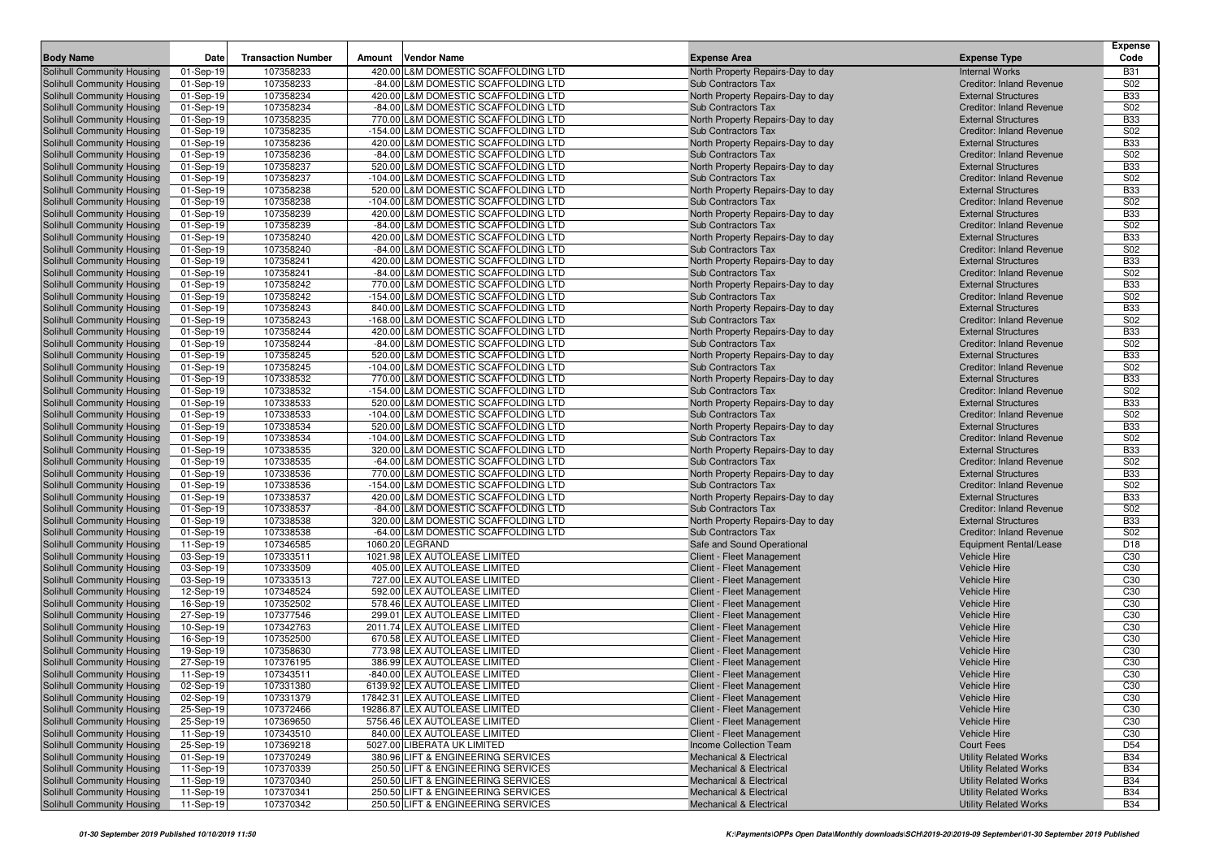|                                                          |                        |                           |                                                                             |                                                                 |                                                               | Expense                            |
|----------------------------------------------------------|------------------------|---------------------------|-----------------------------------------------------------------------------|-----------------------------------------------------------------|---------------------------------------------------------------|------------------------------------|
| <b>Body Name</b>                                         | Date                   | <b>Transaction Number</b> | <b>Vendor Name</b><br>Amount                                                | <b>Expense Area</b>                                             | <b>Expense Type</b>                                           | Code                               |
| Solihull Community Housing                               | 01-Sep-19              | 107358233                 | 420.00 L&M DOMESTIC SCAFFOLDING LTD                                         | North Property Repairs-Day to day                               | <b>Internal Works</b>                                         | <b>B31</b>                         |
| Solihull Community Housing                               | 01-Sep-19              | 107358233                 | -84.00 L&M DOMESTIC SCAFFOLDING LTD                                         | Sub Contractors Tax                                             | <b>Creditor: Inland Revenue</b>                               | S <sub>02</sub>                    |
| Solihull Community Housing                               | 01-Sep-19              | 107358234                 | 420.00 L&M DOMESTIC SCAFFOLDING LTD                                         | North Property Repairs-Day to day                               | <b>External Structures</b>                                    | <b>B33</b>                         |
| Solihull Community Housing                               | 01-Sep-19              | 107358234                 | -84.00 L&M DOMESTIC SCAFFOLDING LTD<br>770.00 L&M DOMESTIC SCAFFOLDING LTD  | Sub Contractors Tax                                             | <b>Creditor: Inland Revenue</b>                               | S <sub>02</sub><br><b>B33</b>      |
| Solihull Community Housing                               | 01-Sep-19              | 107358235                 | -154.00 L&M DOMESTIC SCAFFOLDING LTD                                        | North Property Repairs-Day to day                               | <b>External Structures</b>                                    | S02                                |
| Solihull Community Housing<br>Solihull Community Housing | 01-Sep-19<br>01-Sep-19 | 107358235<br>107358236    | 420.00 L&M DOMESTIC SCAFFOLDING LTD                                         | Sub Contractors Tax<br>North Property Repairs-Day to day        | <b>Creditor: Inland Revenue</b><br><b>External Structures</b> | <b>B33</b>                         |
| Solihull Community Housing                               | 01-Sep-19              | 107358236                 | -84.00 L&M DOMESTIC SCAFFOLDING LTD                                         | Sub Contractors Tax                                             | <b>Creditor: Inland Revenue</b>                               | <b>S02</b>                         |
| Solihull Community Housing                               | 01-Sep-19              | 107358237                 | 520.00 L&M DOMESTIC SCAFFOLDING LTD                                         | North Property Repairs-Day to day                               | <b>External Structures</b>                                    | <b>B33</b>                         |
| Solihull Community Housing                               | 01-Sep-19              | 107358237                 | -104.00 L&M DOMESTIC SCAFFOLDING LTD                                        | <b>Sub Contractors Tax</b>                                      | <b>Creditor: Inland Revenue</b>                               | S02                                |
| Solihull Community Housing                               | 01-Sep-19              | 107358238                 | 520.00 L&M DOMESTIC SCAFFOLDING LTD                                         | North Property Repairs-Day to day                               | <b>External Structures</b>                                    | <b>B33</b>                         |
| Solihull Community Housing                               | 01-Sep-19              | 107358238                 | -104.00 L&M DOMESTIC SCAFFOLDING LTD                                        | Sub Contractors Tax                                             | <b>Creditor: Inland Revenue</b>                               | S <sub>02</sub>                    |
| Solihull Community Housing                               | 01-Sep-19              | 107358239                 | 420.00 L&M DOMESTIC SCAFFOLDING LTD                                         | North Property Repairs-Day to day                               | <b>External Structures</b>                                    | <b>B33</b>                         |
| Solihull Community Housing                               | 01-Sep-19              | 107358239                 | -84.00 L&M DOMESTIC SCAFFOLDING LTD                                         | Sub Contractors Tax                                             | <b>Creditor: Inland Revenue</b>                               | S02                                |
| Solihull Community Housing                               | 01-Sep-19              | 107358240                 | 420.00 L&M DOMESTIC SCAFFOLDING LTD                                         | North Property Repairs-Day to day                               | <b>External Structures</b>                                    | <b>B33</b>                         |
| <b>Solihull Community Housing</b>                        | 01-Sep-19              | 107358240                 | -84.00 L&M DOMESTIC SCAFFOLDING LTD                                         | Sub Contractors Tax                                             | <b>Creditor: Inland Revenue</b>                               | S02                                |
| Solihull Community Housing                               | 01-Sep-19              | 107358241                 | 420.00 L&M DOMESTIC SCAFFOLDING LTD                                         | North Property Repairs-Day to day                               | <b>External Structures</b>                                    | <b>B33</b>                         |
| Solihull Community Housing                               | 01-Sep-19              | 107358241                 | -84.00 L&M DOMESTIC SCAFFOLDING LTD                                         | Sub Contractors Tax                                             | <b>Creditor: Inland Revenue</b>                               | S02                                |
| Solihull Community Housing                               | 01-Sep-19              | 107358242                 | 770.00 L&M DOMESTIC SCAFFOLDING LTD                                         | North Property Repairs-Day to day                               | <b>External Structures</b>                                    | <b>B33</b>                         |
| Solihull Community Housing                               | 01-Sep-19              | 107358242                 | -154.00 L&M DOMESTIC SCAFFOLDING LTD                                        | Sub Contractors Tax                                             | <b>Creditor: Inland Revenue</b>                               | S <sub>02</sub>                    |
| Solihull Community Housing                               | 01-Sep-19              | 107358243                 | 840.00 L&M DOMESTIC SCAFFOLDING LTD                                         | North Property Repairs-Day to day                               | <b>External Structures</b>                                    | <b>B33</b>                         |
| Solihull Community Housing                               | 01-Sep-19              | 107358243                 | -168.00 L&M DOMESTIC SCAFFOLDING LTD                                        | Sub Contractors Tax                                             | <b>Creditor: Inland Revenue</b>                               | S02                                |
| Solihull Community Housing                               | 01-Sep-19              | 107358244                 | 420.00 L&M DOMESTIC SCAFFOLDING LTD                                         | North Property Repairs-Day to day                               | <b>External Structures</b>                                    | <b>B33</b>                         |
| Solihull Community Housing                               | 01-Sep-19              | 107358244                 | -84.00 L&M DOMESTIC SCAFFOLDING LTD                                         | Sub Contractors Tax                                             | <b>Creditor: Inland Revenue</b>                               | S02                                |
| Solihull Community Housing                               | 01-Sep-19              | 107358245                 | 520.00 L&M DOMESTIC SCAFFOLDING LTD                                         | North Property Repairs-Day to day                               | <b>External Structures</b>                                    | <b>B33</b>                         |
| Solihull Community Housing                               | 01-Sep-19              | 107358245                 | -104.00 L&M DOMESTIC SCAFFOLDING LTD                                        | <b>Sub Contractors Tax</b>                                      | <b>Creditor: Inland Revenue</b>                               | S <sub>02</sub>                    |
| Solihull Community Housing                               | 01-Sep-19              | 107338532                 | 770.00 L&M DOMESTIC SCAFFOLDING LTD                                         | North Property Repairs-Day to day                               | <b>External Structures</b>                                    | <b>B33</b>                         |
| Solihull Community Housing                               | 01-Sep-19              | 107338532                 | -154.00 L&M DOMESTIC SCAFFOLDING LTD                                        | <b>Sub Contractors Tax</b><br>North Property Repairs-Day to day | <b>Creditor: Inland Revenue</b>                               | <b>S02</b><br><b>B33</b>           |
| Solihull Community Housing<br>Solihull Community Housing | 01-Sep-19<br>01-Sep-19 | 107338533<br>107338533    | 520.00 L&M DOMESTIC SCAFFOLDING LTD<br>-104.00 L&M DOMESTIC SCAFFOLDING LTD | Sub Contractors Tax                                             | <b>External Structures</b><br><b>Creditor: Inland Revenue</b> | S <sub>02</sub>                    |
| Solihull Community Housing                               | 01-Sep-19              | 107338534                 | 520.00 L&M DOMESTIC SCAFFOLDING LTD                                         | North Property Repairs-Day to day                               | <b>External Structures</b>                                    | <b>B33</b>                         |
| Solihull Community Housing                               | 01-Sep-19              | 107338534                 | -104.00 L&M DOMESTIC SCAFFOLDING LTD                                        | Sub Contractors Tax                                             | <b>Creditor: Inland Revenue</b>                               | S <sub>02</sub>                    |
| Solihull Community Housing                               | 01-Sep-19              | 107338535                 | 320.00 L&M DOMESTIC SCAFFOLDING LTD                                         | North Property Repairs-Day to day                               | <b>External Structures</b>                                    | <b>B33</b>                         |
| Solihull Community Housing                               | 01-Sep-19              | 107338535                 | -64.00 L&M DOMESTIC SCAFFOLDING LTD                                         | Sub Contractors Tax                                             | <b>Creditor: Inland Revenue</b>                               | S <sub>02</sub>                    |
| Solihull Community Housing                               | 01-Sep-19              | 107338536                 | 770.00 L&M DOMESTIC SCAFFOLDING LTD                                         | North Property Repairs-Day to day                               | <b>External Structures</b>                                    | <b>B33</b>                         |
| Solihull Community Housing                               | 01-Sep-19              | 107338536                 | -154.00 L&M DOMESTIC SCAFFOLDING LTD                                        | Sub Contractors Tax                                             | <b>Creditor: Inland Revenue</b>                               | S <sub>02</sub>                    |
| Solihull Community Housing                               | 01-Sep-19              | 107338537                 | 420.00 L&M DOMESTIC SCAFFOLDING LTD                                         | North Property Repairs-Day to day                               | <b>External Structures</b>                                    | <b>B33</b>                         |
| Solihull Community Housing                               | 01-Sep-19              | 107338537                 | -84.00 L&M DOMESTIC SCAFFOLDING LTD                                         | <b>Sub Contractors Tax</b>                                      | <b>Creditor: Inland Revenue</b>                               | S02                                |
| Solihull Community Housing                               | 01-Sep-19              | 107338538                 | 320.00 L&M DOMESTIC SCAFFOLDING LTD                                         | North Property Repairs-Day to day                               | <b>External Structures</b>                                    | <b>B33</b>                         |
| Solihull Community Housing                               | 01-Sep-19              | 107338538                 | -64.00 L&M DOMESTIC SCAFFOLDING LTD                                         | Sub Contractors Tax                                             | <b>Creditor: Inland Revenue</b>                               | S02                                |
| Solihull Community Housing                               | 11-Sep-19              | 107346585                 | 1060.20 LEGRAND                                                             | Safe and Sound Operational                                      | <b>Equipment Rental/Lease</b>                                 | D <sub>18</sub>                    |
| Solihull Community Housing                               | 03-Sep-19              | 107333511                 | 1021.98 LEX AUTOLEASE LIMITED                                               | Client - Fleet Management                                       | <b>Vehicle Hire</b>                                           | C <sub>30</sub>                    |
| Solihull Community Housing                               | 03-Sep-19              | 107333509                 | 405.00 LEX AUTOLEASE LIMITED                                                | Client - Fleet Management                                       | <b>Vehicle Hire</b>                                           | C <sub>30</sub>                    |
| Solihull Community Housing                               | 03-Sep-19              | 107333513                 | 727.00 LEX AUTOLEASE LIMITED                                                | Client - Fleet Management                                       | <b>Vehicle Hire</b>                                           | C30                                |
| Solihull Community Housing                               | 12-Sep-19              | 107348524                 | 592.00 LEX AUTOLEASE LIMITED                                                | Client - Fleet Management                                       | <b>Vehicle Hire</b>                                           | C <sub>30</sub>                    |
| Solihull Community Housing                               | 16-Sep-19              | 107352502<br>107377546    | 578.46 LEX AUTOLEASE LIMITED<br>299.01 LEX AUTOLEASE LIMITED                | Client - Fleet Management                                       | <b>Vehicle Hire</b>                                           | C <sub>30</sub>                    |
| Solihull Community Housing<br>Solihull Community Housing | 27-Sep-19<br>10-Sep-19 | 107342763                 | 2011.74 LEX AUTOLEASE LIMITED                                               | Client - Fleet Management<br>Client - Fleet Management          | <b>Vehicle Hire</b><br><b>Vehicle Hire</b>                    | C <sub>30</sub><br>C <sub>30</sub> |
| Solihull Community Housing                               | 16-Sep-19              | 107352500                 | 670.58 LEX AUTOLEASE LIMITED                                                | Client - Fleet Management                                       | <b>Vehicle Hire</b>                                           | C <sub>30</sub>                    |
| Solihull Community Housing                               | 19-Sep-19              | 107358630                 | 773.98 LEX AUTOLEASE LIMITED                                                | Client - Fleet Management                                       | <b>Vehicle Hire</b>                                           | C <sub>30</sub>                    |
| Solihull Community Housing                               | 27-Sep-19              | 107376195                 | 386.99 LEX AUTOLEASE LIMITED                                                | Client - Fleet Management                                       | <b>Vehicle Hire</b>                                           | C <sub>30</sub>                    |
| Solihull Community Housing                               | 11-Sep-19              | 107343511                 | -840.00 LEX AUTOLEASE LIMITED                                               | Client - Fleet Management                                       | <b>Vehicle Hire</b>                                           | C <sub>30</sub>                    |
| Solihull Community Housing                               | 02-Sep-19              | 107331380                 | 6139.92 LEX AUTOLEASE LIMITED                                               | Client - Fleet Management                                       | Vehicle Hire                                                  | C30                                |
| Solihull Community Housing                               | 02-Sep-19              | 107331379                 | 17842.31 LEX AUTOLEASE LIMITED                                              | Client - Fleet Management                                       | Vehicle Hire                                                  | C <sub>30</sub>                    |
| Solihull Community Housing                               | 25-Sep-19              | 107372466                 | 19286.87 LEX AUTOLEASE LIMITED                                              | Client - Fleet Management                                       | <b>Vehicle Hire</b>                                           | C <sub>30</sub>                    |
| Solihull Community Housing                               | 25-Sep-19              | 107369650                 | 5756.46 LEX AUTOLEASE LIMITED                                               | Client - Fleet Management                                       | <b>Vehicle Hire</b>                                           | C <sub>30</sub>                    |
| Solihull Community Housing                               | 11-Sep-19              | 107343510                 | 840.00 LEX AUTOLEASE LIMITED                                                | Client - Fleet Management                                       | <b>Vehicle Hire</b>                                           | C <sub>30</sub>                    |
| Solihull Community Housing                               | 25-Sep-19              | 107369218                 | 5027.00 LIBERATA UK LIMITED                                                 | Income Collection Team                                          | <b>Court Fees</b>                                             | D <sub>54</sub>                    |
| Solihull Community Housing                               | 01-Sep-19              | 107370249                 | 380.96 LIFT & ENGINEERING SERVICES                                          | <b>Mechanical &amp; Electrical</b>                              | <b>Utility Related Works</b>                                  | <b>B34</b>                         |
| Solihull Community Housing                               | 11-Sep-19              | 107370339                 | 250.50 LIFT & ENGINEERING SERVICES                                          | <b>Mechanical &amp; Electrical</b>                              | <b>Utility Related Works</b>                                  | <b>B34</b>                         |
| Solihull Community Housing                               | 11-Sep-19              | 107370340                 | 250.50 LIFT & ENGINEERING SERVICES                                          | <b>Mechanical &amp; Electrical</b>                              | <b>Utility Related Works</b>                                  | <b>B34</b>                         |
| Solihull Community Housing                               | 11-Sep-19              | 107370341                 | 250.50 LIFT & ENGINEERING SERVICES                                          | <b>Mechanical &amp; Electrical</b>                              | <b>Utility Related Works</b>                                  | <b>B34</b>                         |
| Solihull Community Housing                               | 11-Sep-19              | 107370342                 | 250.50 LIFT & ENGINEERING SERVICES                                          | <b>Mechanical &amp; Electrical</b>                              | <b>Utility Related Works</b>                                  | <b>B34</b>                         |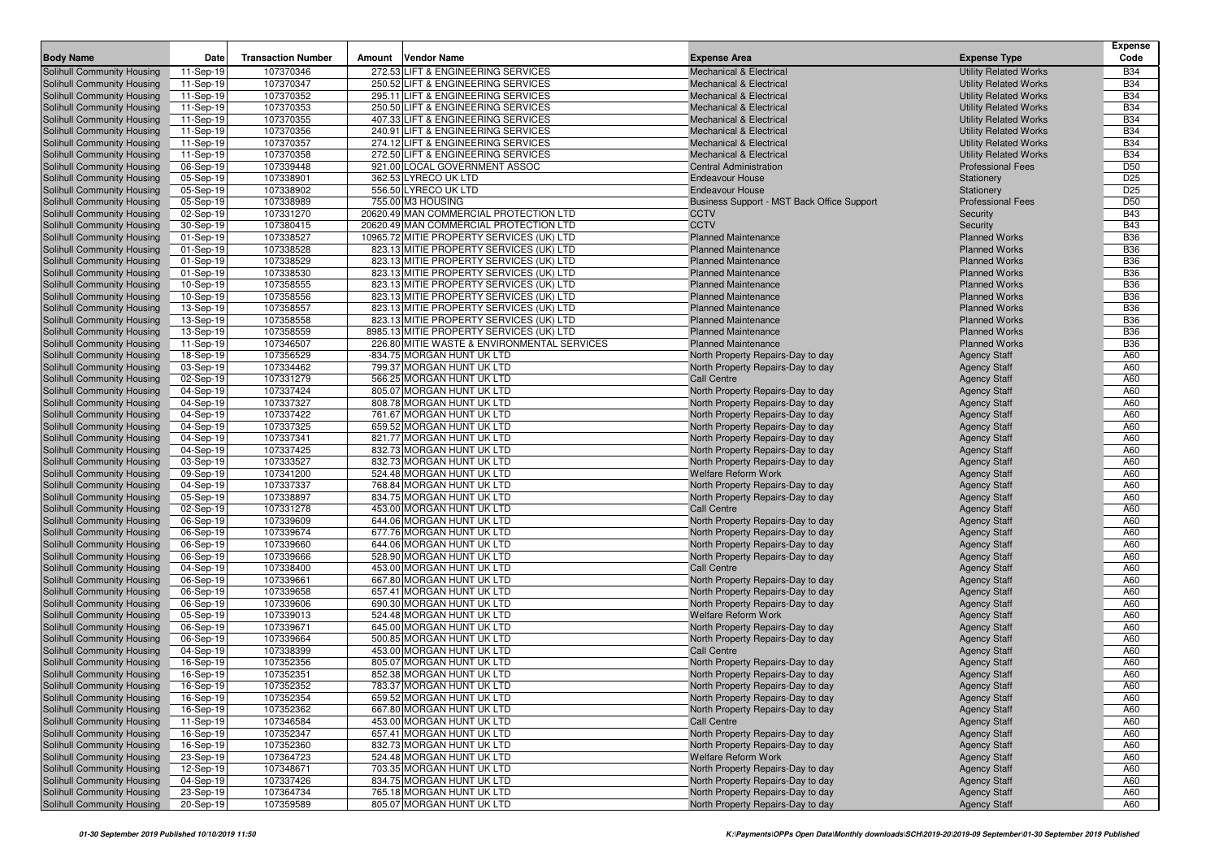|                                                          |                        |                           |                                                        |                                                                        |                                            | <b>Expense</b>                     |
|----------------------------------------------------------|------------------------|---------------------------|--------------------------------------------------------|------------------------------------------------------------------------|--------------------------------------------|------------------------------------|
| <b>Body Name</b>                                         | Date                   | <b>Transaction Number</b> | <b>Vendor Name</b><br>Amount                           | <b>Expense Area</b>                                                    | <b>Expense Type</b>                        | Code                               |
| Solihull Community Housing                               | 11-Sep-19              | 107370346                 | 272.53 LIFT & ENGINEERING SERVICES                     | <b>Mechanical &amp; Electrical</b>                                     | <b>Utility Related Works</b>               | <b>B34</b>                         |
| Solihull Community Housing                               | 11-Sep-19              | 107370347                 | 250.52 LIFT & ENGINEERING SERVICES                     | <b>Mechanical &amp; Electrical</b>                                     | <b>Utility Related Works</b>               | <b>B34</b>                         |
| Solihull Community Housing                               | 11-Sep-19              | 107370352                 | 295.11 LIFT & ENGINEERING SERVICES                     | <b>Mechanical &amp; Electrical</b>                                     | <b>Utility Related Works</b>               | <b>B34</b>                         |
| Solihull Community Housing                               | 11-Sep-19              | 107370353                 | 250.50 LIFT & ENGINEERING SERVICES                     | <b>Mechanical &amp; Electrical</b>                                     | <b>Utility Related Works</b>               | <b>B34</b>                         |
| Solihull Community Housing                               | 11-Sep-19              | 107370355                 | 407.33 LIFT & ENGINEERING SERVICES                     | <b>Mechanical &amp; Electrical</b>                                     | <b>Utility Related Works</b>               | <b>B34</b>                         |
| Solihull Community Housing                               | 11-Sep-19              | 107370356                 | 240.91 LIFT & ENGINEERING SERVICES                     | <b>Mechanical &amp; Electrical</b>                                     | <b>Utility Related Works</b>               | <b>B34</b>                         |
| Solihull Community Housing                               | 11-Sep-19              | 107370357                 | 274.12 LIFT & ENGINEERING SERVICES                     | <b>Mechanical &amp; Electrical</b>                                     | <b>Utility Related Works</b>               | <b>B34</b>                         |
| Solihull Community Housing                               | 11-Sep-19              | 107370358                 | 272.50 LIFT & ENGINEERING SERVICES                     | <b>Mechanical &amp; Electrical</b>                                     | <b>Utility Related Works</b>               | <b>B34</b>                         |
| Solihull Community Housing                               | 06-Sep-19              | 107339448                 | 921.00 LOCAL GOVERNMENT ASSOC                          | <b>Central Administration</b>                                          | <b>Professional Fees</b>                   | D <sub>50</sub><br>D <sub>25</sub> |
| Solihull Community Housing<br>Solihull Community Housing | 05-Sep-19<br>05-Sep-19 | 107338901<br>107338902    | 362.53 LYRECO UK LTD<br>556.50 LYRECO UK LTD           | <b>Endeavour House</b><br><b>Endeavour House</b>                       | Stationery<br>Stationery                   | D <sub>25</sub>                    |
| Solihull Community Housing                               | 05-Sep-19              | 107338989                 | 755.00 M3 HOUSING                                      | Business Support - MST Back Office Support                             | <b>Professional Fees</b>                   | D <sub>50</sub>                    |
| Solihull Community Housing                               | 02-Sep-19              | 107331270                 | 20620.49 MAN COMMERCIAL PROTECTION LTD                 | <b>CCTV</b>                                                            | Security                                   | <b>B43</b>                         |
| Solihull Community Housing                               | 30-Sep-19              | 107380415                 | 20620.49 MAN COMMERCIAL PROTECTION LTD                 | <b>CCTV</b>                                                            | Security                                   | <b>B43</b>                         |
| Solihull Community Housing                               | 01-Sep-19              | 107338527                 | 10965.72 MITIE PROPERTY SERVICES (UK) LTD              | <b>Planned Maintenance</b>                                             | <b>Planned Works</b>                       | <b>B36</b>                         |
| Solihull Community Housing                               | 01-Sep-19              | 107338528                 | 823.13 MITIE PROPERTY SERVICES (UK) LTD                | <b>Planned Maintenance</b>                                             | <b>Planned Works</b>                       | <b>B36</b>                         |
| Solihull Community Housing                               | 01-Sep-19              | 107338529                 | 823.13 MITIE PROPERTY SERVICES (UK) LTD                | <b>Planned Maintenance</b>                                             | <b>Planned Works</b>                       | <b>B36</b>                         |
| Solihull Community Housing                               | 01-Sep-19              | 107338530                 | 823.13 MITIE PROPERTY SERVICES (UK) LTD                | <b>Planned Maintenance</b>                                             | <b>Planned Works</b>                       | <b>B36</b>                         |
| Solihull Community Housing                               | 10-Sep-19              | 107358555                 | 823.13 MITIE PROPERTY SERVICES (UK) LTD                | <b>Planned Maintenance</b>                                             | <b>Planned Works</b>                       | <b>B36</b>                         |
| Solihull Community Housing                               | 10-Sep-19              | 107358556                 | 823.13 MITIE PROPERTY SERVICES (UK) LTD                | <b>Planned Maintenance</b>                                             | <b>Planned Works</b>                       | <b>B36</b>                         |
| Solihull Community Housing                               | 13-Sep-19              | 107358557                 | 823.13 MITIE PROPERTY SERVICES (UK) LTD                | <b>Planned Maintenance</b>                                             | <b>Planned Works</b>                       | <b>B36</b>                         |
| Solihull Community Housing                               | 13-Sep-19              | 107358558                 | 823.13 MITIE PROPERTY SERVICES (UK) LTD                | <b>Planned Maintenance</b>                                             | <b>Planned Works</b>                       | <b>B36</b>                         |
| Solihull Community Housing                               | 13-Sep-19              | 107358559                 | 8985.13 MITIE PROPERTY SERVICES (UK) LTD               | <b>Planned Maintenance</b>                                             | <b>Planned Works</b>                       | <b>B36</b>                         |
| Solihull Community Housing                               | 11-Sep-19              | 107346507                 | 226.80 MITIE WASTE & ENVIRONMENTAL SERVICES            | <b>Planned Maintenance</b>                                             | <b>Planned Works</b>                       | <b>B36</b>                         |
| Solihull Community Housing                               | 18-Sep-19              | 107356529                 | -834.75 MORGAN HUNT UK LTD                             | North Property Repairs-Day to day                                      | <b>Agency Staff</b>                        | A60                                |
| Solihull Community Housing                               | 03-Sep-19              | 107334462                 | 799.37 MORGAN HUNT UK LTD                              | North Property Repairs-Day to day                                      | <b>Agency Staff</b>                        | A60                                |
| Solihull Community Housing                               | 02-Sep-19              | 107331279                 | 566.25 MORGAN HUNT UK LTD                              | <b>Call Centre</b>                                                     | <b>Agency Staff</b>                        | A60                                |
| Solihull Community Housing                               | 04-Sep-19              | 107337424                 | 805.07 MORGAN HUNT UK LTD                              | North Property Repairs-Day to day                                      | <b>Agency Staff</b>                        | A60                                |
| Solihull Community Housing                               | 04-Sep-19              | 107337327                 | 808.78 MORGAN HUNT UK LTD                              | North Property Repairs-Day to day                                      | <b>Agency Staff</b>                        | A60                                |
| Solihull Community Housing                               | 04-Sep-19              | 107337422                 | 761.67 MORGAN HUNT UK LTD                              | North Property Repairs-Day to day                                      | <b>Agency Staff</b>                        | A60                                |
| Solihull Community Housing                               | 04-Sep-19<br>04-Sep-19 | 107337325                 | 659.52 MORGAN HUNT UK LTD<br>821.77 MORGAN HUNT UK LTD | North Property Repairs-Day to day                                      | <b>Agency Staff</b>                        | A60<br>A60                         |
| Solihull Community Housing<br>Solihull Community Housing | 04-Sep-19              | 107337341<br>107337425    | 832.73 MORGAN HUNT UK LTD                              | North Property Repairs-Day to day<br>North Property Repairs-Day to day | <b>Agency Staff</b>                        | A60                                |
| Solihull Community Housing                               | 03-Sep-19              | 107333527                 | 832.73 MORGAN HUNT UK LTD                              | North Property Repairs-Day to day                                      | <b>Agency Staff</b><br><b>Agency Staff</b> | A60                                |
| Solihull Community Housing                               | 09-Sep-19              | 107341200                 | 524.48 MORGAN HUNT UK LTD                              | <b>Welfare Reform Work</b>                                             | <b>Agency Staff</b>                        | A60                                |
| Solihull Community Housing                               | 04-Sep-19              | 107337337                 | 768.84 MORGAN HUNT UK LTD                              | North Property Repairs-Day to day                                      | <b>Agency Staff</b>                        | A60                                |
| Solihull Community Housing                               | 05-Sep-19              | 107338897                 | 834.75 MORGAN HUNT UK LTD                              | North Property Repairs-Day to day                                      | <b>Agency Staff</b>                        | A60                                |
| Solihull Community Housing                               | 02-Sep-19              | 107331278                 | 453.00 MORGAN HUNT UK LTD                              | <b>Call Centre</b>                                                     | <b>Agency Staff</b>                        | A60                                |
| Solihull Community Housing                               | 06-Sep-19              | 107339609                 | 644.06 MORGAN HUNT UK LTD                              | North Property Repairs-Day to day                                      | <b>Agency Staff</b>                        | A60                                |
| Solihull Community Housing                               | 06-Sep-19              | 107339674                 | 677.76 MORGAN HUNT UK LTD                              | North Property Repairs-Day to day                                      | <b>Agency Staff</b>                        | A60                                |
| Solihull Community Housing                               | 06-Sep-19              | 107339660                 | 644.06 MORGAN HUNT UK LTD                              | North Property Repairs-Day to day                                      | <b>Agency Staff</b>                        | A60                                |
| Solihull Community Housing                               | 06-Sep-19              | 107339666                 | 528.90 MORGAN HUNT UK LTD                              | North Property Repairs-Day to day                                      | <b>Agency Staff</b>                        | A60                                |
| Solihull Community Housing                               | 04-Sep-19              | 107338400                 | 453.00 MORGAN HUNT UK LTD                              | Call Centre                                                            | <b>Agency Staff</b>                        | A60                                |
| Solihull Community Housing                               | 06-Sep-19              | 107339661                 | 667.80 MORGAN HUNT UK LTD                              | North Property Repairs-Day to day                                      | <b>Agency Staff</b>                        | A60                                |
| Solihull Community Housing                               | 06-Sep-19              | 107339658                 | 657.41 MORGAN HUNT UK LTD                              | North Property Repairs-Day to day                                      | <b>Agency Staff</b>                        | A60                                |
| Solihull Community Housing                               | 06-Sep-19              | 107339606                 | 690.30 MORGAN HUNT UK LTD                              | North Property Repairs-Day to day                                      | <b>Agency Staff</b>                        | A60                                |
| Solihull Community Housing                               | 05-Sep-19              | 107339013                 | 524.48 MORGAN HUNT UK LTD                              | Welfare Reform Work                                                    | <b>Agency Staff</b>                        | A60                                |
| Solihull Community Housing                               | 06-Sep-19              | 107339671                 | 645.00 MORGAN HUNT UK LTD                              | North Property Repairs-Day to day                                      | <b>Agency Staff</b>                        | A60                                |
| Solihull Community Housing                               | 06-Sep-19              | 107339664                 | 500.85 MORGAN HUNT UK LTD<br>453.00 MORGAN HUNT UK LTD | North Property Repairs-Day to day                                      | <b>Agency Staff</b>                        | A60                                |
| Solihull Community Housing                               | 04-Sep-19              | 107338399<br>107352356    |                                                        | <b>Call Centre</b><br>North Property Repairs-Day to day                | <b>Agency Staff</b>                        | A60<br>A60                         |
| Solihull Community Housing<br>Solihull Community Housing | 16-Sep-19<br>16-Sep-19 | 107352351                 | 805.07 MORGAN HUNT UK LTD<br>852.38 MORGAN HUNT UK LTD | North Property Repairs-Day to day                                      | <b>Agency Staff</b><br><b>Agency Staff</b> | A60                                |
| Solihull Community Housing                               | 16-Sep-19              | 107352352                 | 783.37 MORGAN HUNT UK LTD                              | North Property Repairs-Day to day                                      | <b>Agency Staff</b>                        | A60                                |
| Solihull Community Housing                               | 16-Sep-19              | 107352354                 | 659.52 MORGAN HUNT UK LTD                              | North Property Repairs-Day to day                                      | <b>Agency Staff</b>                        | A60                                |
| Solihull Community Housing                               | 16-Sep-19              | 107352362                 | 667.80 MORGAN HUNT UK LTD                              | North Property Repairs-Day to day                                      | <b>Agency Staff</b>                        | A60                                |
| Solihull Community Housing                               | 11-Sep-19              | 107346584                 | 453.00 MORGAN HUNT UK LTD                              | Call Centre                                                            | <b>Agency Staff</b>                        | A60                                |
| Solihull Community Housing                               | 16-Sep-19              | 107352347                 | 657.41 MORGAN HUNT UK LTD                              | North Property Repairs-Day to day                                      | <b>Agency Staff</b>                        | A60                                |
| Solihull Community Housing                               | 16-Sep-19              | 107352360                 | 832.73 MORGAN HUNT UK LTD                              | North Property Repairs-Day to day                                      | <b>Agency Staff</b>                        | A60                                |
| Solihull Community Housing                               | 23-Sep-19              | 107364723                 | 524.48 MORGAN HUNT UK LTD                              | <b>Welfare Reform Work</b>                                             | <b>Agency Staff</b>                        | A60                                |
| Solihull Community Housing                               | 12-Sep-19              | 107348671                 | 703.35 MORGAN HUNT UK LTD                              | North Property Repairs-Day to day                                      | <b>Agency Staff</b>                        | A60                                |
| Solihull Community Housing                               | 04-Sep-19              | 107337426                 | 834.75 MORGAN HUNT UK LTD                              | North Property Repairs-Day to day                                      | <b>Agency Staff</b>                        | A60                                |
| Solihull Community Housing                               | 23-Sep-19              | 107364734                 | 765.18 MORGAN HUNT UK LTD                              | North Property Repairs-Day to day                                      | <b>Agency Staff</b>                        | A60                                |
| Solihull Community Housing                               | 20-Sep-19              | 107359589                 | 805.07 MORGAN HUNT UK LTD                              | North Property Repairs-Day to day                                      | <b>Agency Staff</b>                        | A60                                |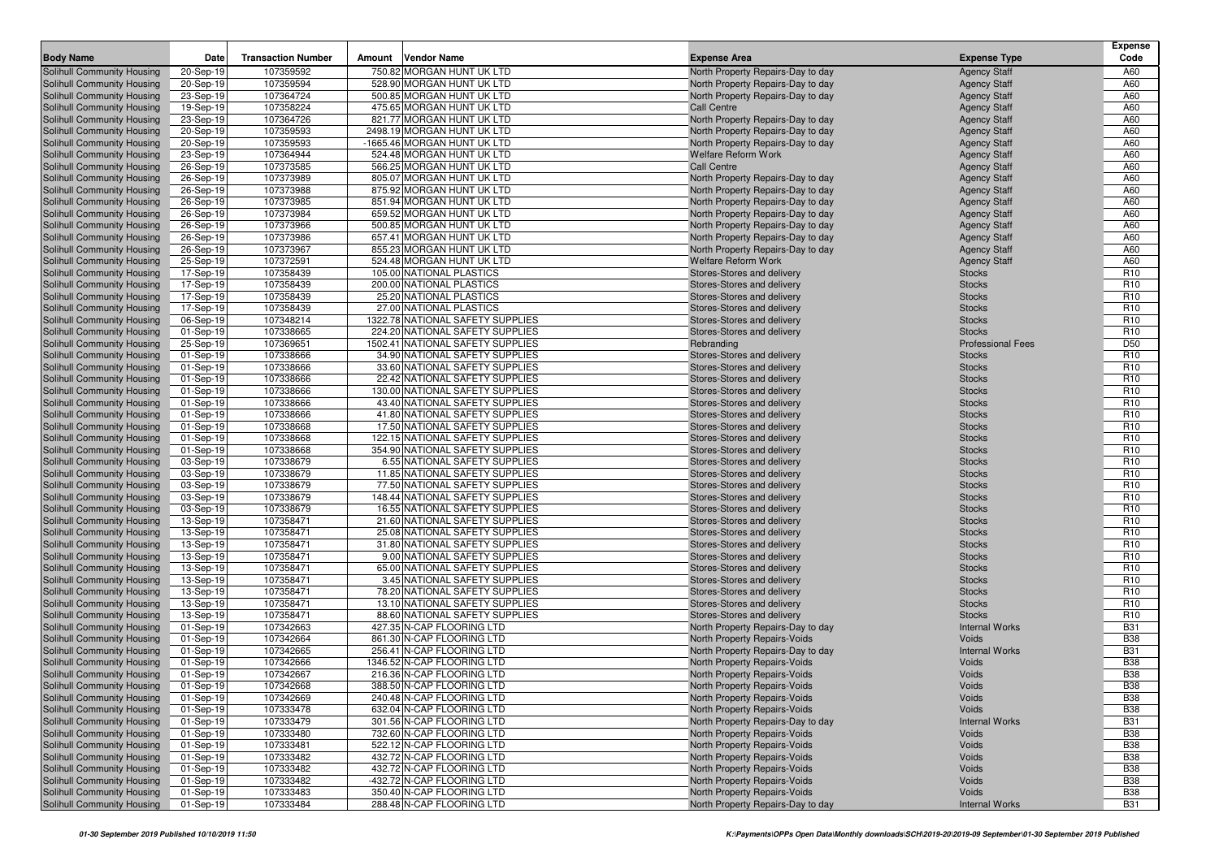| <b>Body Name</b>                                         | Date                   | <b>Transaction Number</b> | Amount | <b>Vendor Name</b>                                               | <b>Expense Area</b>                                          | <b>Expense Type</b>            | Expense<br>Code                    |
|----------------------------------------------------------|------------------------|---------------------------|--------|------------------------------------------------------------------|--------------------------------------------------------------|--------------------------------|------------------------------------|
| Solihull Community Housing                               | 20-Sep-19              | 107359592                 |        | 750.82 MORGAN HUNT UK LTD                                        | North Property Repairs-Day to day                            | <b>Agency Staff</b>            | A60                                |
| Solihull Community Housing                               | 20-Sep-19              | 107359594                 |        | 528.90 MORGAN HUNT UK LTD                                        | North Property Repairs-Day to day                            | <b>Agency Staff</b>            | A60                                |
| Solihull Community Housing                               | 23-Sep-19              | 107364724                 |        | 500.85 MORGAN HUNT UK LTD                                        | North Property Repairs-Day to day                            | <b>Agency Staff</b>            | A60                                |
| Solihull Community Housing                               | 19-Sep-19              | 107358224                 |        | 475.65 MORGAN HUNT UK LTD                                        | Call Centre                                                  | <b>Agency Staff</b>            | A60                                |
| Solihull Community Housing                               | 23-Sep-19              | 107364726                 |        | 821.77 MORGAN HUNT UK LTD                                        | North Property Repairs-Day to day                            | <b>Agency Staff</b>            | A60                                |
| Solihull Community Housing                               | 20-Sep-19              | 107359593                 |        | 2498.19 MORGAN HUNT UK LTD                                       | North Property Repairs-Day to day                            | <b>Agency Staff</b>            | A60                                |
| Solihull Community Housing                               | 20-Sep-19              | 107359593                 |        | -1665.46 MORGAN HUNT UK LTD                                      | North Property Repairs-Day to day                            | <b>Agency Staff</b>            | A60                                |
| Solihull Community Housing                               | 23-Sep-19              | 107364944                 |        | 524.48 MORGAN HUNT UK LTD                                        | <b>Welfare Reform Work</b>                                   | <b>Agency Staff</b>            | A60                                |
| Solihull Community Housing                               | 26-Sep-19              | 107373585                 |        | 566.25 MORGAN HUNT UK LTD                                        | <b>Call Centre</b>                                           | <b>Agency Staff</b>            | A60                                |
| Solihull Community Housing                               | 26-Sep-19              | 107373989                 |        | 805.07 MORGAN HUNT UK LTD                                        | North Property Repairs-Day to day                            | <b>Agency Staff</b>            | A60                                |
| Solihull Community Housing                               | 26-Sep-19              | 107373988                 |        | 875.92 MORGAN HUNT UK LTD                                        | North Property Repairs-Day to day                            | <b>Agency Staff</b>            | A60                                |
| Solihull Community Housing                               | 26-Sep-19              | 107373985                 |        | 851.94 MORGAN HUNT UK LTD                                        | North Property Repairs-Day to day                            | <b>Agency Staff</b>            | A60                                |
| Solihull Community Housing                               | 26-Sep-19              | 107373984                 |        | 659.52 MORGAN HUNT UK LTD                                        | North Property Repairs-Day to day                            | <b>Agency Staff</b>            | A60                                |
| Solihull Community Housing                               | 26-Sep-19              | 107373966                 |        | 500.85 MORGAN HUNT UK LTD                                        | North Property Repairs-Day to day                            | <b>Agency Staff</b>            | A60                                |
| Solihull Community Housing                               | 26-Sep-19              | 107373986                 |        | 657.41 MORGAN HUNT UK LTD                                        | North Property Repairs-Day to day                            | <b>Agency Staff</b>            | A60                                |
| Solihull Community Housing                               | 26-Sep-19              | 107373967                 |        | 855.23 MORGAN HUNT UK LTD                                        | North Property Repairs-Day to day                            | <b>Agency Staff</b>            | A60                                |
| Solihull Community Housing                               | 25-Sep-19              | 107372591                 |        | 524.48 MORGAN HUNT UK LTD                                        | <b>Welfare Reform Work</b>                                   | <b>Agency Staff</b>            | A60                                |
| Solihull Community Housing                               | 17-Sep-19              | 107358439                 |        | 105.00 NATIONAL PLASTICS                                         | Stores-Stores and delivery                                   | <b>Stocks</b>                  | R <sub>10</sub>                    |
| Solihull Community Housing                               | 17-Sep-19              | 107358439                 |        | 200.00 NATIONAL PLASTICS                                         | Stores-Stores and delivery                                   | <b>Stocks</b>                  | R <sub>10</sub>                    |
| Solihull Community Housing                               | 17-Sep-19              | 107358439                 |        | 25.20 NATIONAL PLASTICS                                          | Stores-Stores and delivery                                   | <b>Stocks</b>                  | R <sub>10</sub>                    |
| Solihull Community Housing                               | 17-Sep-19              | 107358439                 |        | 27.00 NATIONAL PLASTICS                                          | Stores-Stores and delivery                                   | <b>Stocks</b>                  | R <sub>10</sub>                    |
| Solihull Community Housing                               | 06-Sep-19              | 107348214                 |        | 1322.78 NATIONAL SAFETY SUPPLIES                                 | Stores-Stores and delivery                                   | <b>Stocks</b>                  | R <sub>10</sub>                    |
| Solihull Community Housing                               | 01-Sep-19              | 107338665                 |        | 224.20 NATIONAL SAFETY SUPPLIES                                  | Stores-Stores and delivery                                   | <b>Stocks</b>                  | R <sub>10</sub>                    |
| Solihull Community Housing                               | 25-Sep-19              | 107369651                 |        | 1502.41 NATIONAL SAFETY SUPPLIES                                 | Rebranding                                                   | <b>Professional Fees</b>       | D <sub>50</sub>                    |
| Solihull Community Housing                               | 01-Sep-19              | 107338666                 |        | 34.90 NATIONAL SAFETY SUPPLIES<br>33.60 NATIONAL SAFETY SUPPLIES | Stores-Stores and delivery                                   | <b>Stocks</b>                  | R <sub>10</sub>                    |
| Solihull Community Housing                               | 01-Sep-19              | 107338666<br>107338666    |        | 22.42 NATIONAL SAFETY SUPPLIES                                   | Stores-Stores and delivery<br>Stores-Stores and delivery     | <b>Stocks</b><br><b>Stocks</b> | R <sub>10</sub><br>R <sub>10</sub> |
| Solihull Community Housing<br>Solihull Community Housing | 01-Sep-19<br>01-Sep-19 | 107338666                 |        | 130.00 NATIONAL SAFETY SUPPLIES                                  | Stores-Stores and delivery                                   | <b>Stocks</b>                  | R <sub>10</sub>                    |
| Solihull Community Housing                               | 01-Sep-19              | 107338666                 |        | 43.40 NATIONAL SAFETY SUPPLIES                                   | Stores-Stores and delivery                                   | <b>Stocks</b>                  | R <sub>10</sub>                    |
| Solihull Community Housing                               | 01-Sep-19              | 107338666                 |        | 41.80 NATIONAL SAFETY SUPPLIES                                   | Stores-Stores and delivery                                   | <b>Stocks</b>                  | R <sub>10</sub>                    |
| Solihull Community Housing                               | 01-Sep-19              | 107338668                 |        | 17.50 NATIONAL SAFETY SUPPLIES                                   | Stores-Stores and delivery                                   | <b>Stocks</b>                  | R <sub>10</sub>                    |
| Solihull Community Housing                               | 01-Sep-19              | 107338668                 |        | 122.15 NATIONAL SAFETY SUPPLIES                                  | Stores-Stores and delivery                                   | <b>Stocks</b>                  | R <sub>10</sub>                    |
| Solihull Community Housing                               | 01-Sep-19              | 107338668                 |        | 354.90 NATIONAL SAFETY SUPPLIES                                  | Stores-Stores and delivery                                   | <b>Stocks</b>                  | R <sub>10</sub>                    |
| Solihull Community Housing                               | 03-Sep-19              | 107338679                 |        | 6.55 NATIONAL SAFETY SUPPLIES                                    | Stores-Stores and delivery                                   | <b>Stocks</b>                  | R <sub>10</sub>                    |
| Solihull Community Housing                               | 03-Sep-19              | 107338679                 |        | 11.85 NATIONAL SAFETY SUPPLIES                                   | Stores-Stores and delivery                                   | <b>Stocks</b>                  | R <sub>10</sub>                    |
| Solihull Community Housing                               | 03-Sep-19              | 107338679                 |        | 77.50 NATIONAL SAFETY SUPPLIES                                   | Stores-Stores and delivery                                   | <b>Stocks</b>                  | R <sub>10</sub>                    |
| Solihull Community Housing                               | 03-Sep-19              | 107338679                 |        | 148.44 NATIONAL SAFETY SUPPLIES                                  | Stores-Stores and delivery                                   | <b>Stocks</b>                  | R <sub>10</sub>                    |
| Solihull Community Housing                               | 03-Sep-19              | 107338679                 |        | 16.55 NATIONAL SAFETY SUPPLIES                                   | Stores-Stores and delivery                                   | <b>Stocks</b>                  | R <sub>10</sub>                    |
| Solihull Community Housing                               | 13-Sep-19              | 107358471                 |        | 21.60 NATIONAL SAFETY SUPPLIES                                   | Stores-Stores and delivery                                   | <b>Stocks</b>                  | R <sub>10</sub>                    |
| Solihull Community Housing                               | 13-Sep-19              | 107358471                 |        | 25.08 NATIONAL SAFETY SUPPLIES                                   | Stores-Stores and delivery                                   | <b>Stocks</b>                  | R <sub>10</sub>                    |
| Solihull Community Housing                               | 13-Sep-19              | 107358471                 |        | 31.80 NATIONAL SAFETY SUPPLIES                                   | Stores-Stores and delivery                                   | <b>Stocks</b>                  | R <sub>10</sub>                    |
| Solihull Community Housing                               | 13-Sep-19              | 107358471                 |        | 9.00 NATIONAL SAFETY SUPPLIES                                    | Stores-Stores and delivery                                   | <b>Stocks</b>                  | R <sub>10</sub>                    |
| Solihull Community Housing                               | 13-Sep-19              | 107358471                 |        | 65.00 NATIONAL SAFETY SUPPLIES                                   | Stores-Stores and delivery                                   | <b>Stocks</b>                  | R <sub>10</sub>                    |
| Solihull Community Housing                               | 13-Sep-19              | 107358471                 |        | 3.45 NATIONAL SAFETY SUPPLIES                                    | Stores-Stores and delivery                                   | <b>Stocks</b>                  | R <sub>10</sub>                    |
| Solihull Community Housing                               | 13-Sep-19              | 107358471                 |        | 78.20 NATIONAL SAFETY SUPPLIES                                   | Stores-Stores and delivery                                   | <b>Stocks</b>                  | R <sub>10</sub>                    |
| Solihull Community Housing                               | 13-Sep-19              | 107358471                 |        | 13.10 NATIONAL SAFETY SUPPLIES                                   | Stores-Stores and delivery                                   | <b>Stocks</b>                  | R <sub>10</sub>                    |
| Solihull Community Housing                               | 13-Sep-19              | 107358471                 |        | 88.60 NATIONAL SAFETY SUPPLIES                                   | Stores-Stores and delivery                                   | <b>Stocks</b>                  | R <sub>10</sub>                    |
| Solihull Community Housing                               | 01-Sep-19              | 107342663                 |        | 427.35 N-CAP FLOORING LTD                                        | North Property Repairs-Day to day                            | <b>Internal Works</b>          | <b>B31</b>                         |
| Solihull Community Housing                               | 01-Sep-19              | 107342664                 |        | 861.30 N-CAP FLOORING LTD                                        | North Property Repairs-Voids                                 | Voids                          | <b>B38</b>                         |
| Solihull Community Housing                               | 01-Sep-19              | 107342665                 |        | 256.41 N-CAP FLOORING LTD                                        | North Property Repairs-Day to day                            | <b>Internal Works</b>          | <b>B31</b>                         |
| Solihull Community Housing<br>Solihull Community Housing | 01-Sep-19              | 107342666<br>107342667    |        | 1346.52 N-CAP FLOORING LTD<br>216.36 N-CAP FLOORING LTD          | North Property Repairs-Voids<br>North Property Repairs-Voids | Voids<br>Voids                 | <b>B38</b><br><b>B38</b>           |
| Solihull Community Housing                               | 01-Sep-19<br>01-Sep-19 | 107342668                 |        | 388.50 N-CAP FLOORING LTD                                        | North Property Repairs-Voids                                 | Voids                          | <b>B38</b>                         |
| Solihull Community Housing                               |                        | 107342669                 |        | 240.48 N-CAP FLOORING LTD                                        | North Property Repairs-Voids                                 | Voids                          | <b>B38</b>                         |
| Solihull Community Housing                               | 01-Sep-19<br>01-Sep-19 | 107333478                 |        | 632.04 N-CAP FLOORING LTD                                        | North Property Repairs-Voids                                 | Voids                          | <b>B38</b>                         |
| Solihull Community Housing                               | 01-Sep-19              | 107333479                 |        | 301.56 N-CAP FLOORING LTD                                        | North Property Repairs-Day to day                            | <b>Internal Works</b>          | <b>B31</b>                         |
| Solihull Community Housing                               | 01-Sep-19              | 107333480                 |        | 732.60 N-CAP FLOORING LTD                                        | North Property Repairs-Voids                                 | Voids                          | <b>B38</b>                         |
| Solihull Community Housing                               | 01-Sep-19              | 107333481                 |        | 522.12 N-CAP FLOORING LTD                                        | North Property Repairs-Voids                                 | Voids                          | <b>B38</b>                         |
| Solihull Community Housing                               | 01-Sep-19              | 107333482                 |        | 432.72 N-CAP FLOORING LTD                                        | North Property Repairs-Voids                                 | Voids                          | <b>B38</b>                         |
| Solihull Community Housing                               | 01-Sep-19              | 107333482                 |        | 432.72 N-CAP FLOORING LTD                                        | North Property Repairs-Voids                                 | Voids                          | <b>B38</b>                         |
| Solihull Community Housing                               | 01-Sep-19              | 107333482                 |        | -432.72 N-CAP FLOORING LTD                                       | North Property Repairs-Voids                                 | Voids                          | <b>B38</b>                         |
| Solihull Community Housing                               | 01-Sep-19              | 107333483                 |        | 350.40 N-CAP FLOORING LTD                                        | North Property Repairs-Voids                                 | Voids                          | <b>B38</b>                         |
| Solihull Community Housing                               | 01-Sep-19              | 107333484                 |        | 288.48 N-CAP FLOORING LTD                                        | North Property Repairs-Day to day                            | <b>Internal Works</b>          | <b>B31</b>                         |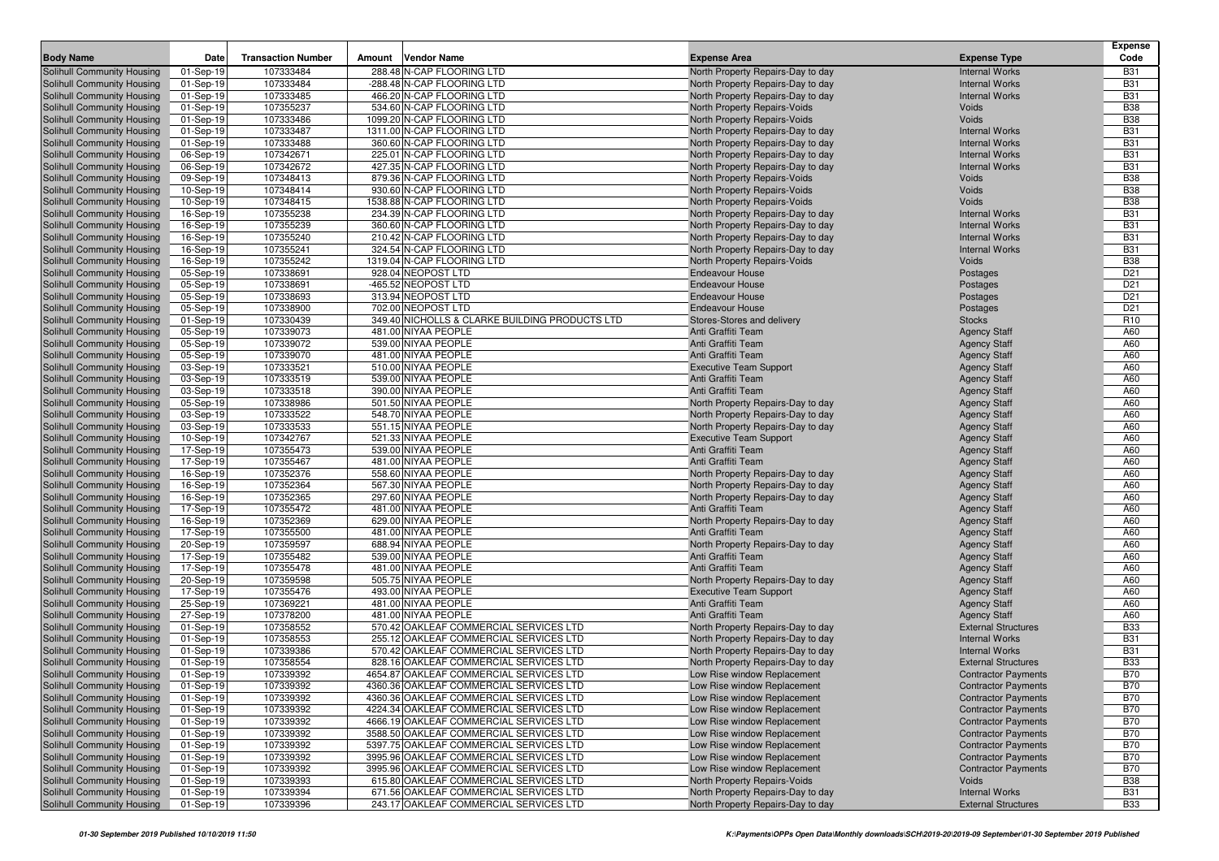|                                                          |                        |                           |        |                                                        |                                                                   |                                                | <b>Expense</b>           |
|----------------------------------------------------------|------------------------|---------------------------|--------|--------------------------------------------------------|-------------------------------------------------------------------|------------------------------------------------|--------------------------|
| <b>Body Name</b>                                         | Date                   | <b>Transaction Number</b> | Amount | <b>Vendor Name</b>                                     | <b>Expense Area</b>                                               | <b>Expense Type</b>                            | Code                     |
| Solihull Community Housing                               | 01-Sep-19              | 107333484                 |        | 288.48 N-CAP FLOORING LTD                              | North Property Repairs-Day to day                                 | <b>Internal Works</b>                          | <b>B31</b>               |
| Solihull Community Housing                               | 01-Sep-19              | 107333484                 |        | -288.48 N-CAP FLOORING LTD                             | North Property Repairs-Day to day                                 | <b>Internal Works</b>                          | <b>B31</b>               |
| Solihull Community Housing                               | 01-Sep-19              | 107333485                 |        | 466.20 N-CAP FLOORING LTD                              | North Property Repairs-Day to day                                 | <b>Internal Works</b>                          | <b>B31</b>               |
| Solihull Community Housing                               | 01-Sep-19              | 107355237                 |        | 534.60 N-CAP FLOORING LTD                              | North Property Repairs-Voids                                      | Voids                                          | <b>B38</b>               |
| Solihull Community Housing                               | 01-Sep-19              | 107333486                 |        | 1099.20 N-CAP FLOORING LTD                             | North Property Repairs-Voids                                      | Voids                                          | <b>B38</b>               |
| Solihull Community Housing                               | 01-Sep-19              | 107333487                 |        | 1311.00 N-CAP FLOORING LTD                             | North Property Repairs-Day to day                                 | <b>Internal Works</b>                          | <b>B31</b>               |
| Solihull Community Housing                               | 01-Sep-19              | 107333488                 |        | 360.60 N-CAP FLOORING LTD                              | North Property Repairs-Day to day                                 | <b>Internal Works</b>                          | <b>B31</b>               |
| Solihull Community Housing                               | 06-Sep-19              | 107342671<br>107342672    |        | 225.01 N-CAP FLOORING LTD<br>427.35 N-CAP FLOORING LTD | North Property Repairs-Day to day                                 | <b>Internal Works</b><br><b>Internal Works</b> | <b>B31</b><br><b>B31</b> |
| Solihull Community Housing<br>Solihull Community Housing | 06-Sep-19<br>09-Sep-19 | 107348413                 |        | 879.36 N-CAP FLOORING LTD                              | North Property Repairs-Day to day<br>North Property Repairs-Voids | Voids                                          | <b>B38</b>               |
| Solihull Community Housing                               | 10-Sep-19              | 107348414                 |        | 930.60 N-CAP FLOORING LTD                              | North Property Repairs-Voids                                      | Voids                                          | <b>B38</b>               |
| Solihull Community Housing                               | 10-Sep-19              | 107348415                 |        | 1538.88 N-CAP FLOORING LTD                             | North Property Repairs-Voids                                      | Voids                                          | <b>B38</b>               |
| Solihull Community Housing                               | 16-Sep-19              | 107355238                 |        | 234.39 N-CAP FLOORING LTD                              | North Property Repairs-Day to day                                 | <b>Internal Works</b>                          | <b>B31</b>               |
| Solihull Community Housing                               | 16-Sep-19              | 107355239                 |        | 360.60 N-CAP FLOORING LTD                              | North Property Repairs-Day to day                                 | <b>Internal Works</b>                          | <b>B31</b>               |
| Solihull Community Housing                               | 16-Sep-19              | 107355240                 |        | 210.42 N-CAP FLOORING LTD                              | North Property Repairs-Day to day                                 | <b>Internal Works</b>                          | <b>B31</b>               |
| Solihull Community Housing                               | 16-Sep-19              | 107355241                 |        | 324.54 N-CAP FLOORING LTD                              | North Property Repairs-Day to day                                 | <b>Internal Works</b>                          | <b>B31</b>               |
| Solihull Community Housing                               | 16-Sep-19              | 107355242                 |        | 1319.04 N-CAP FLOORING LTD                             | North Property Repairs-Voids                                      | Voids                                          | <b>B38</b>               |
| Solihull Community Housing                               | 05-Sep-19              | 107338691                 |        | 928.04 NEOPOST LTD                                     | <b>Endeavour House</b>                                            | Postages                                       | D <sub>21</sub>          |
| Solihull Community Housing                               | 05-Sep-19              | 107338691                 |        | -465.52 NEOPOST LTD                                    | <b>Endeavour House</b>                                            | Postages                                       | D <sub>21</sub>          |
| Solihull Community Housing                               | 05-Sep-19              | 107338693                 |        | 313.94 NEOPOST LTD                                     | <b>Endeavour House</b>                                            | Postages                                       | D <sub>21</sub>          |
| Solihull Community Housing                               | 05-Sep-19              | 107338900                 |        | 702.00 NEOPOST LTD                                     | <b>Endeavour House</b>                                            | Postages                                       | D <sub>21</sub>          |
| Solihull Community Housing                               | 01-Sep-19              | 107330439                 |        | 349.40 NICHOLLS & CLARKE BUILDING PRODUCTS LTD         | Stores-Stores and delivery                                        | <b>Stocks</b>                                  | R <sub>10</sub>          |
| Solihull Community Housing                               | 05-Sep-19              | 107339073                 |        | 481.00 NIYAA PEOPLE                                    | Anti Graffiti Team                                                | <b>Agency Staff</b>                            | A60                      |
| Solihull Community Housing                               | 05-Sep-19              | 107339072                 |        | 539.00 NIYAA PEOPLE                                    | Anti Graffiti Team                                                | <b>Agency Staff</b>                            | A60                      |
| Solihull Community Housing                               | 05-Sep-19              | 107339070                 |        | 481.00 NIYAA PEOPLE                                    | Anti Graffiti Team                                                | <b>Agency Staff</b>                            | A60                      |
| Solihull Community Housing                               | 03-Sep-19              | 107333521                 |        | 510.00 NIYAA PEOPLE                                    | <b>Executive Team Support</b>                                     | <b>Agency Staff</b>                            | A60                      |
| Solihull Community Housing                               | 03-Sep-19              | 107333519                 |        | 539.00 NIYAA PEOPLE                                    | Anti Graffiti Team                                                | <b>Agency Staff</b>                            | A60                      |
| Solihull Community Housing                               | 03-Sep-19              | 107333518                 |        | 390.00 NIYAA PEOPLE                                    | Anti Graffiti Team                                                | <b>Agency Staff</b>                            | A60                      |
| Solihull Community Housing                               | 05-Sep-19              | 107338986                 |        | 501.50 NIYAA PEOPLE                                    | North Property Repairs-Day to day                                 | <b>Agency Staff</b>                            | A60                      |
| Solihull Community Housing                               | 03-Sep-19              | 107333522                 |        | 548.70 NIYAA PEOPLE                                    | North Property Repairs-Day to day                                 | <b>Agency Staff</b>                            | A60                      |
| Solihull Community Housing                               | 03-Sep-19              | 107333533                 |        | 551.15 NIYAA PEOPLE                                    | North Property Repairs-Day to day                                 | <b>Agency Staff</b>                            | A60                      |
| Solihull Community Housing                               | 10-Sep-19              | 107342767                 |        | 521.33 NIYAA PEOPLE                                    | <b>Executive Team Support</b>                                     | <b>Agency Staff</b>                            | A60                      |
| <b>Solihull Community Housing</b>                        | 17-Sep-19              | 107355473                 |        | 539.00 NIYAA PEOPLE                                    | Anti Graffiti Team                                                | <b>Agency Staff</b>                            | A60                      |
| Solihull Community Housing                               | 17-Sep-19              | 107355467                 |        | 481.00 NIYAA PEOPLE                                    | Anti Graffiti Team                                                | <b>Agency Staff</b>                            | A60                      |
| Solihull Community Housing                               | 16-Sep-19              | 107352376                 |        | 558.60 NIYAA PEOPLE                                    | North Property Repairs-Day to day                                 | <b>Agency Staff</b>                            | A60                      |
| Solihull Community Housing                               | 16-Sep-19              | 107352364                 |        | 567.30 NIYAA PEOPLE                                    | North Property Repairs-Day to day                                 | <b>Agency Staff</b>                            | A60                      |
| Solihull Community Housing                               | 16-Sep-19              | 107352365                 |        | 297.60 NIYAA PEOPLE                                    | North Property Repairs-Day to day                                 | <b>Agency Staff</b>                            | A60                      |
| Solihull Community Housing                               | 17-Sep-19              | 107355472                 |        | 481.00 NIYAA PEOPLE                                    | Anti Graffiti Team                                                | <b>Agency Staff</b>                            | A60<br>A60               |
| Solihull Community Housing<br>Solihull Community Housing | 16-Sep-19<br>17-Sep-19 | 107352369<br>107355500    |        | 629.00 NIYAA PEOPLE<br>481.00 NIYAA PEOPLE             | North Property Repairs-Day to day<br>Anti Graffiti Team           | <b>Agency Staff</b><br><b>Agency Staff</b>     | A60                      |
| Solihull Community Housing                               | 20-Sep-19              | 107359597                 |        | 688.94 NIYAA PEOPLE                                    | North Property Repairs-Day to day                                 | <b>Agency Staff</b>                            | A60                      |
| Solihull Community Housing                               | 17-Sep-19              | 107355482                 |        | 539.00 NIYAA PEOPLE                                    | Anti Graffiti Team                                                | <b>Agency Staff</b>                            | A60                      |
| Solihull Community Housing                               | 17-Sep-19              | 107355478                 |        | 481.00 NIYAA PEOPLE                                    | Anti Graffiti Team                                                | <b>Agency Staff</b>                            | A60                      |
| Solihull Community Housing                               | 20-Sep-19              | 107359598                 |        | 505.75 NIYAA PEOPLE                                    | North Property Repairs-Day to day                                 | <b>Agency Staff</b>                            | A60                      |
| Solihull Community Housing                               | 17-Sep-19              | 107355476                 |        | 493.00 NIYAA PEOPLE                                    | <b>Executive Team Support</b>                                     | <b>Agency Staff</b>                            | A60                      |
| Solihull Community Housing                               | 25-Sep-19              | 107369221                 |        | 481.00 NIYAA PEOPLE                                    | Anti Graffiti Team                                                | <b>Agency Staff</b>                            | A60                      |
| Solihull Community Housing                               | 27-Sep-19              | 107378200                 |        | 481.00 NIYAA PEOPLE                                    | Anti Graffiti Team                                                | <b>Agency Staff</b>                            | A60                      |
| Solihull Community Housing                               | 01-Sep-19              | 107358552                 |        | 570.42 OAKLEAF COMMERCIAL SERVICES LTD                 | North Property Repairs-Day to day                                 | <b>External Structures</b>                     | <b>B33</b>               |
| Solihull Community Housing                               | 01-Sep-19              | 107358553                 |        | 255.12 OAKLEAF COMMERCIAL SERVICES LTD                 | North Property Repairs-Day to day                                 | <b>Internal Works</b>                          | <b>B31</b>               |
| Solihull Community Housing                               | 01-Sep-19              | 107339386                 |        | 570.42 OAKLEAF COMMERCIAL SERVICES LTD                 | North Property Repairs-Day to day                                 | <b>Internal Works</b>                          | <b>B31</b>               |
| Solihull Community Housing                               | 01-Sep-19              | 107358554                 |        | 828.16 OAKLEAF COMMERCIAL SERVICES LTD                 | North Property Repairs-Day to day                                 | <b>External Structures</b>                     | <b>B33</b>               |
| Solihull Community Housing                               | 01-Sep-19              | 107339392                 |        | 4654.87 OAKLEAF COMMERCIAL SERVICES LTD                | Low Rise window Replacement                                       | <b>Contractor Payments</b>                     | <b>B70</b>               |
| Solihull Community Housing                               | 01-Sep-19              | 107339392                 |        | 4360.36 OAKLEAF COMMERCIAL SERVICES LTD                | Low Rise window Replacement                                       | <b>Contractor Payments</b>                     | <b>B70</b>               |
| Solihull Community Housing                               | 01-Sep-19              | 107339392                 |        | 4360.36 OAKLEAF COMMERCIAL SERVICES LTD                | Low Rise window Replacement                                       | <b>Contractor Payments</b>                     | <b>B70</b>               |
| Solihull Community Housing                               | 01-Sep-19              | 107339392                 |        | 4224.34 OAKLEAF COMMERCIAL SERVICES LTD                | Low Rise window Replacement                                       | <b>Contractor Payments</b>                     | <b>B70</b>               |
| Solihull Community Housing                               | 01-Sep-19              | 107339392                 |        | 4666.19 OAKLEAF COMMERCIAL SERVICES LTD                | Low Rise window Replacement                                       | <b>Contractor Payments</b>                     | <b>B70</b>               |
| Solihull Community Housing                               | 01-Sep-19              | 107339392                 |        | 3588.50 OAKLEAF COMMERCIAL SERVICES LTD                | Low Rise window Replacement                                       | <b>Contractor Payments</b>                     | <b>B70</b>               |
| Solihull Community Housing                               | 01-Sep-19              | 107339392                 |        | 5397.75 OAKLEAF COMMERCIAL SERVICES LTD                | Low Rise window Replacement                                       | <b>Contractor Payments</b>                     | <b>B70</b>               |
| Solihull Community Housing                               | 01-Sep-19              | 107339392                 |        | 3995.96 OAKLEAF COMMERCIAL SERVICES LTD                | Low Rise window Replacement                                       | <b>Contractor Payments</b>                     | <b>B70</b>               |
| Solihull Community Housing                               | 01-Sep-19              | 107339392                 |        | 3995.96 OAKLEAF COMMERCIAL SERVICES LTD                | Low Rise window Replacement                                       | <b>Contractor Payments</b>                     | <b>B70</b>               |
| Solihull Community Housing                               | 01-Sep-19              | 107339393                 |        | 615.80 OAKLEAF COMMERCIAL SERVICES LTD                 | North Property Repairs-Voids                                      | Voids                                          | <b>B38</b>               |
| Solihull Community Housing                               | 01-Sep-19              | 107339394                 |        | 671.56 OAKLEAF COMMERCIAL SERVICES LTD                 | North Property Repairs-Day to day                                 | <b>Internal Works</b>                          | <b>B31</b>               |
| Solihull Community Housing                               | 01-Sep-19              | 107339396                 |        | 243.17 OAKLEAF COMMERCIAL SERVICES LTD                 | North Property Repairs-Day to day                                 | <b>External Structures</b>                     | <b>B33</b>               |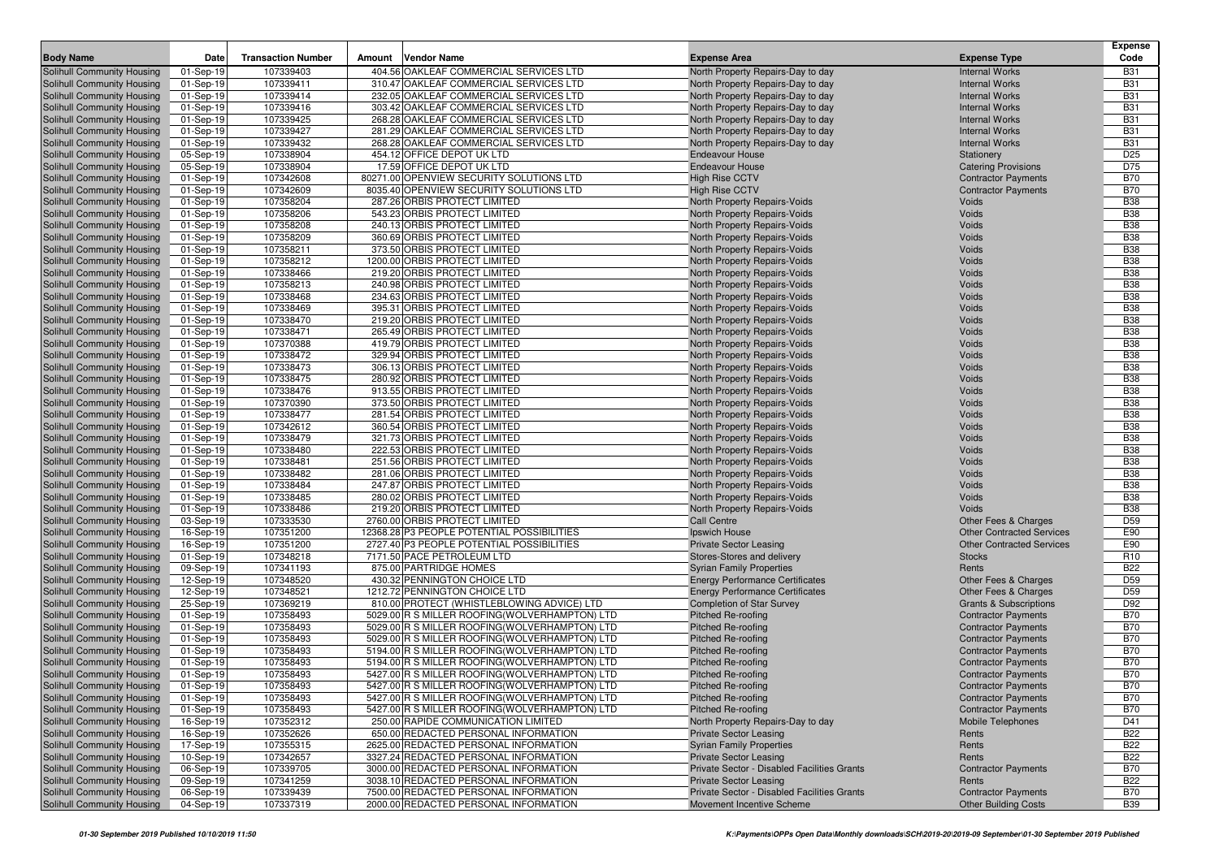|                                                          | Date                   |                           |                                                                                                 |                                                                        |                                                          | <b>Expense</b>           |
|----------------------------------------------------------|------------------------|---------------------------|-------------------------------------------------------------------------------------------------|------------------------------------------------------------------------|----------------------------------------------------------|--------------------------|
| <b>Body Name</b>                                         |                        | <b>Transaction Number</b> | <b>Vendor Name</b><br>Amount                                                                    | <b>Expense Area</b>                                                    | <b>Expense Type</b>                                      | Code                     |
| Solihull Community Housing                               | 01-Sep-19              | 107339403                 | 404.56 OAKLEAF COMMERCIAL SERVICES LTD                                                          | North Property Repairs-Day to day                                      | <b>Internal Works</b>                                    | <b>B31</b>               |
| Solihull Community Housing                               | 01-Sep-19              | 107339411                 | 310.47 OAKLEAF COMMERCIAL SERVICES LTD                                                          | North Property Repairs-Day to day                                      | <b>Internal Works</b>                                    | <b>B31</b>               |
| Solihull Community Housing<br>Solihull Community Housing | 01-Sep-19              | 107339414<br>107339416    | 232.05 OAKLEAF COMMERCIAL SERVICES LTD<br>303.42 OAKLEAF COMMERCIAL SERVICES LTD                | North Property Repairs-Day to day                                      | <b>Internal Works</b><br><b>Internal Works</b>           | <b>B31</b><br><b>B31</b> |
| Solihull Community Housing                               | 01-Sep-19<br>01-Sep-19 | 107339425                 | 268.28 OAKLEAF COMMERCIAL SERVICES LTD                                                          | North Property Repairs-Day to day<br>North Property Repairs-Day to day | <b>Internal Works</b>                                    | <b>B31</b>               |
| Solihull Community Housing                               | 01-Sep-19              | 107339427                 | 281.29 OAKLEAF COMMERCIAL SERVICES LTD                                                          | North Property Repairs-Day to day                                      | <b>Internal Works</b>                                    | <b>B31</b>               |
| Solihull Community Housing                               | 01-Sep-19              | 107339432                 | 268.28 OAKLEAF COMMERCIAL SERVICES LTD                                                          | North Property Repairs-Day to day                                      | <b>Internal Works</b>                                    | <b>B31</b>               |
| Solihull Community Housing                               | 05-Sep-19              | 107338904                 | 454.12 OFFICE DEPOT UK LTD                                                                      | <b>Endeavour House</b>                                                 | Stationery                                               | D <sub>25</sub>          |
| Solihull Community Housing                               | 05-Sep-19              | 107338904                 | 17.59 OFFICE DEPOT UK LTD                                                                       | <b>Endeavour House</b>                                                 | <b>Catering Provisions</b>                               | D75                      |
| Solihull Community Housing                               | 01-Sep-19              | 107342608                 | 80271.00 OPENVIEW SECURITY SOLUTIONS LTD                                                        | <b>High Rise CCTV</b>                                                  | <b>Contractor Payments</b>                               | <b>B70</b>               |
| Solihull Community Housing                               | 01-Sep-19              | 107342609                 | 8035.40 OPENVIEW SECURITY SOLUTIONS LTD                                                         | <b>High Rise CCTV</b>                                                  | <b>Contractor Payments</b>                               | <b>B70</b>               |
| Solihull Community Housing                               | 01-Sep-19              | 107358204                 | 287.26 ORBIS PROTECT LIMITED                                                                    | North Property Repairs-Voids                                           | Voids                                                    | <b>B38</b>               |
| Solihull Community Housing                               | 01-Sep-19              | 107358206                 | 543.23 ORBIS PROTECT LIMITED                                                                    | North Property Repairs-Voids                                           | Voids                                                    | <b>B38</b>               |
| Solihull Community Housing                               | 01-Sep-19              | 107358208                 | 240.13 ORBIS PROTECT LIMITED                                                                    | North Property Repairs-Voids                                           | Voids                                                    | <b>B38</b>               |
| Solihull Community Housing                               | 01-Sep-19              | 107358209                 | 360.69 ORBIS PROTECT LIMITED                                                                    | North Property Repairs-Voids                                           | Voids                                                    | <b>B38</b>               |
| Solihull Community Housing                               | 01-Sep-19              | 107358211                 | 373.50 ORBIS PROTECT LIMITED                                                                    | North Property Repairs-Voids                                           | Voids                                                    | <b>B38</b>               |
| Solihull Community Housing                               | 01-Sep-19              | 107358212                 | 1200.00 ORBIS PROTECT LIMITED                                                                   | North Property Repairs-Voids                                           | Voids                                                    | <b>B38</b>               |
| Solihull Community Housing                               | 01-Sep-19              | 107338466                 | 219.20 ORBIS PROTECT LIMITED                                                                    | North Property Repairs-Voids                                           | Voids                                                    | <b>B38</b>               |
| Solihull Community Housing                               | 01-Sep-19              | 107358213                 | 240.98 ORBIS PROTECT LIMITED                                                                    | North Property Repairs-Voids                                           | Voids                                                    | <b>B38</b>               |
| Solihull Community Housing                               | 01-Sep-19              | 107338468                 | 234.63 ORBIS PROTECT LIMITED                                                                    | North Property Repairs-Voids                                           | Voids                                                    | <b>B38</b>               |
| Solihull Community Housing                               | 01-Sep-19              | 107338469                 | 395.31 ORBIS PROTECT LIMITED                                                                    | North Property Repairs-Voids                                           | Voids                                                    | <b>B38</b>               |
| Solihull Community Housing                               | 01-Sep-19              | 107338470                 | 219.20 ORBIS PROTECT LIMITED                                                                    | North Property Repairs-Voids                                           | Voids                                                    | <b>B38</b>               |
| Solihull Community Housing                               | 01-Sep-19              | 107338471                 | 265.49 ORBIS PROTECT LIMITED                                                                    | North Property Repairs-Voids                                           | Voids                                                    | <b>B38</b>               |
| Solihull Community Housing                               | 01-Sep-19              | 107370388                 | 419.79 ORBIS PROTECT LIMITED                                                                    | North Property Repairs-Voids                                           | Voids                                                    | <b>B38</b>               |
| Solihull Community Housing                               | 01-Sep-19              | 107338472                 | 329.94 ORBIS PROTECT LIMITED                                                                    | North Property Repairs-Voids                                           | Voids                                                    | <b>B38</b>               |
| Solihull Community Housing                               | 01-Sep-19              | 107338473                 | 306.13 ORBIS PROTECT LIMITED                                                                    | North Property Repairs-Voids                                           | Voids                                                    | <b>B38</b>               |
| Solihull Community Housing                               | 01-Sep-19              | 107338475                 | 280.92 ORBIS PROTECT LIMITED                                                                    | North Property Repairs-Voids                                           | Voids                                                    | <b>B38</b>               |
| Solihull Community Housing                               | 01-Sep-19              | 107338476                 | 913.55 ORBIS PROTECT LIMITED                                                                    | North Property Repairs-Voids                                           | Voids                                                    | <b>B38</b>               |
| Solihull Community Housing<br>Solihull Community Housing | 01-Sep-19              | 107370390                 | 373.50 ORBIS PROTECT LIMITED                                                                    | <b>North Property Repairs-Voids</b>                                    | Voids                                                    | <b>B38</b><br><b>B38</b> |
|                                                          | 01-Sep-19<br>01-Sep-19 | 107338477<br>107342612    | 281.54 ORBIS PROTECT LIMITED<br>360.54 ORBIS PROTECT LIMITED                                    | North Property Repairs-Voids                                           | Voids<br>Voids                                           | <b>B38</b>               |
| Solihull Community Housing<br>Solihull Community Housing | 01-Sep-19              | 107338479                 | 321.73 ORBIS PROTECT LIMITED                                                                    | North Property Repairs-Voids<br>North Property Repairs-Voids           | Voids                                                    | <b>B38</b>               |
| Solihull Community Housing                               | 01-Sep-19              | 107338480                 | 222.53 ORBIS PROTECT LIMITED                                                                    | North Property Repairs-Voids                                           | Voids                                                    | <b>B38</b>               |
| Solihull Community Housing                               | 01-Sep-19              | 107338481                 | 251.56 ORBIS PROTECT LIMITED                                                                    | North Property Repairs-Voids                                           | Voids                                                    | <b>B38</b>               |
| Solihull Community Housing                               | 01-Sep-19              | 107338482                 | 281.06 ORBIS PROTECT LIMITED                                                                    | North Property Repairs-Voids                                           | Voids                                                    | <b>B38</b>               |
| Solihull Community Housing                               | 01-Sep-19              | 107338484                 | 247.87 ORBIS PROTECT LIMITED                                                                    | North Property Repairs-Voids                                           | Voids                                                    | <b>B38</b>               |
| Solihull Community Housing                               | 01-Sep-19              | 107338485                 | 280.02 ORBIS PROTECT LIMITED                                                                    | North Property Repairs-Voids                                           | Voids                                                    | <b>B38</b>               |
| Solihull Community Housing                               | 01-Sep-19              | 107338486                 | 219.20 ORBIS PROTECT LIMITED                                                                    | North Property Repairs-Voids                                           | Voids                                                    | <b>B38</b>               |
| Solihull Community Housing                               | 03-Sep-19              | 107333530                 | 2760.00 ORBIS PROTECT LIMITED                                                                   | Call Centre                                                            | Other Fees & Charges                                     | D <sub>59</sub>          |
| Solihull Community Housing                               | 16-Sep-19              | 107351200                 | 12368.28 P3 PEOPLE POTENTIAL POSSIBILITIES                                                      | Ipswich House                                                          | <b>Other Contracted Services</b>                         | E90                      |
| Solihull Community Housing                               | 16-Sep-19              | 107351200                 | 2727.40 P3 PEOPLE POTENTIAL POSSIBILITIES                                                       | <b>Private Sector Leasing</b>                                          | <b>Other Contracted Services</b>                         | E90                      |
| Solihull Community Housing                               | 01-Sep-19              | 107348218                 | 7171.50 PACE PETROLEUM LTD                                                                      | Stores-Stores and delivery                                             | <b>Stocks</b>                                            | R <sub>10</sub>          |
| Solihull Community Housing                               | 09-Sep-19              | 107341193                 | 875.00 PARTRIDGE HOMES                                                                          | <b>Syrian Family Properties</b>                                        | Rents                                                    | <b>B22</b>               |
| Solihull Community Housing                               | 12-Sep-19              | 107348520                 | 430.32 PENNINGTON CHOICE LTD                                                                    | <b>Energy Performance Certificates</b>                                 | Other Fees & Charges                                     | D <sub>59</sub>          |
| Solihull Community Housing                               | 12-Sep-19              | 107348521                 | 1212.72 PENNINGTON CHOICE LTD                                                                   | <b>Energy Performance Certificates</b>                                 | Other Fees & Charges                                     | D <sub>59</sub>          |
| Solihull Community Housing                               | 25-Sep-19              | 107369219                 | 810.00 PROTECT (WHISTLEBLOWING ADVICE) LTD                                                      | <b>Completion of Star Survey</b>                                       | <b>Grants &amp; Subscriptions</b>                        | D92                      |
| Solihull Community Housing                               | 01-Sep-19              | 107358493                 | 5029.00 R S MILLER ROOFING (WOLVERHAMPTON) LTD                                                  | <b>Pitched Re-roofing</b>                                              | <b>Contractor Payments</b>                               | <b>B70</b>               |
| Solihull Community Housing                               | 01-Sep-19              | 107358493                 | 5029.00 R S MILLER ROOFING (WOLVERHAMPTON) LTD                                                  | Pitched Re-roofing                                                     | <b>Contractor Payments</b>                               | <b>B70</b>               |
| Solihull Community Housing                               | 01-Sep-19              | 107358493                 | 5029.00 R S MILLER ROOFING (WOLVERHAMPTON) LTD                                                  | Pitched Re-roofing                                                     | <b>Contractor Payments</b>                               | <b>B70</b>               |
| Solihull Community Housing                               | 01-Sep-19              | 107358493<br>107358493    | 5194.00 R S MILLER ROOFING (WOLVERHAMPTON) LTD                                                  | Pitched Re-roofing                                                     | <b>Contractor Payments</b>                               | <b>B70</b><br><b>B70</b> |
| Solihull Community Housing<br>Solihull Community Housing | 01-Sep-19<br>01-Sep-19 | 107358493                 | 5194.00 R S MILLER ROOFING (WOLVERHAMPTON) LTD<br>5427.00 R S MILLER ROOFING(WOLVERHAMPTON) LTD | Pitched Re-roofing<br>Pitched Re-roofing                               | <b>Contractor Payments</b><br><b>Contractor Payments</b> | <b>B70</b>               |
| Solihull Community Housing                               | 01-Sep-19              | 107358493                 | 5427.00 R S MILLER ROOFING(WOLVERHAMPTON) LTD                                                   | Pitched Re-roofing                                                     |                                                          | <b>B70</b>               |
| <b>Solihull Community Housing</b>                        | 01-Sep-19              | 107358493                 | 5427.00 R S MILLER ROOFING (WOLVERHAMPTON) LTD                                                  | Pitched Re-roofing                                                     | <b>Contractor Payments</b><br><b>Contractor Payments</b> | <b>B70</b>               |
| Solihull Community Housing                               | 01-Sep-19              | 107358493                 | 5427.00 R S MILLER ROOFING(WOLVERHAMPTON) LTD                                                   | Pitched Re-roofing                                                     | <b>Contractor Payments</b>                               | <b>B70</b>               |
| Solihull Community Housing                               | 16-Sep-19              | 107352312                 | 250.00 RAPIDE COMMUNICATION LIMITED                                                             | North Property Repairs-Day to day                                      | Mobile Telephones                                        | D41                      |
| Solihull Community Housing                               | 16-Sep-19              | 107352626                 | 650.00 REDACTED PERSONAL INFORMATION                                                            | <b>Private Sector Leasing</b>                                          | Rents                                                    | <b>B22</b>               |
| Solihull Community Housing                               | 17-Sep-19              | 107355315                 | 2625.00 REDACTED PERSONAL INFORMATION                                                           | <b>Syrian Family Properties</b>                                        | Rents                                                    | <b>B22</b>               |
| Solihull Community Housing                               | 10-Sep-19              | 107342657                 | 3327.24 REDACTED PERSONAL INFORMATION                                                           | <b>Private Sector Leasing</b>                                          | Rents                                                    | <b>B22</b>               |
| Solihull Community Housing                               | 06-Sep-19              | 107339705                 | 3000.00 REDACTED PERSONAL INFORMATION                                                           | Private Sector - Disabled Facilities Grants                            | <b>Contractor Payments</b>                               | <b>B70</b>               |
| Solihull Community Housing                               | 09-Sep-19              | 107341259                 | 3038.10 REDACTED PERSONAL INFORMATION                                                           | <b>Private Sector Leasing</b>                                          | Rents                                                    | <b>B22</b>               |
| Solihull Community Housing                               | 06-Sep-19              | 107339439                 | 7500.00 REDACTED PERSONAL INFORMATION                                                           | Private Sector - Disabled Facilities Grants                            | <b>Contractor Payments</b>                               | <b>B70</b>               |
| Solihull Community Housing                               | 04-Sep-19              | 107337319                 | 2000.00 REDACTED PERSONAL INFORMATION                                                           | Movement Incentive Scheme                                              | <b>Other Building Costs</b>                              | <b>B39</b>               |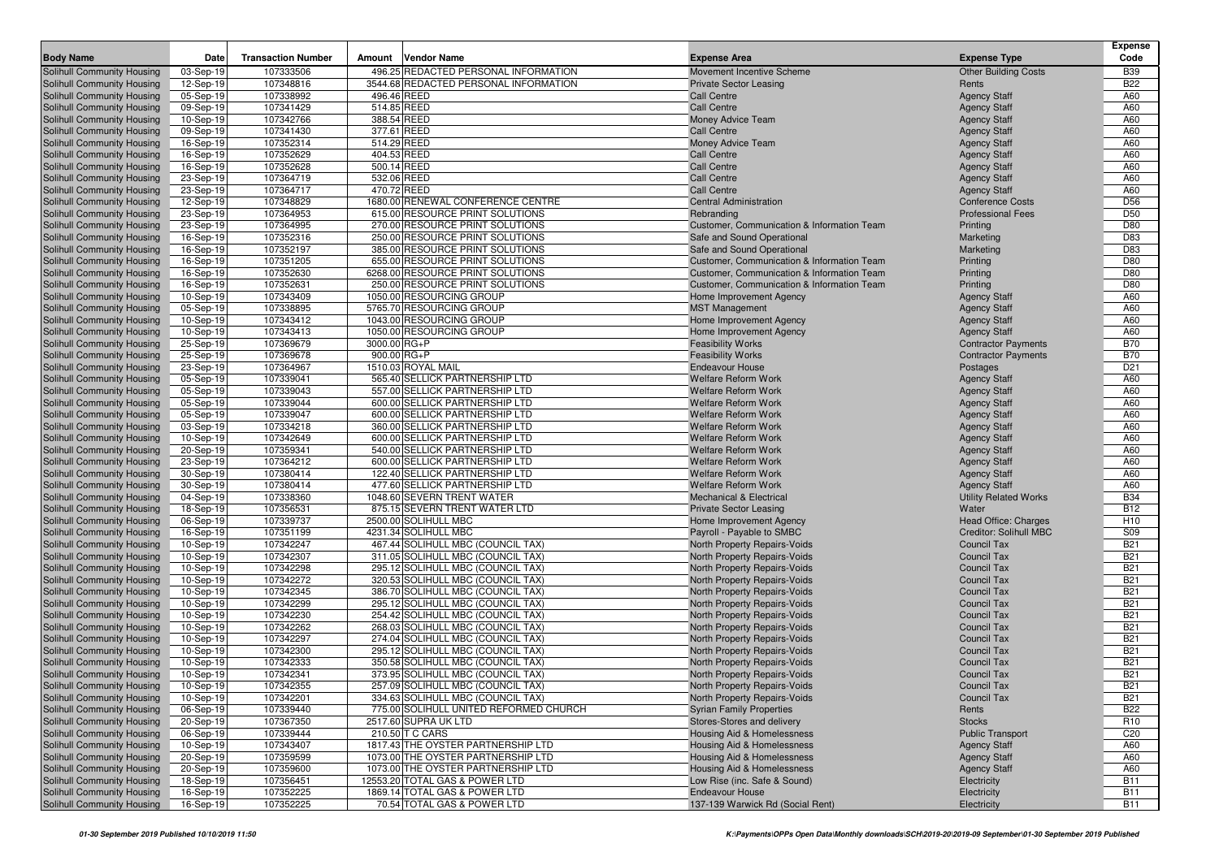| <b>Body Name</b>                                         | Date                   | <b>Transaction Number</b> | <b>Vendor Name</b><br>Amount                                     | <b>Expense Area</b>                                      | <b>Expense Type</b>                        | Expense<br>Code |
|----------------------------------------------------------|------------------------|---------------------------|------------------------------------------------------------------|----------------------------------------------------------|--------------------------------------------|-----------------|
| Solihull Community Housing                               | 03-Sep-19              | 107333506                 | 496.25 REDACTED PERSONAL INFORMATION                             | Movement Incentive Scheme                                | <b>Other Building Costs</b>                | <b>B39</b>      |
| Solihull Community Housing                               | 12-Sep-19              | 107348816                 | 3544.68 REDACTED PERSONAL INFORMATION                            | Private Sector Leasing                                   | Rents                                      | <b>B22</b>      |
| Solihull Community Housing                               | 05-Sep-19              | 107338992                 | 496.46 REED                                                      | <b>Call Centre</b>                                       | <b>Agency Staff</b>                        | A60             |
| Solihull Community Housing                               | 09-Sep-19              | 107341429                 | 514.85 REED                                                      | <b>Call Centre</b>                                       | <b>Agency Staff</b>                        | A60             |
| Solihull Community Housing                               | 10-Sep-19              | 107342766                 | 388.54 REED                                                      | Money Advice Team                                        | <b>Agency Staff</b>                        | A60             |
| Solihull Community Housing                               | 09-Sep-19              | 107341430                 | 377.61 REED                                                      | <b>Call Centre</b>                                       | <b>Agency Staff</b>                        | A60             |
| Solihull Community Housing                               | 16-Sep-19              | 107352314                 | 514.29 REED                                                      | Money Advice Team                                        | <b>Agency Staff</b>                        | A60             |
| Solihull Community Housing                               | 16-Sep-19              | 107352629                 | 404.53 REED                                                      | <b>Call Centre</b>                                       | <b>Agency Staff</b>                        | A60             |
| Solihull Community Housing                               | 16-Sep-19              | 107352628                 | 500.14 REED                                                      | <b>Call Centre</b>                                       | <b>Agency Staff</b>                        | A60             |
| Solihull Community Housing                               | 23-Sep-19              | 107364719                 | 532.06 REED                                                      | <b>Call Centre</b>                                       | <b>Agency Staff</b>                        | A60             |
| Solihull Community Housing                               | 23-Sep-19              | 107364717                 | 470.72 REED                                                      | <b>Call Centre</b>                                       | <b>Agency Staff</b>                        | A60             |
| Solihull Community Housing                               | 12-Sep-19              | 107348829                 | 1680.00 RENEWAL CONFERENCE CENTRE                                | <b>Central Administration</b>                            | <b>Conference Costs</b>                    | D <sub>56</sub> |
| Solihull Community Housing                               | 23-Sep-19              | 107364953                 | 615.00 RESOURCE PRINT SOLUTIONS                                  | Rebranding                                               | <b>Professional Fees</b>                   | D <sub>50</sub> |
| Solihull Community Housing                               | 23-Sep-19              | 107364995                 | 270.00 RESOURCE PRINT SOLUTIONS                                  | Customer, Communication & Information Team               | Printing                                   | D80             |
| Solihull Community Housing                               | 16-Sep-19              | 107352316                 | 250.00 RESOURCE PRINT SOLUTIONS                                  | Safe and Sound Operational                               | Marketing                                  | D83             |
| Solihull Community Housing                               | 16-Sep-19              | 107352197                 | 385.00 RESOURCE PRINT SOLUTIONS                                  | Safe and Sound Operational                               | Marketing                                  | D83             |
| Solihull Community Housing                               | 16-Sep-19              | 107351205                 | 655.00 RESOURCE PRINT SOLUTIONS                                  | Customer, Communication & Information Team               | Printing                                   | D80             |
| Solihull Community Housing                               | 16-Sep-19              | 107352630                 | 6268.00 RESOURCE PRINT SOLUTIONS                                 | Customer, Communication & Information Team               | Printing                                   | D80             |
| Solihull Community Housing                               | 16-Sep-19              | 107352631                 | 250.00 RESOURCE PRINT SOLUTIONS                                  | Customer, Communication & Information Team               | Printing                                   | D80             |
| Solihull Community Housing                               | 10-Sep-19              | 107343409                 | 1050.00 RESOURCING GROUP                                         | Home Improvement Agency                                  | <b>Agency Staff</b>                        | A60             |
| Solihull Community Housing                               | 05-Sep-19              | 107338895                 | 5765.70 RESOURCING GROUP                                         | <b>MST Management</b>                                    | <b>Agency Staff</b>                        | A60             |
| Solihull Community Housing                               | 10-Sep-19              | 107343412                 | 1043.00 RESOURCING GROUP                                         | Home Improvement Agency                                  | <b>Agency Staff</b>                        | A60             |
| Solihull Community Housing                               | 10-Sep-19              | 107343413                 | 1050.00 RESOURCING GROUP                                         | Home Improvement Agency                                  | <b>Agency Staff</b>                        | A60             |
| Solihull Community Housing                               | 25-Sep-19              | 107369679                 | 3000.00 RG+P                                                     | <b>Feasibility Works</b>                                 | <b>Contractor Payments</b>                 | <b>B70</b>      |
| Solihull Community Housing                               | 25-Sep-19              | 107369678                 | $900.00$ RG+P                                                    | <b>Feasibility Works</b>                                 | <b>Contractor Payments</b>                 | <b>B70</b>      |
| Solihull Community Housing                               | 23-Sep-19              | 107364967                 | 1510.03 ROYAL MAIL                                               | <b>Endeavour House</b>                                   | Postages                                   | D <sub>21</sub> |
| Solihull Community Housing                               | 05-Sep-19              | 107339041                 | 565.40 SELLICK PARTNERSHIP LTD                                   | <b>Welfare Reform Work</b>                               | <b>Agency Staff</b>                        | A60             |
| Solihull Community Housing                               | 05-Sep-19              | 107339043                 | 557.00 SELLICK PARTNERSHIP LTD                                   | <b>Welfare Reform Work</b>                               | <b>Agency Staff</b>                        | A60             |
| Solihull Community Housing                               | 05-Sep-19              | 107339044<br>107339047    | 600.00 SELLICK PARTNERSHIP LTD<br>600.00 SELLICK PARTNERSHIP LTD | <b>Welfare Reform Work</b><br><b>Welfare Reform Work</b> | <b>Agency Staff</b>                        | A60<br>A60      |
| Solihull Community Housing<br>Solihull Community Housing | 05-Sep-19<br>03-Sep-19 | 107334218                 | 360.00 SELLICK PARTNERSHIP LTD                                   | <b>Welfare Reform Work</b>                               | <b>Agency Staff</b><br><b>Agency Staff</b> | A60             |
| Solihull Community Housing                               | 10-Sep-19              | 107342649                 | 600.00 SELLICK PARTNERSHIP LTD                                   | <b>Welfare Reform Work</b>                               | <b>Agency Staff</b>                        | A60             |
| Solihull Community Housing                               | 20-Sep-19              | 107359341                 | 540.00 SELLICK PARTNERSHIP LTD                                   | <b>Welfare Reform Work</b>                               | <b>Agency Staff</b>                        | A60             |
| Solihull Community Housing                               | 23-Sep-19              | 107364212                 | 600.00 SELLICK PARTNERSHIP LTD                                   | <b>Welfare Reform Work</b>                               | <b>Agency Staff</b>                        | A60             |
| Solihull Community Housing                               | 30-Sep-19              | 107380414                 | 122.40 SELLICK PARTNERSHIP LTD                                   | <b>Welfare Reform Work</b>                               | <b>Agency Staff</b>                        | A60             |
| Solihull Community Housing                               | 30-Sep-19              | 107380414                 | 477.60 SELLICK PARTNERSHIP LTD                                   | <b>Welfare Reform Work</b>                               | <b>Agency Staff</b>                        | A60             |
| Solihull Community Housing                               | 04-Sep-19              | 107338360                 | 1048.60 SEVERN TRENT WATER                                       | <b>Mechanical &amp; Electrical</b>                       | <b>Utility Related Works</b>               | <b>B34</b>      |
| Solihull Community Housing                               | 18-Sep-19              | 107356531                 | 875.15 SEVERN TRENT WATER LTD                                    | <b>Private Sector Leasing</b>                            | Water                                      | <b>B12</b>      |
| Solihull Community Housing                               | 06-Sep-19              | 107339737                 | 2500.00 SOLIHULL MBC                                             | Home Improvement Agency                                  | Head Office: Charges                       | H <sub>10</sub> |
| Solihull Community Housing                               | 16-Sep-19              | 107351199                 | 4231.34 SOLIHULL MBC                                             | Payroll - Payable to SMBC                                | Creditor: Solihull MBC                     | S09             |
| Solihull Community Housing                               | 10-Sep-19              | 107342247                 | 467.44 SOLIHULL MBC (COUNCIL TAX)                                | North Property Repairs-Voids                             | <b>Council Tax</b>                         | <b>B21</b>      |
| Solihull Community Housing                               | 10-Sep-19              | 107342307                 | 311.05 SOLIHULL MBC (COUNCIL TAX)                                | North Property Repairs-Voids                             | <b>Council Tax</b>                         | <b>B21</b>      |
| Solihull Community Housing                               | 10-Sep-19              | 107342298                 | 295.12 SOLIHULL MBC (COUNCIL TAX)                                | North Property Repairs-Voids                             | <b>Council Tax</b>                         | <b>B21</b>      |
| Solihull Community Housing                               | 10-Sep-19              | 107342272                 | 320.53 SOLIHULL MBC (COUNCIL TAX)                                | North Property Repairs-Voids                             | <b>Council Tax</b>                         | <b>B21</b>      |
| Solihull Community Housing                               | 10-Sep-19              | 107342345                 | 386.70 SOLIHULL MBC (COUNCIL TAX)                                | North Property Repairs-Voids                             | <b>Council Tax</b>                         | <b>B21</b>      |
| Solihull Community Housing                               | 10-Sep-19              | 107342299                 | 295.12 SOLIHULL MBC (COUNCIL TAX)                                | North Property Repairs-Voids                             | <b>Council Tax</b>                         | <b>B21</b>      |
| Solihull Community Housing                               | 10-Sep-19              | 107342230                 | 254.42 SOLIHULL MBC (COUNCIL TAX)                                | North Property Repairs-Voids                             | <b>Council Tax</b>                         | <b>B21</b>      |
| Solihull Community Housing                               | 10-Sep-19              | 107342262                 | 268.03 SOLIHULL MBC (COUNCIL TAX)                                | North Property Repairs-Voids                             | <b>Council Tax</b>                         | <b>B21</b>      |
| Solihull Community Housing                               | 10-Sep-19              | 107342297                 | 274.04 SOLIHULL MBC (COUNCIL TAX)                                | North Property Repairs-Voids                             | <b>Council Tax</b>                         | <b>B21</b>      |
| Solihull Community Housing                               | 10-Sep-19              | 107342300                 | 295.12 SOLIHULL MBC (COUNCIL TAX)                                | North Property Repairs-Voids                             | <b>Council Tax</b>                         | <b>B21</b>      |
| Solihull Community Housing                               | 10-Sep-19              | 107342333                 | 350.58 SOLIHULL MBC (COUNCIL TAX)                                | North Property Repairs-Voids                             | <b>Council Tax</b>                         | <b>B21</b>      |
| Solihull Community Housing                               | 10-Sep-19              | 107342341                 | 373.95 SOLIHULL MBC (COUNCIL TAX)                                | North Property Repairs-Voids                             | <b>Council Tax</b>                         | <b>B21</b>      |
| Solihull Community Housing                               | 10-Sep-19              | 107342355                 | 257.09 SOLIHULL MBC (COUNCIL TAX)                                | North Property Repairs-Voids                             | <b>Council Tax</b>                         | <b>B21</b>      |
| Solihull Community Housing                               | 10-Sep-19              | 107342201                 | 334.63 SOLIHULL MBC (COUNCIL TAX)                                | North Property Repairs-Voids                             | Council Tax                                | <b>B21</b>      |
| Solihull Community Housing                               | 06-Sep-19              | 107339440                 | 775.00 SOLIHULL UNITED REFORMED CHURCH                           | <b>Syrian Family Properties</b>                          | Rents                                      | <b>B22</b>      |
| Solihull Community Housing                               | 20-Sep-19              | 107367350                 | 2517.60 SUPRA UK LTD                                             | Stores-Stores and delivery                               | <b>Stocks</b>                              | R <sub>10</sub> |
| Solihull Community Housing                               | 06-Sep-19              | 107339444                 | 210.50 T C CARS                                                  | Housing Aid & Homelessness                               | <b>Public Transport</b>                    | C <sub>20</sub> |
| Solihull Community Housing                               | 10-Sep-19              | 107343407                 | 1817.43 THE OYSTER PARTNERSHIP LTD                               | Housing Aid & Homelessness                               | <b>Agency Staff</b>                        | A60             |
| Solihull Community Housing                               | 20-Sep-19              | 107359599                 | 1073.00 THE OYSTER PARTNERSHIP LTD                               | Housing Aid & Homelessness                               | <b>Agency Staff</b>                        | A60             |
| Solihull Community Housing                               | 20-Sep-19              | 107359600                 | 1073.00 THE OYSTER PARTNERSHIP LTD                               | <b>Housing Aid &amp; Homelessness</b>                    | <b>Agency Staff</b>                        | A60             |
| Solihull Community Housing                               | 18-Sep-19              | 107356451                 | 12553.20 TOTAL GAS & POWER LTD                                   | Low Rise (inc. Safe & Sound)                             | Electricity                                | <b>B11</b>      |
| Solihull Community Housing                               | 16-Sep-19              | 107352225                 | 1869.14 TOTAL GAS & POWER LTD                                    | <b>Endeavour House</b>                                   | Electricity                                | <b>B11</b>      |
| Solihull Community Housing                               | 16-Sep-19              | 107352225                 | 70.54 TOTAL GAS & POWER LTD                                      | 137-139 Warwick Rd (Social Rent)                         | Electricity                                | <b>B11</b>      |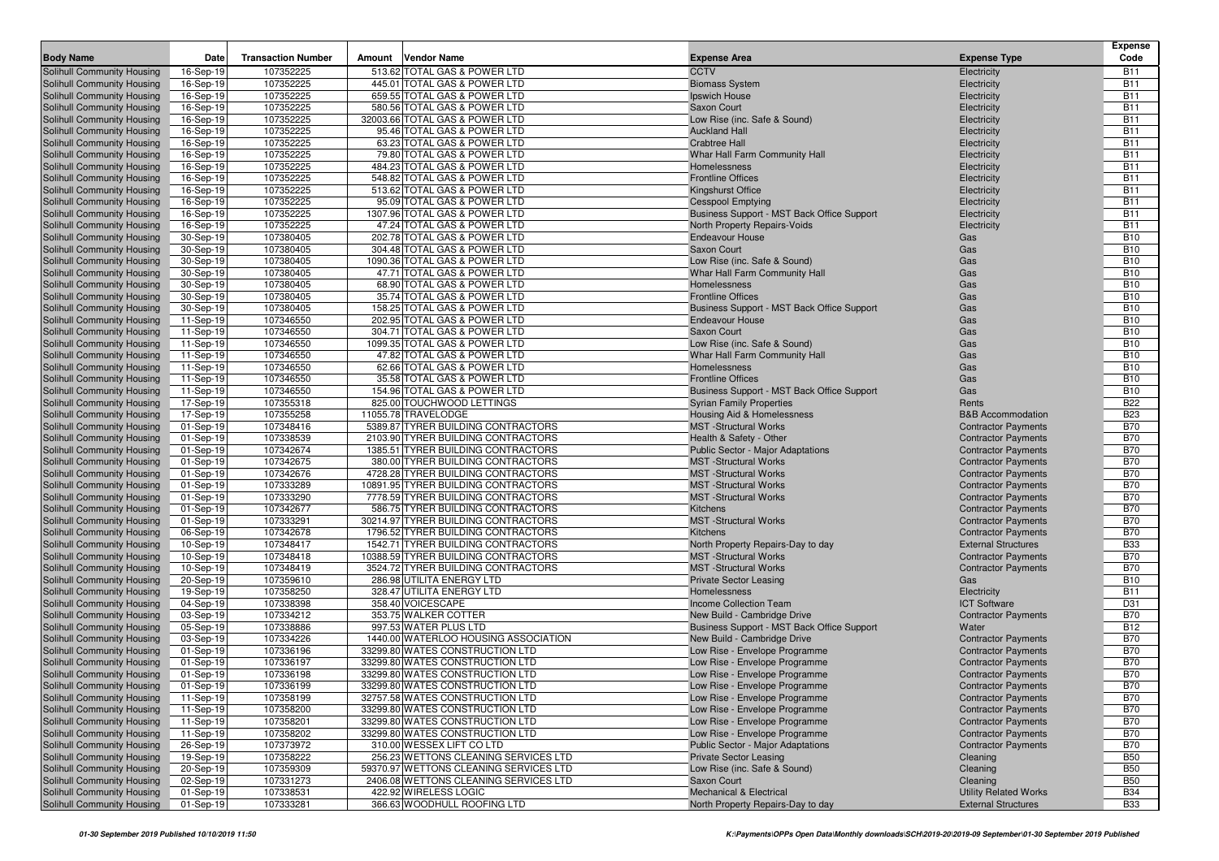| <b>Body Name</b>                                                | Date                   | <b>Transaction Number</b> | <b>Vendor Name</b><br>Amount                                              | <b>Expense Area</b>                                            | <b>Expense Type</b>                                      | <b>Expense</b><br>Code   |
|-----------------------------------------------------------------|------------------------|---------------------------|---------------------------------------------------------------------------|----------------------------------------------------------------|----------------------------------------------------------|--------------------------|
|                                                                 |                        | 107352225                 | 513.62 TOTAL GAS & POWER LTD                                              | <b>CCTV</b>                                                    |                                                          | <b>B11</b>               |
| Solihull Community Housing<br>Solihull Community Housing        | 16-Sep-19<br>16-Sep-19 | 107352225                 | 445.01 TOTAL GAS & POWER LTD                                              |                                                                | Electricity<br>Electricity                               | <b>B11</b>               |
| Solihull Community Housing                                      | 16-Sep-19              | 107352225                 | 659.55 TOTAL GAS & POWER LTD                                              | <b>Biomass System</b><br>Ipswich House                         | Electricity                                              | <b>B11</b>               |
| Solihull Community Housing                                      | 16-Sep-19              | 107352225                 | 580.56 TOTAL GAS & POWER LTD                                              | Saxon Court                                                    | Electricity                                              | <b>B11</b>               |
| Solihull Community Housing                                      | 16-Sep-19              | 107352225                 | 32003.66 TOTAL GAS & POWER LTD                                            | Low Rise (inc. Safe & Sound)                                   | Electricity                                              | <b>B11</b>               |
| Solihull Community Housing                                      | 16-Sep-19              | 107352225                 | 95.46 TOTAL GAS & POWER LTD                                               | <b>Auckland Hall</b>                                           | Electricity                                              | <b>B11</b>               |
| Solihull Community Housing                                      | 16-Sep-19              | 107352225                 | 63.23 TOTAL GAS & POWER LTD                                               | <b>Crabtree Hall</b>                                           | Electricity                                              | <b>B11</b>               |
| Solihull Community Housing                                      | 16-Sep-19              | 107352225                 | 79.80 TOTAL GAS & POWER LTD                                               | Whar Hall Farm Community Hall                                  | Electricity                                              | <b>B11</b>               |
| Solihull Community Housing                                      | 16-Sep-19              | 107352225                 | 484.23 TOTAL GAS & POWER LTD                                              | Homelessness                                                   | Electricity                                              | <b>B11</b>               |
| Solihull Community Housing                                      | 16-Sep-19              | 107352225                 | 548.82 TOTAL GAS & POWER LTD                                              | <b>Frontline Offices</b>                                       | Electricity                                              | <b>B11</b>               |
| Solihull Community Housing                                      | 16-Sep-19              | 107352225                 | 513.62 TOTAL GAS & POWER LTD                                              | Kingshurst Office                                              | Electricity                                              | <b>B11</b>               |
| Solihull Community Housing                                      | 16-Sep-19              | 107352225                 | 95.09 TOTAL GAS & POWER LTD                                               | <b>Cesspool Emptying</b>                                       | Electricity                                              | <b>B11</b>               |
| Solihull Community Housing                                      | 16-Sep-19              | 107352225                 | 1307.96 TOTAL GAS & POWER LTD                                             | Business Support - MST Back Office Support                     | Electricity                                              | <b>B11</b>               |
| Solihull Community Housing                                      | 16-Sep-19              | 107352225                 | 47.24 TOTAL GAS & POWER LTD                                               | North Property Repairs-Voids                                   | Electricity                                              | <b>B11</b>               |
| Solihull Community Housing                                      | 30-Sep-19              | 107380405                 | 202.78 TOTAL GAS & POWER LTD                                              | <b>Endeavour House</b>                                         | Gas                                                      | <b>B10</b>               |
| <b>Solihull Community Housing</b>                               | 30-Sep-19              | 107380405                 | 304.48 TOTAL GAS & POWER LTD                                              | Saxon Court                                                    | Gas                                                      | <b>B10</b>               |
| Solihull Community Housing                                      | 30-Sep-19              | 107380405                 | 1090.36 TOTAL GAS & POWER LTD                                             | Low Rise (inc. Safe & Sound)                                   | Gas                                                      | <b>B10</b>               |
| Solihull Community Housing<br>Solihull Community Housing        | 30-Sep-19              | 107380405<br>107380405    | 47.71 TOTAL GAS & POWER LTD<br>68.90 TOTAL GAS & POWER LTD                | Whar Hall Farm Community Hall                                  | Gas<br>Gas                                               | <b>B10</b><br><b>B10</b> |
| Solihull Community Housing                                      | 30-Sep-19<br>30-Sep-19 | 107380405                 | 35.74 TOTAL GAS & POWER LTD                                               | Homelessness<br><b>Frontline Offices</b>                       | Gas                                                      | <b>B10</b>               |
| Solihull Community Housing                                      | 30-Sep-19              | 107380405                 | 158.25 TOTAL GAS & POWER LTD                                              | Business Support - MST Back Office Support                     | Gas                                                      | <b>B10</b>               |
| Solihull Community Housing                                      | 11-Sep-19              | 107346550                 | 202.95 TOTAL GAS & POWER LTD                                              | <b>Endeavour House</b>                                         | Gas                                                      | <b>B10</b>               |
| Solihull Community Housing                                      | 11-Sep-19              | 107346550                 | 304.71 TOTAL GAS & POWER LTD                                              | Saxon Court                                                    | Gas                                                      | <b>B10</b>               |
| Solihull Community Housing                                      | 11-Sep-19              | 107346550                 | 1099.35 TOTAL GAS & POWER LTD                                             | Low Rise (inc. Safe & Sound)                                   | Gas                                                      | <b>B10</b>               |
| <b>Solihull Community Housing</b>                               | 11-Sep-19              | 107346550                 | 47.82 TOTAL GAS & POWER LTD                                               | Whar Hall Farm Community Hall                                  | Gas                                                      | <b>B10</b>               |
| Solihull Community Housing                                      | 11-Sep-19              | 107346550                 | 62.66 TOTAL GAS & POWER LTD                                               | Homelessness                                                   | Gas                                                      | <b>B10</b>               |
| Solihull Community Housing                                      | 11-Sep-19              | 107346550                 | 35.58 TOTAL GAS & POWER LTD                                               | <b>Frontline Offices</b>                                       | Gas                                                      | <b>B10</b>               |
| Solihull Community Housing                                      | 11-Sep-19              | 107346550                 | 154.96 TOTAL GAS & POWER LTD                                              | Business Support - MST Back Office Support                     | Gas                                                      | <b>B10</b>               |
| Solihull Community Housing                                      | 17-Sep-19              | 107355318                 | 825.00 TOUCHWOOD LETTINGS                                                 | <b>Syrian Family Properties</b>                                | Rents                                                    | <b>B22</b>               |
| Solihull Community Housing                                      | 17-Sep-19              | 107355258                 | 11055.78 TRAVELODGE                                                       | <b>Housing Aid &amp; Homelessness</b>                          | <b>B&amp;B Accommodation</b>                             | <b>B23</b>               |
| Solihull Community Housing                                      | 01-Sep-19              | 107348416                 | 5389.87 TYRER BUILDING CONTRACTORS                                        | <b>MST</b> -Structural Works                                   | <b>Contractor Payments</b>                               | <b>B70</b>               |
| Solihull Community Housing                                      | 01-Sep-19              | 107338539                 | 2103.90 TYRER BUILDING CONTRACTORS                                        | Health & Safety - Other                                        | <b>Contractor Payments</b>                               | <b>B70</b>               |
| Solihull Community Housing                                      | 01-Sep-19              | 107342674                 | 1385.51 TYRER BUILDING CONTRACTORS                                        | <b>Public Sector - Major Adaptations</b>                       | <b>Contractor Payments</b>                               | <b>B70</b>               |
| Solihull Community Housing                                      | 01-Sep-19              | 107342675                 | 380.00 TYRER BUILDING CONTRACTORS                                         | <b>MST</b> -Structural Works                                   | <b>Contractor Payments</b>                               | <b>B70</b>               |
| Solihull Community Housing                                      | 01-Sep-19              | 107342676                 | 4728.28 TYRER BUILDING CONTRACTORS                                        | <b>MST</b> -Structural Works<br><b>MST</b> -Structural Works   | <b>Contractor Payments</b>                               | <b>B70</b><br><b>B70</b> |
| Solihull Community Housing<br>Solihull Community Housing        | 01-Sep-19<br>01-Sep-19 | 107333289<br>107333290    | 10891.95 TYRER BUILDING CONTRACTORS<br>7778.59 TYRER BUILDING CONTRACTORS | <b>MST</b> -Structural Works                                   | <b>Contractor Payments</b><br><b>Contractor Payments</b> | <b>B70</b>               |
| Solihull Community Housing                                      | 01-Sep-19              | 107342677                 | 586.75 TYRER BUILDING CONTRACTORS                                         | Kitchens                                                       | <b>Contractor Payments</b>                               | <b>B70</b>               |
| Solihull Community Housing                                      | 01-Sep-19              | 107333291                 | 30214.97 TYRER BUILDING CONTRACTORS                                       | <b>MST</b> -Structural Works                                   | <b>Contractor Payments</b>                               | <b>B70</b>               |
| Solihull Community Housing                                      | 06-Sep-19              | 107342678                 | 1796.52 TYRER BUILDING CONTRACTORS                                        | Kitchens                                                       | <b>Contractor Payments</b>                               | <b>B70</b>               |
| Solihull Community Housing                                      | 10-Sep-19              | 107348417                 | 1542.71 TYRER BUILDING CONTRACTORS                                        | North Property Repairs-Day to day                              | <b>External Structures</b>                               | <b>B33</b>               |
| Solihull Community Housing                                      | 10-Sep-19              | 107348418                 | 10388.59 TYRER BUILDING CONTRACTORS                                       | <b>MST</b> -Structural Works                                   | <b>Contractor Payments</b>                               | <b>B70</b>               |
| Solihull Community Housing                                      | 10-Sep-19              | 107348419                 | 3524.72 TYRER BUILDING CONTRACTORS                                        | <b>MST</b> -Structural Works                                   | <b>Contractor Payments</b>                               | <b>B70</b>               |
| Solihull Community Housing                                      | 20-Sep-19              | 107359610                 | 286.98 UTILITA ENERGY LTD                                                 | <b>Private Sector Leasing</b>                                  | Gas                                                      | <b>B10</b>               |
| Solihull Community Housing                                      | 19-Sep-19              | 107358250                 | 328.47 UTILITA ENERGY LTD                                                 | Homelessness                                                   | Electricity                                              | <b>B11</b>               |
| Solihull Community Housing                                      | 04-Sep-19              | 107338398                 | 358.40 VOICESCAPE                                                         | <b>Income Collection Team</b>                                  | <b>ICT Software</b>                                      | D31                      |
| Solihull Community Housing                                      | 03-Sep-19              | 107334212                 | 353.75 WALKER COTTER                                                      | New Build - Cambridge Drive                                    | <b>Contractor Payments</b>                               | <b>B70</b>               |
| Solihull Community Housing                                      | 05-Sep-19              | 107338886                 | 997.53 WATER PLUS LTD                                                     | Business Support - MST Back Office Support                     | Water                                                    | <b>B12</b>               |
| Solihull Community Housing                                      | 03-Sep-19              | 107334226                 | 1440.00 WATERLOO HOUSING ASSOCIATION                                      | New Build - Cambridge Drive                                    | <b>Contractor Payments</b>                               | <b>B70</b>               |
| Solihull Community Housing                                      | 01-Sep-19              | 107336196                 | 33299.80 WATES CONSTRUCTION LTD                                           | Low Rise - Envelope Programme                                  | <b>Contractor Payments</b>                               | <b>B70</b>               |
| Solihull Community Housing                                      | 01-Sep-19              | 107336197                 | 33299.80 WATES CONSTRUCTION LTD                                           | Low Rise - Envelope Programme                                  | <b>Contractor Payments</b>                               | <b>B70</b>               |
| Solihull Community Housing<br><b>Solihull Community Housing</b> | 01-Sep-19<br>01-Sep-19 | 107336198<br>107336199    | 33299.80 WATES CONSTRUCTION LTD<br>33299.80 WATES CONSTRUCTION LTD        | Low Rise - Envelope Programme<br>Low Rise - Envelope Programme | <b>Contractor Payments</b><br><b>Contractor Payments</b> | <b>B70</b><br><b>B70</b> |
| Solihull Community Housing                                      | 11-Sep-19              | 107358199                 | 32757.58 WATES CONSTRUCTION LTD                                           | Low Rise - Envelope Programme                                  | <b>Contractor Payments</b>                               | <b>B70</b>               |
| Solihull Community Housing                                      | 11-Sep-19              | 107358200                 | 33299.80 WATES CONSTRUCTION LTD                                           | Low Rise - Envelope Programme                                  | <b>Contractor Payments</b>                               | <b>B70</b>               |
| Solihull Community Housing                                      | 11-Sep-19              | 107358201                 | 33299.80 WATES CONSTRUCTION LTD                                           | Low Rise - Envelope Programme                                  | <b>Contractor Payments</b>                               | <b>B70</b>               |
| Solihull Community Housing                                      | 11-Sep-19              | 107358202                 | 33299.80 WATES CONSTRUCTION LTD                                           | Low Rise - Envelope Programme                                  | <b>Contractor Payments</b>                               | <b>B70</b>               |
| Solihull Community Housing                                      | 26-Sep-19              | 107373972                 | 310.00 WESSEX LIFT CO LTD                                                 | <b>Public Sector - Major Adaptations</b>                       | <b>Contractor Payments</b>                               | <b>B70</b>               |
| Solihull Community Housing                                      | 19-Sep-19              | 107358222                 | 256.23 WETTONS CLEANING SERVICES LTD                                      | <b>Private Sector Leasing</b>                                  | Cleaning                                                 | <b>B50</b>               |
| Solihull Community Housing                                      | 20-Sep-19              | 107359309                 | 59370.97 WETTONS CLEANING SERVICES LTD                                    | Low Rise (inc. Safe & Sound)                                   | Cleaning                                                 | <b>B50</b>               |
| Solihull Community Housing                                      | 02-Sep-19              | 107331273                 | 2406.08 WETTONS CLEANING SERVICES LTD                                     | Saxon Court                                                    | Cleaning                                                 | <b>B50</b>               |
| Solihull Community Housing                                      | 01-Sep-19              | 107338531                 | 422.92 WIRELESS LOGIC                                                     | <b>Mechanical &amp; Electrical</b>                             | <b>Utility Related Works</b>                             | <b>B34</b>               |
| Solihull Community Housing                                      | 01-Sep-19              | 107333281                 | 366.63 WOODHULL ROOFING LTD                                               | North Property Repairs-Day to day                              | <b>External Structures</b>                               | <b>B33</b>               |